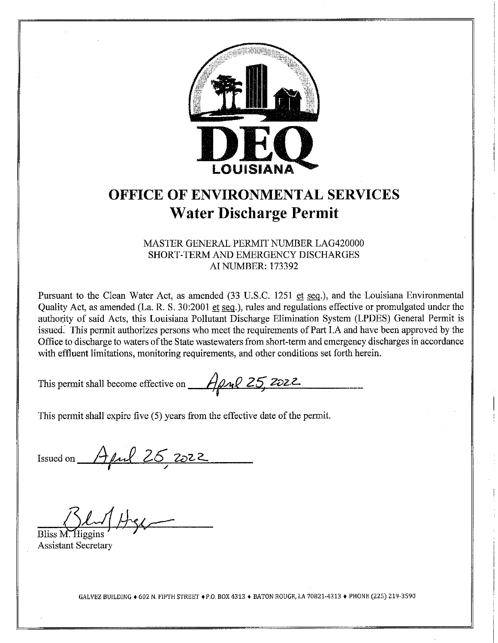

# **OFFICE OF ENVIRONMENTAL SERVICES Water Discharge Permit**

#### MASTER GENERAL PERMIT NUMBER LAG420000 SHORT-TERM AND EMERGENCY DISCHARGES **AI NUMBER: 173392**

Pursuant to the Clean Water Act, as amended (33 U.S.C. 1251 et seq.), and the Louisiana Environmental Quality Act, as amended (La. R. S. 30:2001 et seq.), rules and regulations effective or promulgated under the authority of said Acts, this Louisiana Pollutant Discharge Elimination System (LPDES) General Permit is issued. This permit authorizes persons who meet the requirements of Part I.A and have been approved by the Office to discharge to waters of the State wastewaters from short-term and emergency discharges in accordance with effluent limitations, monitoring requirements, and other conditions set forth herein.

This permit shall become effective on  $A \rightarrow Q \rightarrow Q$  25, 2022.

This permit shall expire five (5) years from the effective date of the permit.

Issued on  $A\mu$ l 26, 2022

Bliss M. Higgins

**Assistant Secretary** 

GALVEZ BUILDING ◆ 602 N. FIFTH STREET ◆ P.O. BOX 4313 ◆ BATON ROUGE, LA 70821-4313 ◆ PHONE (225) 219-3590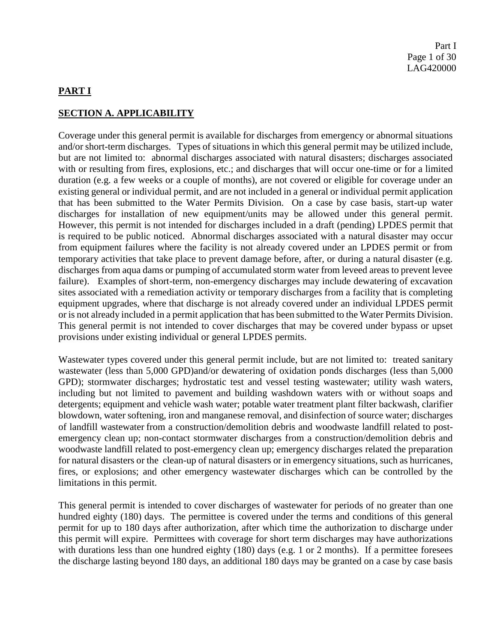### **PART I**

#### **SECTION A. APPLICABILITY**

Coverage under this general permit is available for discharges from emergency or abnormal situations and/or short-term discharges. Types of situations in which this general permit may be utilized include, but are not limited to: abnormal discharges associated with natural disasters; discharges associated with or resulting from fires, explosions, etc.; and discharges that will occur one-time or for a limited duration (e.g. a few weeks or a couple of months), are not covered or eligible for coverage under an existing general or individual permit, and are not included in a general or individual permit application that has been submitted to the Water Permits Division. On a case by case basis, start-up water discharges for installation of new equipment/units may be allowed under this general permit. However, this permit is not intended for discharges included in a draft (pending) LPDES permit that is required to be public noticed. Abnormal discharges associated with a natural disaster may occur from equipment failures where the facility is not already covered under an LPDES permit or from temporary activities that take place to prevent damage before, after, or during a natural disaster (e.g. discharges from aqua dams or pumping of accumulated storm water from leveed areas to prevent levee failure). Examples of short-term, non-emergency discharges may include dewatering of excavation sites associated with a remediation activity or temporary discharges from a facility that is completing equipment upgrades, where that discharge is not already covered under an individual LPDES permit or is not already included in a permit application that has been submitted to the Water Permits Division. This general permit is not intended to cover discharges that may be covered under bypass or upset provisions under existing individual or general LPDES permits.

Wastewater types covered under this general permit include, but are not limited to: treated sanitary wastewater (less than 5,000 GPD)and/or dewatering of oxidation ponds discharges (less than 5,000 GPD); stormwater discharges; hydrostatic test and vessel testing wastewater; utility wash waters, including but not limited to pavement and building washdown waters with or without soaps and detergents; equipment and vehicle wash water; potable water treatment plant filter backwash, clarifier blowdown, water softening, iron and manganese removal, and disinfection of source water; discharges of landfill wastewater from a construction/demolition debris and woodwaste landfill related to postemergency clean up; non-contact stormwater discharges from a construction/demolition debris and woodwaste landfill related to post-emergency clean up; emergency discharges related the preparation for natural disasters or the clean-up of natural disasters or in emergency situations, such as hurricanes, fires, or explosions; and other emergency wastewater discharges which can be controlled by the limitations in this permit.

This general permit is intended to cover discharges of wastewater for periods of no greater than one hundred eighty (180) days. The permittee is covered under the terms and conditions of this general permit for up to 180 days after authorization, after which time the authorization to discharge under this permit will expire. Permittees with coverage for short term discharges may have authorizations with durations less than one hundred eighty (180) days (e.g. 1 or 2 months). If a permittee foresees the discharge lasting beyond 180 days, an additional 180 days may be granted on a case by case basis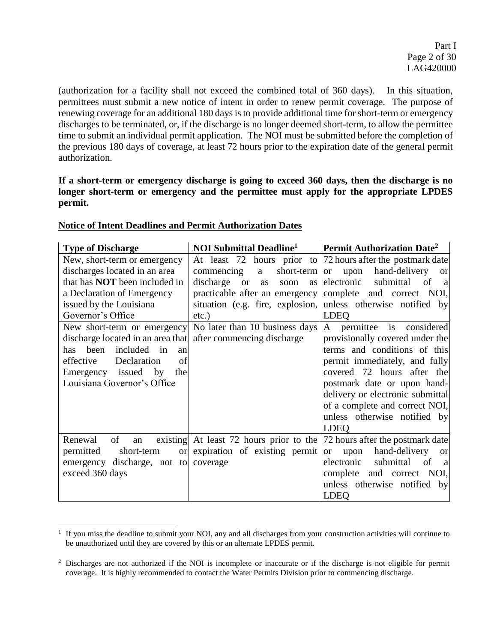(authorization for a facility shall not exceed the combined total of 360 days). In this situation, permittees must submit a new notice of intent in order to renew permit coverage. The purpose of renewing coverage for an additional 180 days is to provide additional time for short-term or emergency discharges to be terminated, or, if the discharge is no longer deemed short-term, to allow the permittee time to submit an individual permit application. The NOI must be submitted before the completion of the previous 180 days of coverage, at least 72 hours prior to the expiration date of the general permit authorization.

**If a short-term or emergency discharge is going to exceed 360 days, then the discharge is no longer short-term or emergency and the permittee must apply for the appropriate LPDES permit.**

| <b>Type of Discharge</b>                                     | <b>NOI Submittal Deadline<sup>1</sup></b>                  | Permit Authorization Date <sup>2</sup>                                   |
|--------------------------------------------------------------|------------------------------------------------------------|--------------------------------------------------------------------------|
| New, short-term or emergency                                 |                                                            | At least 72 hours prior to 72 hours after the postmark date              |
| discharges located in an area                                | short-term or<br>commencing<br>a                           | hand-delivery<br>upon<br><b>or</b>                                       |
| that has <b>NOT</b> been included in                         | discharge<br><b>or</b><br>soon<br>as<br>as                 | electronic<br>submittal of<br><sub>a</sub>                               |
| a Declaration of Emergency                                   | practicable after an emergency complete and correct        | NOI,                                                                     |
| issued by the Louisiana                                      |                                                            | situation (e.g. fire, explosion, unless otherwise notified by            |
| Governor's Office                                            | $etc.$ )                                                   | <b>LDEQ</b>                                                              |
|                                                              | New short-term or emergency No later than 10 business days | A permittee is considered                                                |
| discharge located in an area that after commencing discharge |                                                            | provisionally covered under the                                          |
| included in<br>been<br>has<br>an                             |                                                            | terms and conditions of this                                             |
| effective<br>Declaration<br>of                               |                                                            | permit immediately, and fully                                            |
| Emergency issued by<br>the                                   |                                                            | covered 72 hours after the                                               |
| Louisiana Governor's Office                                  |                                                            | postmark date or upon hand-                                              |
|                                                              |                                                            | delivery or electronic submittal                                         |
|                                                              |                                                            | of a complete and correct NOI,                                           |
|                                                              |                                                            | unless otherwise notified by                                             |
|                                                              |                                                            | <b>LDEQ</b>                                                              |
| Renewal<br>of<br>an                                          |                                                            | existing At least 72 hours prior to the 72 hours after the postmark date |
| permitted<br>short-term<br><sub>or</sub>                     | expiration of existing permit                              | hand-delivery<br>upon<br><b>or</b><br><sub>or</sub>                      |
| emergency discharge, not to                                  | coverage                                                   | submittal of<br>electronic<br><sub>a</sub>                               |
| exceed 360 days                                              |                                                            | complete and correct NOI,                                                |
|                                                              |                                                            | unless otherwise notified by                                             |
|                                                              |                                                            | <b>LDEQ</b>                                                              |

### **Notice of Intent Deadlines and Permit Authorization Dates**

l

<sup>&</sup>lt;sup>1</sup> If you miss the deadline to submit your NOI, any and all discharges from your construction activities will continue to be unauthorized until they are covered by this or an alternate LPDES permit.

<sup>&</sup>lt;sup>2</sup> Discharges are not authorized if the NOI is incomplete or inaccurate or if the discharge is not eligible for permit coverage. It is highly recommended to contact the Water Permits Division prior to commencing discharge.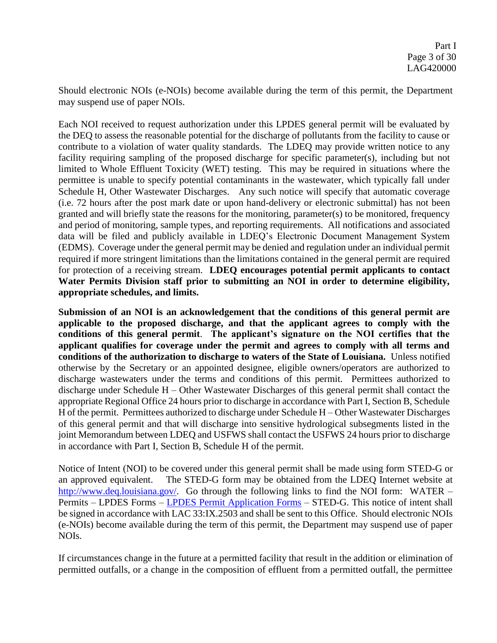Should electronic NOIs (e-NOIs) become available during the term of this permit, the Department may suspend use of paper NOIs.

Each NOI received to request authorization under this LPDES general permit will be evaluated by the DEQ to assess the reasonable potential for the discharge of pollutants from the facility to cause or contribute to a violation of water quality standards. The LDEQ may provide written notice to any facility requiring sampling of the proposed discharge for specific parameter(s), including but not limited to Whole Effluent Toxicity (WET) testing. This may be required in situations where the permittee is unable to specify potential contaminants in the wastewater, which typically fall under Schedule H, Other Wastewater Discharges. Any such notice will specify that automatic coverage (i.e. 72 hours after the post mark date or upon hand-delivery or electronic submittal) has not been granted and will briefly state the reasons for the monitoring, parameter(s) to be monitored, frequency and period of monitoring, sample types, and reporting requirements. All notifications and associated data will be filed and publicly available in LDEQ's Electronic Document Management System (EDMS). Coverage under the general permit may be denied and regulation under an individual permit required if more stringent limitations than the limitations contained in the general permit are required for protection of a receiving stream. **LDEQ encourages potential permit applicants to contact Water Permits Division staff prior to submitting an NOI in order to determine eligibility, appropriate schedules, and limits.** 

**Submission of an NOI is an acknowledgement that the conditions of this general permit are applicable to the proposed discharge, and that the applicant agrees to comply with the conditions of this general permit**. **The applicant's signature on the NOI certifies that the applicant qualifies for coverage under the permit and agrees to comply with all terms and conditions of the authorization to discharge to waters of the State of Louisiana.** Unless notified otherwise by the Secretary or an appointed designee, eligible owners/operators are authorized to discharge wastewaters under the terms and conditions of this permit. Permittees authorized to discharge under Schedule H – Other Wastewater Discharges of this general permit shall contact the appropriate Regional Office 24 hours prior to discharge in accordance with Part I, Section B, Schedule H of the permit. Permittees authorized to discharge under Schedule H – Other Wastewater Discharges of this general permit and that will discharge into sensitive hydrological subsegments listed in the joint Memorandum between LDEQ and USFWS shall contact the USFWS 24 hours prior to discharge in accordance with Part I, Section B, Schedule H of the permit.

Notice of Intent (NOI) to be covered under this general permit shall be made using form STED-G or an approved equivalent. The STED-G form may be obtained from the LDEQ Internet website at [http://www.deq.louisiana.gov/.](http://www.deq.louisiana.gov/) Go through the following links to find the NOI form: WATER – Permits – LPDES Forms – [LPDES Permit Application Forms](http://deq.louisiana.gov/page/lpdes-water-permits) – STED-G. This notice of intent shall be signed in accordance with LAC 33:IX.2503 and shall be sent to this Office. Should electronic NOIs (e-NOIs) become available during the term of this permit, the Department may suspend use of paper NOIs.

If circumstances change in the future at a permitted facility that result in the addition or elimination of permitted outfalls, or a change in the composition of effluent from a permitted outfall, the permittee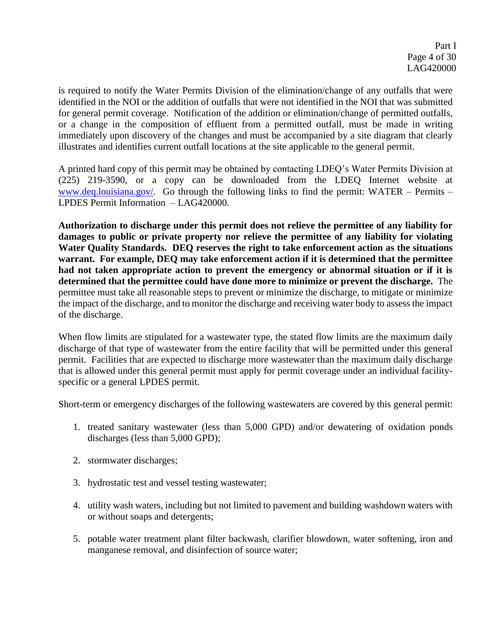is required to notify the Water Permits Division of the elimination/change of any outfalls that were identified in the NOI or the addition of outfalls that were not identified in the NOI that was submitted for general permit coverage. Notification of the addition or elimination/change of permitted outfalls, or a change in the composition of effluent from a permitted outfall, must be made in writing immediately upon discovery of the changes and must be accompanied by a site diagram that clearly illustrates and identifies current outfall locations at the site applicable to the general permit.

A printed hard copy of this permit may be obtained by contacting LDEQ's Water Permits Division at (225) 219-3590, or a copy can be downloaded from the LDEQ Internet website at [www.deq.louisiana.gov/.](http://www.deq.louisiana.gov/) Go through the following links to find the permit: WATER – Permits – LPDES Permit Information – LAG420000.

**Authorization to discharge under this permit does not relieve the permittee of any liability for damages to public or private property nor relieve the permittee of any liability for violating Water Quality Standards. DEQ reserves the right to take enforcement action as the situations warrant. For example, DEQ may take enforcement action if it is determined that the permittee had not taken appropriate action to prevent the emergency or abnormal situation or if it is determined that the permittee could have done more to minimize or prevent the discharge.** The permittee must take all reasonable steps to prevent or minimize the discharge, to mitigate or minimize the impact of the discharge, and to monitor the discharge and receiving water body to assess the impact of the discharge.

When flow limits are stipulated for a wastewater type, the stated flow limits are the maximum daily discharge of that type of wastewater from the entire facility that will be permitted under this general permit. Facilities that are expected to discharge more wastewater than the maximum daily discharge that is allowed under this general permit must apply for permit coverage under an individual facilityspecific or a general LPDES permit.

Short-term or emergency discharges of the following wastewaters are covered by this general permit:

- 1. treated sanitary wastewater (less than 5,000 GPD) and/or dewatering of oxidation ponds discharges (less than 5,000 GPD);
- 2. stormwater discharges;
- 3. hydrostatic test and vessel testing wastewater;
- 4. utility wash waters, including but not limited to pavement and building washdown waters with or without soaps and detergents;
- 5. potable water treatment plant filter backwash, clarifier blowdown, water softening, iron and manganese removal, and disinfection of source water;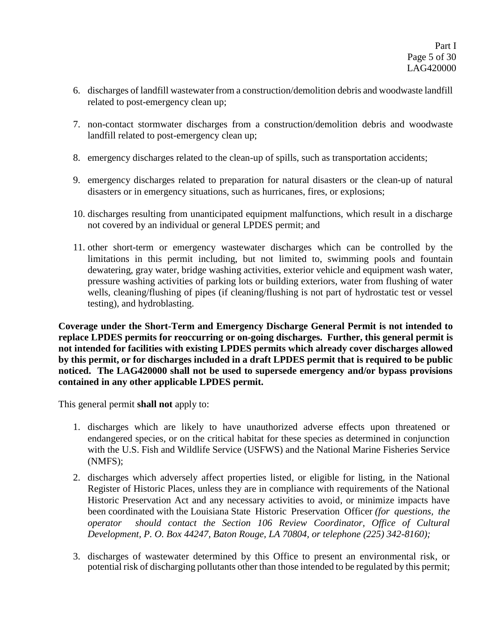- 6. discharges of landfill wastewaterfrom a construction/demolition debris and woodwaste landfill related to post-emergency clean up;
- 7. non-contact stormwater discharges from a construction/demolition debris and woodwaste landfill related to post-emergency clean up;
- 8. emergency discharges related to the clean-up of spills, such as transportation accidents;
- 9. emergency discharges related to preparation for natural disasters or the clean-up of natural disasters or in emergency situations, such as hurricanes, fires, or explosions;
- 10. discharges resulting from unanticipated equipment malfunctions, which result in a discharge not covered by an individual or general LPDES permit; and
- 11. other short-term or emergency wastewater discharges which can be controlled by the limitations in this permit including, but not limited to, swimming pools and fountain dewatering, gray water, bridge washing activities, exterior vehicle and equipment wash water, pressure washing activities of parking lots or building exteriors, water from flushing of water wells, cleaning/flushing of pipes (if cleaning/flushing is not part of hydrostatic test or vessel testing), and hydroblasting.

**Coverage under the Short-Term and Emergency Discharge General Permit is not intended to replace LPDES permits for reoccurring or on-going discharges. Further, this general permit is not intended for facilities with existing LPDES permits which already cover discharges allowed by this permit, or for discharges included in a draft LPDES permit that is required to be public noticed. The LAG420000 shall not be used to supersede emergency and/or bypass provisions contained in any other applicable LPDES permit.**

This general permit **shall not** apply to:

- 1. discharges which are likely to have unauthorized adverse effects upon threatened or endangered species, or on the critical habitat for these species as determined in conjunction with the U.S. Fish and Wildlife Service (USFWS) and the National Marine Fisheries Service (NMFS);
- 2. discharges which adversely affect properties listed, or eligible for listing, in the National Register of Historic Places, unless they are in compliance with requirements of the National Historic Preservation Act and any necessary activities to avoid, or minimize impacts have been coordinated with the Louisiana State Historic Preservation Officer *(for questions, the operator should contact the Section 106 Review Coordinator, Office of Cultural Development, P. O. Box 44247, Baton Rouge, LA 70804, or telephone (225) 342-8160);*
- 3. discharges of wastewater determined by this Office to present an environmental risk, or potential risk of discharging pollutants other than those intended to be regulated by this permit;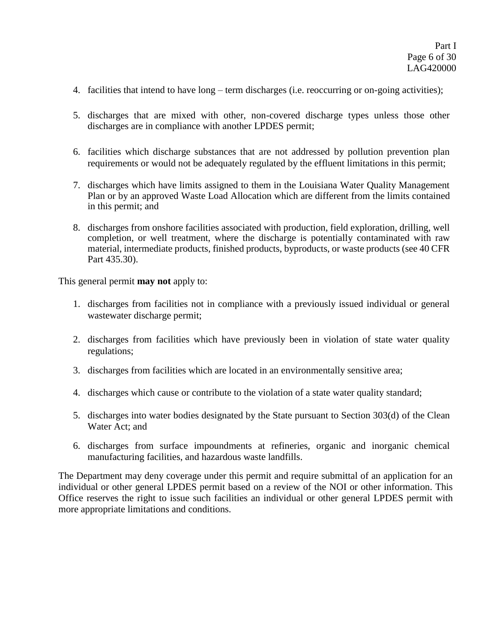- 4. facilities that intend to have long term discharges (i.e. reoccurring or on-going activities);
- 5. discharges that are mixed with other, non-covered discharge types unless those other discharges are in compliance with another LPDES permit;
- 6. facilities which discharge substances that are not addressed by pollution prevention plan requirements or would not be adequately regulated by the effluent limitations in this permit;
- 7. discharges which have limits assigned to them in the Louisiana Water Quality Management Plan or by an approved Waste Load Allocation which are different from the limits contained in this permit; and
- 8. discharges from onshore facilities associated with production, field exploration, drilling, well completion, or well treatment, where the discharge is potentially contaminated with raw material, intermediate products, finished products, byproducts, or waste products (see 40 CFR Part 435.30).

This general permit **may not** apply to:

- 1. discharges from facilities not in compliance with a previously issued individual or general wastewater discharge permit;
- 2. discharges from facilities which have previously been in violation of state water quality regulations;
- 3. discharges from facilities which are located in an environmentally sensitive area;
- 4. discharges which cause or contribute to the violation of a state water quality standard;
- 5. discharges into water bodies designated by the State pursuant to Section 303(d) of the Clean Water Act; and
- 6. discharges from surface impoundments at refineries, organic and inorganic chemical manufacturing facilities, and hazardous waste landfills.

The Department may deny coverage under this permit and require submittal of an application for an individual or other general LPDES permit based on a review of the NOI or other information. This Office reserves the right to issue such facilities an individual or other general LPDES permit with more appropriate limitations and conditions.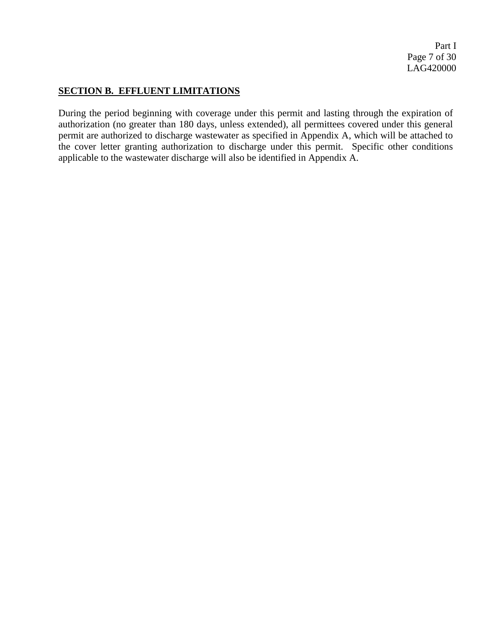Part I Page 7 of 30 LAG420000

### **SECTION B. EFFLUENT LIMITATIONS**

During the period beginning with coverage under this permit and lasting through the expiration of authorization (no greater than 180 days, unless extended), all permittees covered under this general permit are authorized to discharge wastewater as specified in Appendix A, which will be attached to the cover letter granting authorization to discharge under this permit. Specific other conditions applicable to the wastewater discharge will also be identified in Appendix A.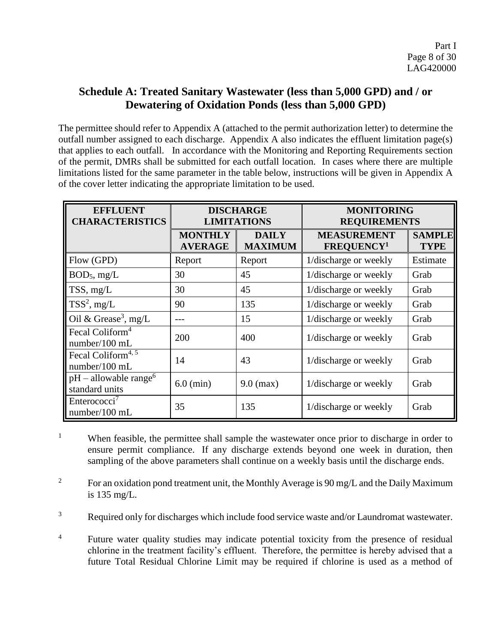# **Schedule A: Treated Sanitary Wastewater (less than 5,000 GPD) and / or Dewatering of Oxidation Ponds (less than 5,000 GPD)**

The permittee should refer to Appendix A (attached to the permit authorization letter) to determine the outfall number assigned to each discharge. Appendix A also indicates the effluent limitation page(s) that applies to each outfall. In accordance with the Monitoring and Reporting Requirements section of the permit, DMRs shall be submitted for each outfall location. In cases where there are multiple limitations listed for the same parameter in the table below, instructions will be given in Appendix A of the cover letter indicating the appropriate limitation to be used.

| <b>EFFLUENT</b><br><b>CHARACTERISTICS</b>             | <b>DISCHARGE</b><br><b>LIMITATIONS</b> |                                | <b>MONITORING</b><br><b>REQUIREMENTS</b> |                              |
|-------------------------------------------------------|----------------------------------------|--------------------------------|------------------------------------------|------------------------------|
|                                                       | <b>MONTHLY</b><br><b>AVERAGE</b>       | <b>DAILY</b><br><b>MAXIMUM</b> | <b>MEASUREMENT</b><br><b>FREQUENCY1</b>  | <b>SAMPLE</b><br><b>TYPE</b> |
| Flow (GPD)                                            | Report                                 | Report                         | 1/discharge or weekly                    | Estimate                     |
| BOD <sub>5</sub> , mg/L                               | 30                                     | 45                             | 1/discharge or weekly                    | Grab                         |
| TSS, mg/L                                             | 30                                     | 45                             | 1/discharge or weekly                    | Grab                         |
| $TSS^2$ , mg/L                                        | 90                                     | 135                            | 1/discharge or weekly                    | Grab                         |
| Oil & Grease <sup>3</sup> , mg/L                      | $- - -$                                | 15                             | 1/discharge or weekly                    | Grab                         |
| Fecal Coliform <sup>4</sup><br>number/100 mL          | 200                                    | 400                            | 1/discharge or weekly                    | Grab                         |
| Fecal Coliform <sup>4, 5</sup><br>number/100 mL       | 14                                     | 43                             | 1/discharge or weekly                    | Grab                         |
| $pH -$ allowable range <sup>6</sup><br>standard units | $6.0$ (min)                            | $9.0$ (max)                    | 1/discharge or weekly                    | Grab                         |
| Enterococci <sup>7</sup><br>number/100 mL             | 35                                     | 135                            | 1/discharge or weekly                    | Grab                         |

<sup>1</sup> When feasible, the permittee shall sample the wastewater once prior to discharge in order to ensure permit compliance. If any discharge extends beyond one week in duration, then sampling of the above parameters shall continue on a weekly basis until the discharge ends.

<sup>2</sup> For an oxidation pond treatment unit, the Monthly Average is 90 mg/L and the Daily Maximum is 135 mg/L.

<sup>3</sup> Required only for discharges which include food service waste and/or Laundromat wastewater.

<sup>4</sup> Future water quality studies may indicate potential toxicity from the presence of residual chlorine in the treatment facility's effluent. Therefore, the permittee is hereby advised that a future Total Residual Chlorine Limit may be required if chlorine is used as a method of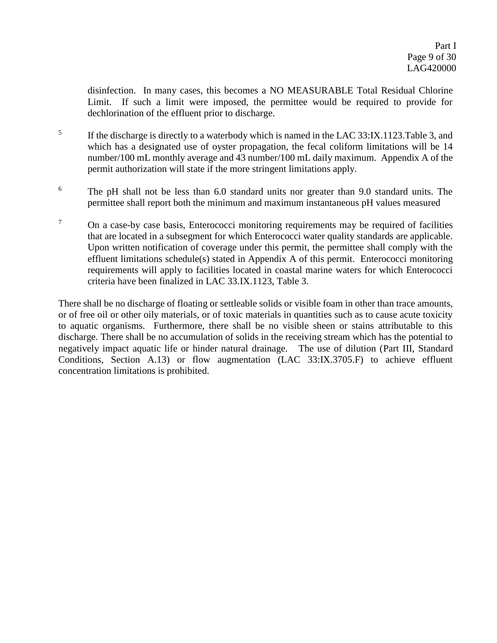disinfection. In many cases, this becomes a NO MEASURABLE Total Residual Chlorine Limit. If such a limit were imposed, the permittee would be required to provide for dechlorination of the effluent prior to discharge.

- 5 If the discharge is directly to a waterbody which is named in the LAC 33:IX.1123.Table 3, and which has a designated use of oyster propagation, the fecal coliform limitations will be 14 number/100 mL monthly average and 43 number/100 mL daily maximum. Appendix A of the permit authorization will state if the more stringent limitations apply.
- <sup>6</sup> The pH shall not be less than 6.0 standard units nor greater than 9.0 standard units. The permittee shall report both the minimum and maximum instantaneous pH values measured
- $7 \text{ On a case-by case basis, Enterococci monitoring requirements may be required of facilities.}$ that are located in a subsegment for which Enterococci water quality standards are applicable. Upon written notification of coverage under this permit, the permittee shall comply with the effluent limitations schedule(s) stated in Appendix A of this permit. Enterococci monitoring requirements will apply to facilities located in coastal marine waters for which Enterococci criteria have been finalized in LAC 33.IX.1123, Table 3.

There shall be no discharge of floating or settleable solids or visible foam in other than trace amounts, or of free oil or other oily materials, or of toxic materials in quantities such as to cause acute toxicity to aquatic organisms. Furthermore, there shall be no visible sheen or stains attributable to this discharge. There shall be no accumulation of solids in the receiving stream which has the potential to negatively impact aquatic life or hinder natural drainage. The use of dilution (Part III, Standard Conditions, Section A.13) or flow augmentation (LAC 33:IX.3705.F) to achieve effluent concentration limitations is prohibited.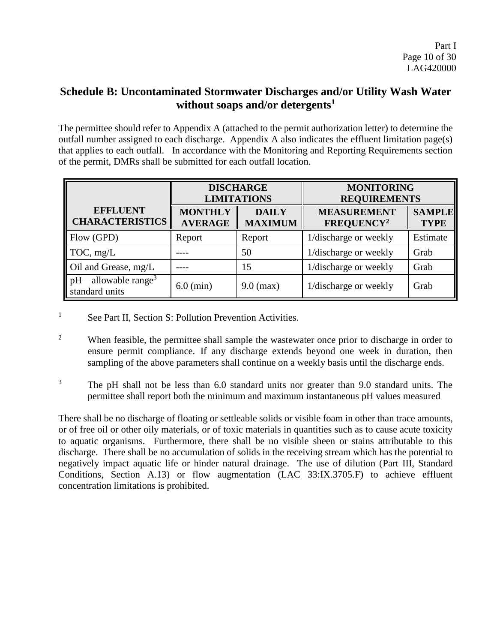# **Schedule B: Uncontaminated Stormwater Discharges and/or Utility Wash Water without soaps and/or detergents<sup>1</sup>**

The permittee should refer to Appendix A (attached to the permit authorization letter) to determine the outfall number assigned to each discharge. Appendix A also indicates the effluent limitation page(s) that applies to each outfall. In accordance with the Monitoring and Reporting Requirements section of the permit, DMRs shall be submitted for each outfall location.

|                                                   | <b>DISCHARGE</b><br><b>LIMITATIONS</b> |                                | <b>MONITORING</b><br><b>REQUIREMENTS</b>     |                              |  |
|---------------------------------------------------|----------------------------------------|--------------------------------|----------------------------------------------|------------------------------|--|
| <b>EFFLUENT</b><br><b>CHARACTERISTICS</b>         | <b>MONTHLY</b><br><b>AVERAGE</b>       | <b>DAILY</b><br><b>MAXIMUM</b> | <b>MEASUREMENT</b><br>FREQUENCY <sup>2</sup> | <b>SAMPLE</b><br><b>TYPE</b> |  |
| Flow (GPD)                                        | Report                                 | Report                         | 1/discharge or weekly                        | Estimate                     |  |
| TOC, mg/L                                         |                                        | 50                             | 1/discharge or weekly                        | Grab                         |  |
| Oil and Grease, mg/L                              |                                        | 15                             | 1/discharge or weekly                        | Grab                         |  |
| $pH - \text{allowable range}^3$<br>standard units | $6.0$ (min)                            | $9.0$ (max)                    | 1/discharge or weekly                        | Grab                         |  |

- <sup>1</sup> See Part II, Section S: Pollution Prevention Activities.
- <sup>2</sup> When feasible, the permittee shall sample the wastewater once prior to discharge in order to ensure permit compliance. If any discharge extends beyond one week in duration, then sampling of the above parameters shall continue on a weekly basis until the discharge ends.
- <sup>3</sup> The pH shall not be less than 6.0 standard units nor greater than 9.0 standard units. The permittee shall report both the minimum and maximum instantaneous pH values measured

There shall be no discharge of floating or settleable solids or visible foam in other than trace amounts, or of free oil or other oily materials, or of toxic materials in quantities such as to cause acute toxicity to aquatic organisms. Furthermore, there shall be no visible sheen or stains attributable to this discharge. There shall be no accumulation of solids in the receiving stream which has the potential to negatively impact aquatic life or hinder natural drainage. The use of dilution (Part III, Standard Conditions, Section A.13) or flow augmentation (LAC 33:IX.3705.F) to achieve effluent concentration limitations is prohibited.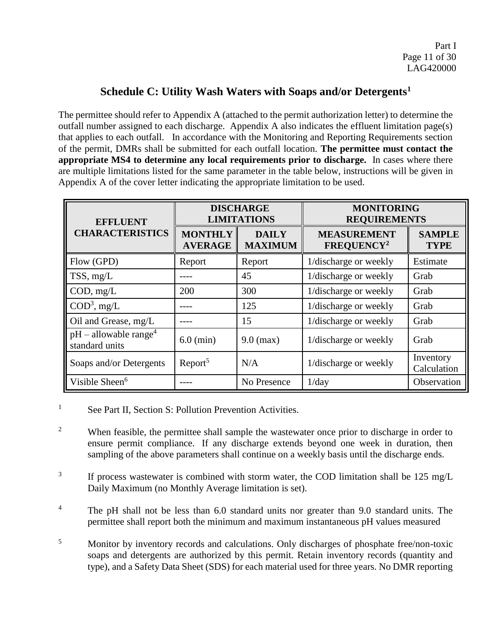### **Schedule C: Utility Wash Waters with Soaps and/or Detergents<sup>1</sup>**

The permittee should refer to Appendix A (attached to the permit authorization letter) to determine the outfall number assigned to each discharge. Appendix A also indicates the effluent limitation page(s) that applies to each outfall. In accordance with the Monitoring and Reporting Requirements section of the permit, DMRs shall be submitted for each outfall location. **The permittee must contact the appropriate MS4 to determine any local requirements prior to discharge.** In cases where there are multiple limitations listed for the same parameter in the table below, instructions will be given in Appendix A of the cover letter indicating the appropriate limitation to be used.

| <b>EFFLUENT</b>                                   | <b>DISCHARGE</b><br><b>LIMITATIONS</b> |                                | <b>MONITORING</b><br><b>REQUIREMENTS</b>     |                              |
|---------------------------------------------------|----------------------------------------|--------------------------------|----------------------------------------------|------------------------------|
| <b>CHARACTERISTICS</b>                            | <b>MONTHLY</b><br><b>AVERAGE</b>       | <b>DAILY</b><br><b>MAXIMUM</b> | <b>MEASUREMENT</b><br>FREQUENCY <sup>2</sup> | <b>SAMPLE</b><br><b>TYPE</b> |
| Flow (GPD)                                        | Report                                 | Report                         | 1/discharge or weekly                        | Estimate                     |
| TSS, mg/L                                         |                                        | 45                             | 1/discharge or weekly                        | Grab                         |
| COD, mg/L                                         | 200                                    | 300                            | 1/discharge or weekly                        | Grab                         |
| $COD3$ , mg/L                                     |                                        | 125                            | 1/discharge or weekly                        | Grab                         |
| Oil and Grease, mg/L                              |                                        | 15                             | 1/discharge or weekly                        | Grab                         |
| $pH - \text{allowable range}^4$<br>standard units | $6.0$ (min)                            | $9.0$ (max)                    | 1/discharge or weekly                        | Grab                         |
| Soaps and/or Detergents                           | Report <sup>5</sup>                    | N/A                            | 1/discharge or weekly                        | Inventory<br>Calculation     |
| Visible Sheen <sup>6</sup>                        |                                        | No Presence                    | 1/day                                        | Observation                  |

<sup>1</sup> See Part II, Section S: Pollution Prevention Activities.

<sup>2</sup> When feasible, the permittee shall sample the wastewater once prior to discharge in order to ensure permit compliance. If any discharge extends beyond one week in duration, then sampling of the above parameters shall continue on a weekly basis until the discharge ends.

- 3 If process wastewater is combined with storm water, the COD limitation shall be 125 mg/L Daily Maximum (no Monthly Average limitation is set).
- <sup>4</sup> The pH shall not be less than 6.0 standard units nor greater than 9.0 standard units. The permittee shall report both the minimum and maximum instantaneous pH values measured
- <sup>5</sup> Monitor by inventory records and calculations. Only discharges of phosphate free/non-toxic soaps and detergents are authorized by this permit. Retain inventory records (quantity and type), and a Safety Data Sheet (SDS) for each material used for three years. No DMR reporting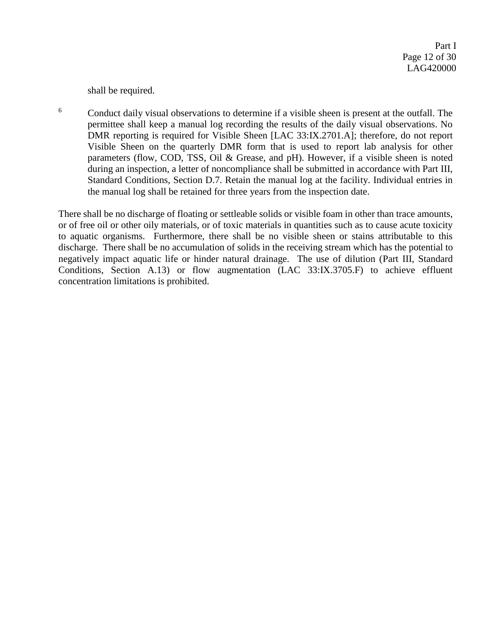shall be required.

<sup>6</sup> Conduct daily visual observations to determine if a visible sheen is present at the outfall. The permittee shall keep a manual log recording the results of the daily visual observations. No DMR reporting is required for Visible Sheen [LAC 33:IX.2701.A]; therefore, do not report Visible Sheen on the quarterly DMR form that is used to report lab analysis for other parameters (flow, COD, TSS, Oil & Grease, and pH). However, if a visible sheen is noted during an inspection, a letter of noncompliance shall be submitted in accordance with Part III, Standard Conditions, Section D.7. Retain the manual log at the facility. Individual entries in the manual log shall be retained for three years from the inspection date.

There shall be no discharge of floating or settleable solids or visible foam in other than trace amounts, or of free oil or other oily materials, or of toxic materials in quantities such as to cause acute toxicity to aquatic organisms. Furthermore, there shall be no visible sheen or stains attributable to this discharge. There shall be no accumulation of solids in the receiving stream which has the potential to negatively impact aquatic life or hinder natural drainage. The use of dilution (Part III, Standard Conditions, Section A.13) or flow augmentation (LAC 33:IX.3705.F) to achieve effluent concentration limitations is prohibited.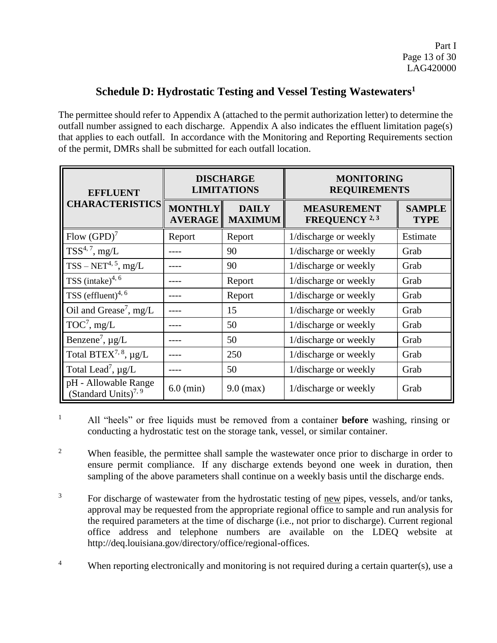# **Schedule D: Hydrostatic Testing and Vessel Testing Wastewaters<sup>1</sup>**

The permittee should refer to Appendix A (attached to the permit authorization letter) to determine the outfall number assigned to each discharge. Appendix A also indicates the effluent limitation page(s) that applies to each outfall. In accordance with the Monitoring and Reporting Requirements section of the permit, DMRs shall be submitted for each outfall location.

| <b>EFFLUENT</b>                                          | <b>DISCHARGE</b><br><b>LIMITATIONS</b> |                                | <b>MONITORING</b><br><b>REQUIREMENTS</b>   |                              |
|----------------------------------------------------------|----------------------------------------|--------------------------------|--------------------------------------------|------------------------------|
| <b>CHARACTERISTICS</b>                                   | <b>MONTHLY</b><br><b>AVERAGE</b>       | <b>DAILY</b><br><b>MAXIMUM</b> | <b>MEASUREMENT</b><br><b>FREQUENCY</b> 2,3 | <b>SAMPLE</b><br><b>TYPE</b> |
| Flow $(GPD)^7$                                           | Report                                 | Report                         | 1/discharge or weekly                      | Estimate                     |
| $TSS^{4, 7}, mg/L$                                       |                                        | 90                             | 1/discharge or weekly                      | Grab                         |
| $TSS - NET^{4, 5}, mg/L$                                 |                                        | 90                             | 1/discharge or weekly                      | Grab                         |
| TSS $(intake)^{4, 6}$                                    |                                        | Report                         | 1/discharge or weekly                      | Grab                         |
| TSS (effluent) <sup>4, 6</sup>                           |                                        | Report                         | 1/discharge or weekly                      | Grab                         |
| Oil and Grease <sup>7</sup> , mg/L                       |                                        | 15                             | 1/discharge or weekly                      | Grab                         |
| $TOC7$ , mg/L                                            |                                        | 50                             | 1/discharge or weekly                      | Grab                         |
| Benzene <sup>7</sup> , $\mu$ g/L                         |                                        | 50                             | 1/discharge or weekly                      | Grab                         |
| Total BTEX <sup>7, 8</sup> , $\mu g/L$                   |                                        | 250                            | 1/discharge or weekly                      | Grab                         |
| Total Lead <sup>7</sup> , $\mu$ g/L                      |                                        | 50                             | 1/discharge or weekly                      | Grab                         |
| pH - Allowable Range<br>(Standard Units) <sup>7, 9</sup> | $6.0$ (min)                            | $9.0$ (max)                    | 1/discharge or weekly                      | Grab                         |

- <sup>1</sup> All "heels" or free liquids must be removed from a container **before** washing, rinsing or conducting a hydrostatic test on the storage tank, vessel, or similar container.
- <sup>2</sup> When feasible, the permittee shall sample the wastewater once prior to discharge in order to ensure permit compliance. If any discharge extends beyond one week in duration, then sampling of the above parameters shall continue on a weekly basis until the discharge ends.
- $3\degree$  For discharge of wastewater from the hydrostatic testing of new pipes, vessels, and/or tanks, approval may be requested from the appropriate regional office to sample and run analysis for the required parameters at the time of discharge (i.e., not prior to discharge). Current regional office address and telephone numbers are available on the LDEQ website at http://deq.louisiana.gov/directory/office/regional-offices.
- <sup>4</sup> When reporting electronically and monitoring is not required during a certain quarter(s), use a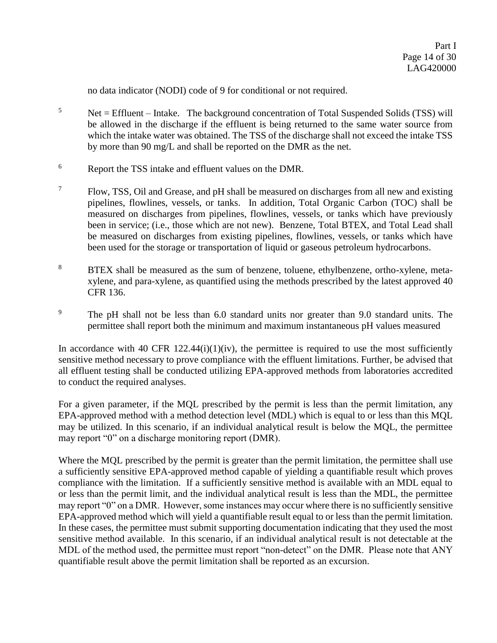no data indicator (NODI) code of 9 for conditional or not required.

- $5$  Net = Effluent Intake. The background concentration of Total Suspended Solids (TSS) will be allowed in the discharge if the effluent is being returned to the same water source from which the intake water was obtained. The TSS of the discharge shall not exceed the intake TSS by more than 90 mg/L and shall be reported on the DMR as the net.
- <sup>6</sup> Report the TSS intake and effluent values on the DMR.
- $7\,$  Flow, TSS, Oil and Grease, and pH shall be measured on discharges from all new and existing pipelines, flowlines, vessels, or tanks. In addition, Total Organic Carbon (TOC) shall be measured on discharges from pipelines, flowlines, vessels, or tanks which have previously been in service; (i.e., those which are not new). Benzene, Total BTEX, and Total Lead shall be measured on discharges from existing pipelines, flowlines, vessels, or tanks which have been used for the storage or transportation of liquid or gaseous petroleum hydrocarbons.
- <sup>8</sup> BTEX shall be measured as the sum of benzene, toluene, ethylbenzene, ortho-xylene, metaxylene, and para-xylene, as quantified using the methods prescribed by the latest approved 40 CFR 136.
- <sup>9</sup> The pH shall not be less than 6.0 standard units nor greater than 9.0 standard units. The permittee shall report both the minimum and maximum instantaneous pH values measured

In accordance with 40 CFR  $122.44(i)(1)(iv)$ , the permittee is required to use the most sufficiently sensitive method necessary to prove compliance with the effluent limitations. Further, be advised that all effluent testing shall be conducted utilizing EPA-approved methods from laboratories accredited to conduct the required analyses.

For a given parameter, if the MQL prescribed by the permit is less than the permit limitation, any EPA-approved method with a method detection level (MDL) which is equal to or less than this MQL may be utilized. In this scenario, if an individual analytical result is below the MQL, the permittee may report "0" on a discharge monitoring report (DMR).

Where the MOL prescribed by the permit is greater than the permit limitation, the permittee shall use a sufficiently sensitive EPA-approved method capable of yielding a quantifiable result which proves compliance with the limitation. If a sufficiently sensitive method is available with an MDL equal to or less than the permit limit, and the individual analytical result is less than the MDL, the permittee may report "0" on a DMR. However, some instances may occur where there is no sufficiently sensitive EPA-approved method which will yield a quantifiable result equal to or less than the permit limitation. In these cases, the permittee must submit supporting documentation indicating that they used the most sensitive method available. In this scenario, if an individual analytical result is not detectable at the MDL of the method used, the permittee must report "non-detect" on the DMR. Please note that ANY quantifiable result above the permit limitation shall be reported as an excursion.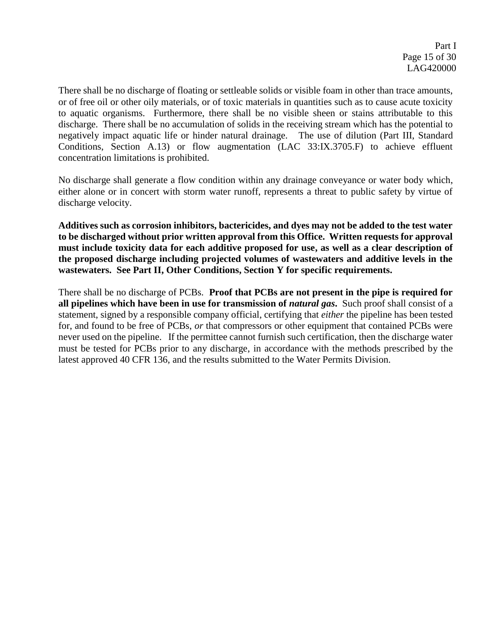There shall be no discharge of floating or settleable solids or visible foam in other than trace amounts, or of free oil or other oily materials, or of toxic materials in quantities such as to cause acute toxicity to aquatic organisms. Furthermore, there shall be no visible sheen or stains attributable to this discharge. There shall be no accumulation of solids in the receiving stream which has the potential to negatively impact aquatic life or hinder natural drainage. The use of dilution (Part III, Standard Conditions, Section A.13) or flow augmentation (LAC 33:IX.3705.F) to achieve effluent concentration limitations is prohibited.

No discharge shall generate a flow condition within any drainage conveyance or water body which, either alone or in concert with storm water runoff, represents a threat to public safety by virtue of discharge velocity.

**Additives such as corrosion inhibitors, bactericides, and dyes may not be added to the test water to be discharged without prior written approval from this Office. Written requests for approval must include toxicity data for each additive proposed for use, as well as a clear description of the proposed discharge including projected volumes of wastewaters and additive levels in the wastewaters. See Part II, Other Conditions, Section Y for specific requirements.**

There shall be no discharge of PCBs. **Proof that PCBs are not present in the pipe is required for all pipelines which have been in use for transmission of** *natural gas***. Such proof shall consist of a** statement, signed by a responsible company official, certifying that *either* the pipeline has been tested for, and found to be free of PCBs, *or* that compressors or other equipment that contained PCBs were never used on the pipeline. If the permittee cannot furnish such certification, then the discharge water must be tested for PCBs prior to any discharge, in accordance with the methods prescribed by the latest approved 40 CFR 136, and the results submitted to the Water Permits Division.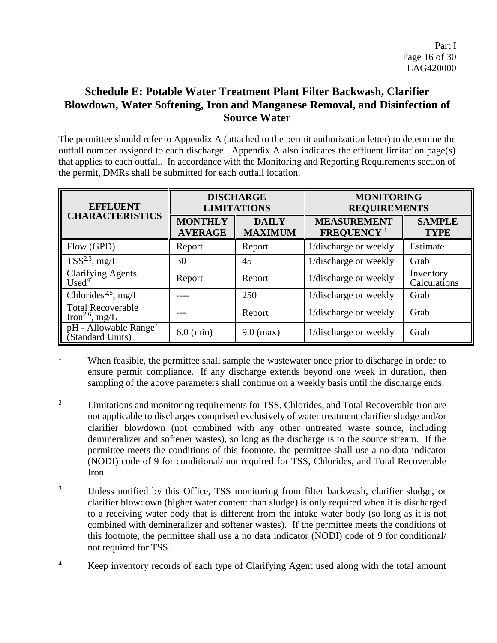# **Schedule E: Potable Water Treatment Plant Filter Backwash, Clarifier Blowdown, Water Softening, Iron and Manganese Removal, and Disinfection of Source Water**

The permittee should refer to Appendix A (attached to the permit authorization letter) to determine the outfall number assigned to each discharge. Appendix A also indicates the effluent limitation page(s) that applies to each outfall. In accordance with the Monitoring and Reporting Requirements section of the permit, DMRs shall be submitted for each outfall location.

| <b>EFFLUENT</b>                                         | <b>DISCHARGE</b><br><b>LIMITATIONS</b> |                                | <b>MONITORING</b><br><b>REQUIREMENTS</b>            |                              |
|---------------------------------------------------------|----------------------------------------|--------------------------------|-----------------------------------------------------|------------------------------|
| <b>CHARACTERISTICS</b>                                  | <b>MONTHLY</b><br><b>AVERAGE</b>       | <b>DAILY</b><br><b>MAXIMUM</b> | <b>MEASUREMENT</b><br><b>FREQUENCY</b> <sup>1</sup> | <b>SAMPLE</b><br><b>TYPE</b> |
| Flow (GPD)                                              | Report                                 | Report                         | 1/discharge or weekly                               | Estimate                     |
| $TSS^{2,3}$ , mg/L                                      | 30                                     | 45                             | 1/discharge or weekly                               | Grab                         |
| Clarifying Agents<br>Used <sup>4</sup>                  | Report                                 | Report                         | 1/discharge or weekly                               | Inventory<br>Calculations    |
| Chlorides <sup>2,5</sup> , mg/L                         |                                        | 250                            | 1/discharge or weekly                               | Grab                         |
| <b>Total Recoverable</b><br>Iron <sup>2,6</sup> , mg/L  |                                        | Report                         | 1/discharge or weekly                               | Grab                         |
| $pH$ - Allowable Range <sup>7</sup><br>(Standard Units) | $6.0$ (min)                            | $9.0$ (max)                    | 1/discharge or weekly                               | Grab                         |

<sup>&</sup>lt;sup>1</sup> When feasible, the permittee shall sample the wastewater once prior to discharge in order to ensure permit compliance. If any discharge extends beyond one week in duration, then sampling of the above parameters shall continue on a weekly basis until the discharge ends.

- <sup>2</sup> Limitations and monitoring requirements for TSS, Chlorides, and Total Recoverable Iron are not applicable to discharges comprised exclusively of water treatment clarifier sludge and/or clarifier blowdown (not combined with any other untreated waste source, including demineralizer and softener wastes), so long as the discharge is to the source stream. If the permittee meets the conditions of this footnote, the permittee shall use a no data indicator (NODI) code of 9 for conditional/ not required for TSS, Chlorides, and Total Recoverable Iron.
- <sup>3</sup> Unless notified by this Office, TSS monitoring from filter backwash, clarifier sludge, or clarifier blowdown (higher water content than sludge) is only required when it is discharged to a receiving water body that is different from the intake water body (so long as it is not combined with demineralizer and softener wastes). If the permittee meets the conditions of this footnote, the permittee shall use a no data indicator (NODI) code of 9 for conditional/ not required for TSS.
- <sup>4</sup> Keep inventory records of each type of Clarifying Agent used along with the total amount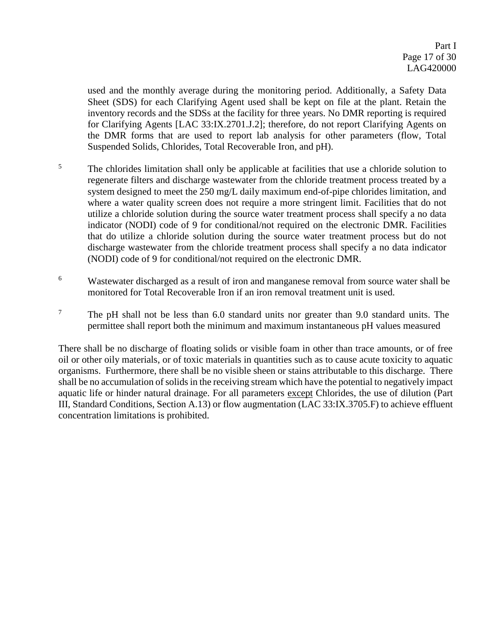used and the monthly average during the monitoring period. Additionally, a Safety Data Sheet (SDS) for each Clarifying Agent used shall be kept on file at the plant. Retain the inventory records and the SDSs at the facility for three years. No DMR reporting is required for Clarifying Agents [LAC 33:IX.2701.J.2]; therefore, do not report Clarifying Agents on the DMR forms that are used to report lab analysis for other parameters (flow, Total Suspended Solids, Chlorides, Total Recoverable Iron, and pH).

- <sup>5</sup> The chlorides limitation shall only be applicable at facilities that use a chloride solution to regenerate filters and discharge wastewater from the chloride treatment process treated by a system designed to meet the 250 mg/L daily maximum end-of-pipe chlorides limitation, and where a water quality screen does not require a more stringent limit. Facilities that do not utilize a chloride solution during the source water treatment process shall specify a no data indicator (NODI) code of 9 for conditional/not required on the electronic DMR. Facilities that do utilize a chloride solution during the source water treatment process but do not discharge wastewater from the chloride treatment process shall specify a no data indicator (NODI) code of 9 for conditional/not required on the electronic DMR.
- <sup>6</sup> Wastewater discharged as a result of iron and manganese removal from source water shall be monitored for Total Recoverable Iron if an iron removal treatment unit is used.
- <sup>7</sup> The pH shall not be less than  $6.0$  standard units nor greater than  $9.0$  standard units. The permittee shall report both the minimum and maximum instantaneous pH values measured

There shall be no discharge of floating solids or visible foam in other than trace amounts, or of free oil or other oily materials, or of toxic materials in quantities such as to cause acute toxicity to aquatic organisms. Furthermore, there shall be no visible sheen or stains attributable to this discharge. There shall be no accumulation of solids in the receiving stream which have the potential to negatively impact aquatic life or hinder natural drainage. For all parameters except Chlorides, the use of dilution (Part III, Standard Conditions, Section A.13) or flow augmentation (LAC 33:IX.3705.F) to achieve effluent concentration limitations is prohibited.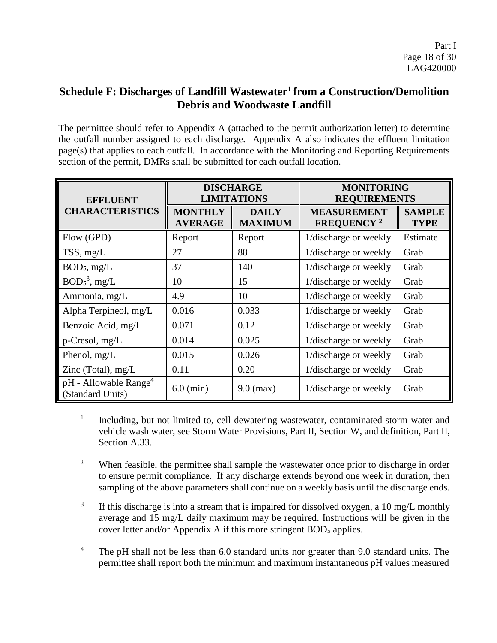# **Schedule F: Discharges of Landfill Wastewater<sup>1</sup> from a Construction/Demolition Debris and Woodwaste Landfill**

The permittee should refer to Appendix A (attached to the permit authorization letter) to determine the outfall number assigned to each discharge. Appendix A also indicates the effluent limitation page(s) that applies to each outfall. In accordance with the Monitoring and Reporting Requirements section of the permit, DMRs shall be submitted for each outfall location.

| <b>EFFLUENT</b>                                         |                                  | <b>DISCHARGE</b><br><b>LIMITATIONS</b> | <b>MONITORING</b><br><b>REQUIREMENTS</b>            |                              |
|---------------------------------------------------------|----------------------------------|----------------------------------------|-----------------------------------------------------|------------------------------|
| <b>CHARACTERISTICS</b>                                  | <b>MONTHLY</b><br><b>AVERAGE</b> | <b>DAILY</b><br><b>MAXIMUM</b>         | <b>MEASUREMENT</b><br><b>FREQUENCY</b> <sup>2</sup> | <b>SAMPLE</b><br><b>TYPE</b> |
| Flow (GPD)                                              | Report                           | Report                                 | 1/discharge or weekly                               | Estimate                     |
| TSS, mg/L                                               | 27                               | 88                                     | 1/discharge or weekly                               | Grab                         |
| BOD <sub>5</sub> , mg/L                                 | 37                               | 140                                    | 1/discharge or weekly                               | Grab                         |
| $BOD53$ , mg/L                                          | 10                               | 15                                     | 1/discharge or weekly                               | Grab                         |
| Ammonia, mg/L                                           | 4.9                              | 10                                     | 1/discharge or weekly                               | Grab                         |
| Alpha Terpineol, mg/L                                   | 0.016                            | 0.033                                  | 1/discharge or weekly                               | Grab                         |
| Benzoic Acid, mg/L                                      | 0.071                            | 0.12                                   | 1/discharge or weekly                               | Grab                         |
| p-Cresol, mg/L                                          | 0.014                            | 0.025                                  | 1/discharge or weekly                               | Grab                         |
| Phenol, mg/L                                            | 0.015                            | 0.026                                  | 1/discharge or weekly                               | Grab                         |
| Zinc (Total), $mg/L$                                    | 0.11                             | 0.20                                   | 1/discharge or weekly                               | Grab                         |
| $pH$ - Allowable Range <sup>4</sup><br>(Standard Units) | $6.0$ (min)                      | $9.0$ (max)                            | 1/discharge or weekly                               | Grab                         |

1 Including, but not limited to, cell dewatering wastewater, contaminated storm water and vehicle wash water, see Storm Water Provisions, Part II, Section W, and definition, Part II, Section A.33.

- <sup>2</sup> When feasible, the permittee shall sample the wastewater once prior to discharge in order to ensure permit compliance. If any discharge extends beyond one week in duration, then sampling of the above parameters shall continue on a weekly basis until the discharge ends.
- 3 If this discharge is into a stream that is impaired for dissolved oxygen, a 10 mg/L monthly average and 15 mg/L daily maximum may be required. Instructions will be given in the cover letter and/or Appendix A if this more stringent BOD<sub>5</sub> applies.
- <sup>4</sup> The pH shall not be less than 6.0 standard units nor greater than 9.0 standard units. The permittee shall report both the minimum and maximum instantaneous pH values measured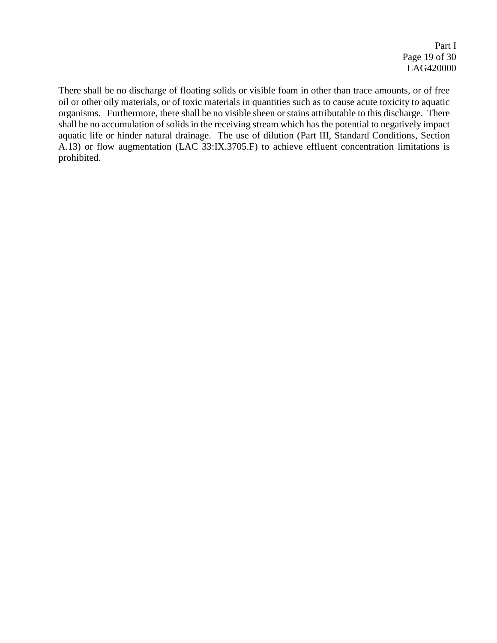There shall be no discharge of floating solids or visible foam in other than trace amounts, or of free oil or other oily materials, or of toxic materials in quantities such as to cause acute toxicity to aquatic organisms. Furthermore, there shall be no visible sheen or stains attributable to this discharge. There shall be no accumulation of solids in the receiving stream which has the potential to negatively impact aquatic life or hinder natural drainage. The use of dilution (Part III, Standard Conditions, Section A.13) or flow augmentation (LAC 33:IX.3705.F) to achieve effluent concentration limitations is prohibited.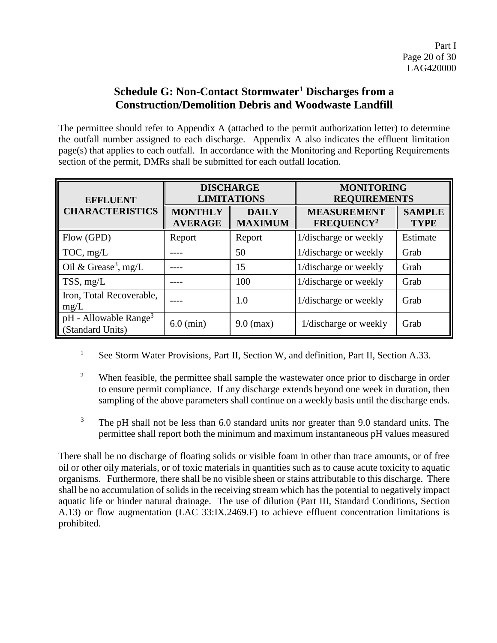## **Schedule G: Non-Contact Stormwater<sup>1</sup> Discharges from a Construction/Demolition Debris and Woodwaste Landfill**

The permittee should refer to Appendix A (attached to the permit authorization letter) to determine the outfall number assigned to each discharge. Appendix A also indicates the effluent limitation page(s) that applies to each outfall. In accordance with the Monitoring and Reporting Requirements section of the permit, DMRs shall be submitted for each outfall location.

| <b>EFFLUENT</b>                                            |                     | <b>DISCHARGE</b><br><b>LIMITATIONS</b> | <b>MONITORING</b><br><b>REQUIREMENTS</b>     |                              |
|------------------------------------------------------------|---------------------|----------------------------------------|----------------------------------------------|------------------------------|
| <b>CHARACTERISTICS</b><br><b>MONTHLY</b><br><b>AVERAGE</b> |                     | <b>DAILY</b><br><b>MAXIMUM</b>         | <b>MEASUREMENT</b><br>FREQUENCY <sup>2</sup> | <b>SAMPLE</b><br><b>TYPE</b> |
| Flow (GPD)                                                 | Report              | Report                                 | 1/discharge or weekly                        | Estimate                     |
| TOC, mg/L                                                  |                     | 50                                     | 1/discharge or weekly                        | Grab                         |
| Oil & Grease <sup>3</sup> , mg/L                           |                     | 15                                     | 1/discharge or weekly                        | Grab                         |
| $TSS$ , mg/L                                               |                     | 100                                    | 1/discharge or weekly                        | Grab                         |
| Iron, Total Recoverable,<br>mg/L                           |                     | 1.0                                    | 1/discharge or weekly                        | Grab                         |
| $pH$ - Allowable Range <sup>3</sup><br>(Standard Units)    | $6.0 \text{ (min)}$ | $9.0$ (max)                            | 1/discharge or weekly                        | Grab                         |

- <sup>1</sup> See Storm Water Provisions, Part II, Section W, and definition, Part II, Section A.33.
- <sup>2</sup> When feasible, the permittee shall sample the wastewater once prior to discharge in order to ensure permit compliance. If any discharge extends beyond one week in duration, then sampling of the above parameters shall continue on a weekly basis until the discharge ends.
- <sup>3</sup> The pH shall not be less than 6.0 standard units nor greater than 9.0 standard units. The permittee shall report both the minimum and maximum instantaneous pH values measured

There shall be no discharge of floating solids or visible foam in other than trace amounts, or of free oil or other oily materials, or of toxic materials in quantities such as to cause acute toxicity to aquatic organisms. Furthermore, there shall be no visible sheen or stains attributable to this discharge. There shall be no accumulation of solids in the receiving stream which has the potential to negatively impact aquatic life or hinder natural drainage. The use of dilution (Part III, Standard Conditions, Section A.13) or flow augmentation (LAC 33:IX.2469.F) to achieve effluent concentration limitations is prohibited.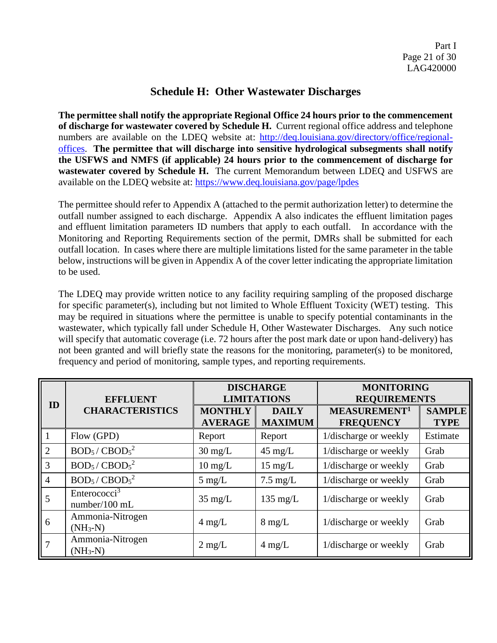### **Schedule H: Other Wastewater Discharges**

**The permittee shall notify the appropriate Regional Office 24 hours prior to the commencement of discharge for wastewater covered by Schedule H.** Current regional office address and telephone numbers are available on the LDEQ website at: [http://deq.louisiana.gov/directory/office/regional](http://deq.louisiana.gov/directory/office/regional-offices)[offices.](http://deq.louisiana.gov/directory/office/regional-offices) **The permittee that will discharge into sensitive hydrological subsegments shall notify the USFWS and NMFS (if applicable) 24 hours prior to the commencement of discharge for wastewater covered by Schedule H.** The current Memorandum between LDEQ and USFWS are available on the LDEQ website at: <https://www.deq.louisiana.gov/page/lpdes>

The permittee should refer to Appendix A (attached to the permit authorization letter) to determine the outfall number assigned to each discharge. Appendix A also indicates the effluent limitation pages and effluent limitation parameters ID numbers that apply to each outfall. In accordance with the Monitoring and Reporting Requirements section of the permit, DMRs shall be submitted for each outfall location. In cases where there are multiple limitations listed for the same parameter in the table below, instructions will be given in Appendix A of the cover letter indicating the appropriate limitation to be used.

The LDEQ may provide written notice to any facility requiring sampling of the proposed discharge for specific parameter(s), including but not limited to Whole Effluent Toxicity (WET) testing. This may be required in situations where the permittee is unable to specify potential contaminants in the wastewater, which typically fall under Schedule H, Other Wastewater Discharges. Any such notice will specify that automatic coverage (i.e. 72 hours after the post mark date or upon hand-delivery) has not been granted and will briefly state the reasons for the monitoring, parameter(s) to be monitored, frequency and period of monitoring, sample types, and reporting requirements.

| ID             | <b>EFFLUENT</b>                           | <b>DISCHARGE</b><br><b>LIMITATIONS</b> |                                | <b>MONITORING</b><br><b>REQUIREMENTS</b>     |                              |
|----------------|-------------------------------------------|----------------------------------------|--------------------------------|----------------------------------------------|------------------------------|
|                | <b>CHARACTERISTICS</b>                    | <b>MONTHLY</b><br><b>AVERAGE</b>       | <b>DAILY</b><br><b>MAXIMUM</b> | MEASUREMENT <sup>1</sup><br><b>FREQUENCY</b> | <b>SAMPLE</b><br><b>TYPE</b> |
| 1              | Flow (GPD)                                | Report                                 | Report                         | 1/discharge or weekly                        | Estimate                     |
| $\overline{2}$ | $BOD5/$ CBOD <sub>5</sub> <sup>2</sup>    | $30 \text{ mg/L}$                      | $45 \text{ mg/L}$              | 1/discharge or weekly                        | Grab                         |
| 3              | $BOD5/CBOD52$                             | $10 \text{ mg/L}$                      | $15 \text{ mg/L}$              | 1/discharge or weekly                        | Grab                         |
| $\overline{4}$ | $BOD5/$ CBOD <sub>5</sub> <sup>2</sup>    | $5 \text{ mg/L}$                       | $7.5 \text{ mg/L}$             | 1/discharge or weekly                        | Grab                         |
| 5              | Enterococci <sup>3</sup><br>number/100 mL | $35 \text{ mg/L}$                      | $135 \text{ mg/L}$             | 1/discharge or weekly                        | Grab                         |
| 6              | Ammonia-Nitrogen<br>$(NH_3-N)$            | $4 \text{ mg/L}$                       | $8 \text{ mg/L}$               | 1/discharge or weekly                        | Grab                         |
| 7              | Ammonia-Nitrogen<br>$(NH_3-N)$            | $2 \text{ mg/L}$                       | $4 \text{ mg/L}$               | 1/discharge or weekly                        | Grab                         |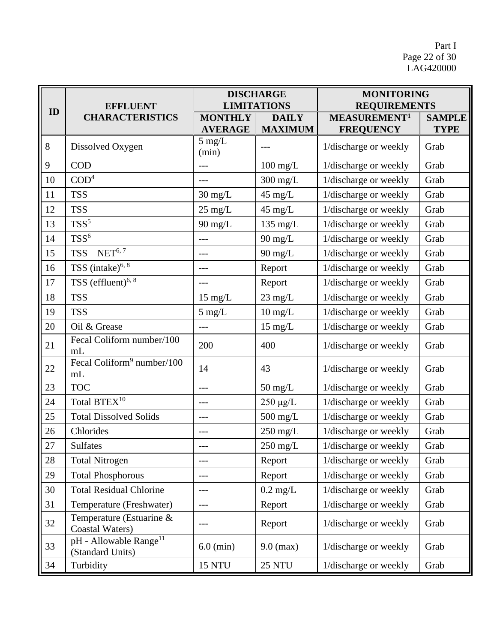Part I Page 22 of 30 LAG420000

|    | <b>EFFLUENT</b>                                        |                                  | <b>DISCHARGE</b><br><b>LIMITATIONS</b> | <b>MONITORING</b><br><b>REQUIREMENTS</b>     |                              |
|----|--------------------------------------------------------|----------------------------------|----------------------------------------|----------------------------------------------|------------------------------|
| ID | <b>CHARACTERISTICS</b>                                 | <b>MONTHLY</b><br><b>AVERAGE</b> | <b>DAILY</b><br><b>MAXIMUM</b>         | MEASUREMENT <sup>1</sup><br><b>FREQUENCY</b> | <b>SAMPLE</b><br><b>TYPE</b> |
| 8  | Dissolved Oxygen                                       | $5$ mg/L<br>(min)                |                                        | 1/discharge or weekly                        | Grab                         |
| 9  | <b>COD</b>                                             |                                  | $100$ mg/L                             | 1/discharge or weekly                        | Grab                         |
| 10 | COD <sup>4</sup>                                       | $---$                            | 300 mg/L                               | 1/discharge or weekly                        | Grab                         |
| 11 | <b>TSS</b>                                             | $30 \text{ mg/L}$                | $45 \text{ mg/L}$                      | 1/discharge or weekly                        | Grab                         |
| 12 | <b>TSS</b>                                             | $25 \text{ mg/L}$                | $45 \text{ mg/L}$                      | 1/discharge or weekly                        | Grab                         |
| 13 | $TSS^5$                                                | $90$ mg/L                        | $135$ mg/L                             | 1/discharge or weekly                        | Grab                         |
| 14 | $TSS^6$                                                | ---                              | $90$ mg/L                              | 1/discharge or weekly                        | Grab                         |
| 15 | $TSS-NET^{6,7}$                                        | ---                              | $90$ mg/L                              | 1/discharge or weekly                        | Grab                         |
| 16 | TSS (intake) $6, 8$                                    | ---                              | Report                                 | 1/discharge or weekly                        | Grab                         |
| 17 | TSS (effluent) <sup>6, 8</sup>                         | ---                              | Report                                 | 1/discharge or weekly                        | Grab                         |
| 18 | <b>TSS</b>                                             | $15 \text{ mg/L}$                | $23 \text{ mg/L}$                      | 1/discharge or weekly                        | Grab                         |
| 19 | <b>TSS</b>                                             | $5$ mg/L                         | $10 \text{ mg/L}$                      | 1/discharge or weekly                        | Grab                         |
| 20 | Oil & Grease                                           | ---                              | $15 \text{ mg/L}$                      | 1/discharge or weekly                        | Grab                         |
| 21 | Fecal Coliform number/100<br>mL                        | 200                              | 400                                    | 1/discharge or weekly                        | Grab                         |
| 22 | Fecal Coliform <sup>9</sup> number/100<br>mL           | 14                               | 43                                     | 1/discharge or weekly                        | Grab                         |
| 23 | <b>TOC</b>                                             | ---                              | $50 \text{ mg/L}$                      | 1/discharge or weekly                        | Grab                         |
| 24 | Total BTEX <sup>10</sup>                               | ---                              | $250 \mu g/L$                          | 1/discharge or weekly                        | Grab                         |
| 25 | <b>Total Dissolved Solids</b>                          | ---                              | $500$ mg/L                             | 1/discharge or weekly                        | Grab                         |
| 26 | Chlorides                                              | ---                              | $250 \; \mathrm{mg/L}$                 | 1/discharge or weekly                        | Grab                         |
| 27 | <b>Sulfates</b>                                        | ---                              | 250 mg/L                               | 1/discharge or weekly                        | Grab                         |
| 28 | <b>Total Nitrogen</b>                                  | $ -$                             | Report                                 | 1/discharge or weekly                        | Grab                         |
| 29 | <b>Total Phosphorous</b>                               | ---                              | Report                                 | 1/discharge or weekly                        | Grab                         |
| 30 | <b>Total Residual Chlorine</b>                         | ---                              | $0.2 \text{ mg/L}$                     | 1/discharge or weekly                        | Grab                         |
| 31 | Temperature (Freshwater)                               | $---$                            | Report                                 | 1/discharge or weekly                        | Grab                         |
| 32 | Temperature (Estuarine &<br><b>Coastal Waters</b> )    | ---                              | Report                                 | 1/discharge or weekly                        | Grab                         |
| 33 | pH - Allowable Range <sup>11</sup><br>(Standard Units) | $6.0$ (min)                      | $9.0$ (max)                            | 1/discharge or weekly                        | Grab                         |
| 34 | Turbidity                                              | <b>15 NTU</b>                    | <b>25 NTU</b>                          | 1/discharge or weekly                        | Grab                         |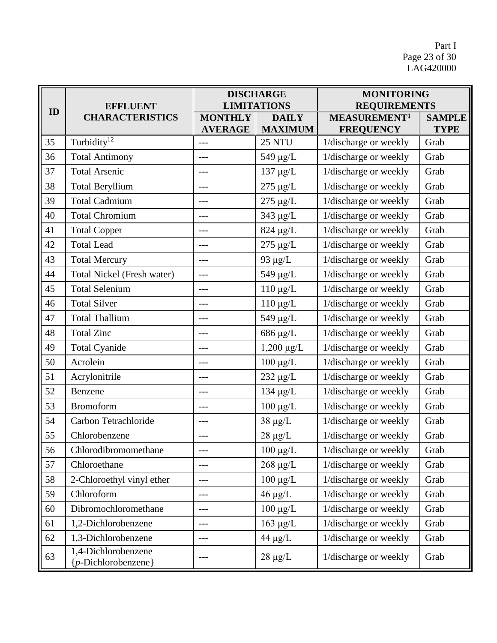Part I Page 23 of 30 LAG420000

|    | <b>EFFLUENT</b>                                     | <b>DISCHARGE</b><br><b>LIMITATIONS</b> |                                | <b>MONITORING</b><br><b>REQUIREMENTS</b>     |                              |
|----|-----------------------------------------------------|----------------------------------------|--------------------------------|----------------------------------------------|------------------------------|
| ID | <b>CHARACTERISTICS</b>                              | <b>MONTHLY</b><br><b>AVERAGE</b>       | <b>DAILY</b><br><b>MAXIMUM</b> | MEASUREMENT <sup>1</sup><br><b>FREQUENCY</b> | <b>SAMPLE</b><br><b>TYPE</b> |
| 35 | Turbidity <sup>12</sup>                             | ---                                    | 25 NTU                         | 1/discharge or weekly                        | Grab                         |
| 36 | <b>Total Antimony</b>                               | ---                                    | $549 \mu g/L$                  | 1/discharge or weekly                        | Grab                         |
| 37 | <b>Total Arsenic</b>                                | ---                                    | $137 \mu g/L$                  | 1/discharge or weekly                        | Grab                         |
| 38 | <b>Total Beryllium</b>                              | ---                                    | $275 \mu g/L$                  | 1/discharge or weekly                        | Grab                         |
| 39 | <b>Total Cadmium</b>                                | ---                                    | $275 \mu g/L$                  | 1/discharge or weekly                        | Grab                         |
| 40 | <b>Total Chromium</b>                               | ---                                    | $343 \mu g/L$                  | 1/discharge or weekly                        | Grab                         |
| 41 | <b>Total Copper</b>                                 | ---                                    | $824 \mu g/L$                  | 1/discharge or weekly                        | Grab                         |
| 42 | <b>Total Lead</b>                                   | ---                                    | $275 \mu g/L$                  | 1/discharge or weekly                        | Grab                         |
| 43 | <b>Total Mercury</b>                                | ---                                    | 93 $\mu$ g/L                   | 1/discharge or weekly                        | Grab                         |
| 44 | Total Nickel (Fresh water)                          | ---                                    | 549 μg/L                       | 1/discharge or weekly                        | Grab                         |
| 45 | <b>Total Selenium</b>                               | ---                                    | $110 \mu g/L$                  | 1/discharge or weekly                        | Grab                         |
| 46 | <b>Total Silver</b>                                 | ---                                    | $110 \mu g/L$                  | 1/discharge or weekly                        | Grab                         |
| 47 | <b>Total Thallium</b>                               | ---                                    | 549 μg/L                       | 1/discharge or weekly                        | Grab                         |
| 48 | <b>Total Zinc</b>                                   | ---                                    | $686 \mu g/L$                  | 1/discharge or weekly                        | Grab                         |
| 49 | <b>Total Cyanide</b>                                | ---                                    | $1,200 \mu g/L$                | 1/discharge or weekly                        | Grab                         |
| 50 | Acrolein                                            | ---                                    | $100 \mu g/L$                  | 1/discharge or weekly                        | Grab                         |
| 51 | Acrylonitrile                                       | ---                                    | $232 \mu g/L$                  | 1/discharge or weekly                        | Grab                         |
| 52 | Benzene                                             | ---                                    | $134 \mu g/L$                  | 1/discharge or weekly                        | Grab                         |
| 53 | <b>Bromoform</b>                                    | ---                                    | $100 \mu g/L$                  | 1/discharge or weekly                        | Grab                         |
| 54 | Carbon Tetrachloride                                | ---                                    | $38 \ \mu g/L$                 | 1/discharge or weekly                        | Grab                         |
| 55 | Chlorobenzene                                       | ---                                    | $28~\mu g/L$                   | 1/discharge or weekly                        | Grab                         |
| 56 | Chlorodibromomethane                                |                                        | $100 \mu g/L$                  | 1/discharge or weekly                        | Grab                         |
| 57 | Chloroethane                                        | ---                                    | $268 \mu g/L$                  | 1/discharge or weekly                        | Grab                         |
| 58 | 2-Chloroethyl vinyl ether                           | ---                                    | $100 \mu g/L$                  | 1/discharge or weekly                        | Grab                         |
| 59 | Chloroform                                          | ---                                    | $46 \mu g/L$                   | 1/discharge or weekly                        | Grab                         |
| 60 | Dibromochloromethane                                | ---                                    | $100 \mu g/L$                  | 1/discharge or weekly                        | Grab                         |
| 61 | 1,2-Dichlorobenzene                                 | ---                                    | $163 \mu g/L$                  | 1/discharge or weekly                        | Grab                         |
| 62 | 1,3-Dichlorobenzene                                 | ---                                    | $44 \mu g/L$                   | 1/discharge or weekly                        | Grab                         |
| 63 | 1,4-Dichlorobenzene<br>${p\text{-}Dichlorobenzene}$ | ---                                    | $28 \mu g/L$                   | 1/discharge or weekly                        | Grab                         |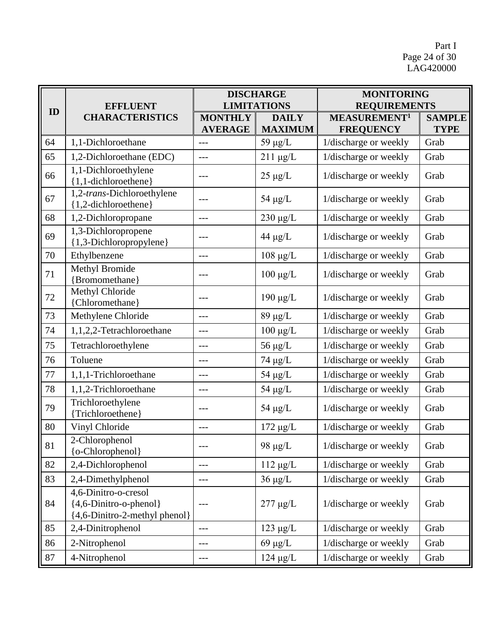Part I Page 24 of 30 LAG420000

|    | <b>EFFLUENT</b>                                                                 |                                  | <b>DISCHARGE</b><br><b>LIMITATIONS</b> | <b>MONITORING</b><br><b>REQUIREMENTS</b>     |                              |
|----|---------------------------------------------------------------------------------|----------------------------------|----------------------------------------|----------------------------------------------|------------------------------|
| ID | <b>CHARACTERISTICS</b>                                                          | <b>MONTHLY</b><br><b>AVERAGE</b> | <b>DAILY</b><br><b>MAXIMUM</b>         | MEASUREMENT <sup>1</sup><br><b>FREQUENCY</b> | <b>SAMPLE</b><br><b>TYPE</b> |
| 64 | 1,1-Dichloroethane                                                              | ---                              | $59 \mu g/L$                           | 1/discharge or weekly                        | Grab                         |
| 65 | 1,2-Dichloroethane (EDC)                                                        | $ -$                             | $211 \mu g/L$                          | 1/discharge or weekly                        | Grab                         |
| 66 | 1,1-Dichloroethylene<br>{1,1-dichloroethene}                                    | ---                              | $25 \mu g/L$                           | 1/discharge or weekly                        | Grab                         |
| 67 | 1,2-trans-Dichloroethylene<br>{1,2-dichloroethene}                              | ---                              | 54 $\mu$ g/L                           | 1/discharge or weekly                        | Grab                         |
| 68 | 1,2-Dichloropropane                                                             | ---                              | $230 \mu g/L$                          | 1/discharge or weekly                        | Grab                         |
| 69 | 1,3-Dichloropropene<br>{1,3-Dichloropropylene}                                  | ---                              | $44 \mu g/L$                           | 1/discharge or weekly                        | Grab                         |
| 70 | Ethylbenzene                                                                    | ---                              | $108 \mu g/L$                          | 1/discharge or weekly                        | Grab                         |
| 71 | Methyl Bromide<br>{Bromomethane}                                                | ---                              | $100 \mu g/L$                          | 1/discharge or weekly                        | Grab                         |
| 72 | Methyl Chloride<br>{Chloromethane}                                              | ---                              | $190 \mu g/L$                          | 1/discharge or weekly                        | Grab                         |
| 73 | Methylene Chloride                                                              | $ -$                             | $89 \mu g/L$                           | 1/discharge or weekly                        | Grab                         |
| 74 | 1,1,2,2-Tetrachloroethane                                                       | $---$                            | $100 \mu g/L$                          | 1/discharge or weekly                        | Grab                         |
| 75 | Tetrachloroethylene                                                             | ---                              | $56 \mu g/L$                           | 1/discharge or weekly                        | Grab                         |
| 76 | Toluene                                                                         | $---$                            | 74 μg/L                                | 1/discharge or weekly                        | Grab                         |
| 77 | 1,1,1-Trichloroethane                                                           | ---                              | $54 \mu g/L$                           | 1/discharge or weekly                        | Grab                         |
| 78 | 1,1,2-Trichloroethane                                                           | $---$                            | $54 \mu g/L$                           | 1/discharge or weekly                        | Grab                         |
| 79 | Trichloroethylene<br>{Trichloroethene}                                          | $---$                            | $54 \mu g/L$                           | 1/discharge or weekly                        | Grab                         |
| 80 | Vinyl Chloride                                                                  | ---                              | $172 \mu g/L$                          | 1/discharge or weekly                        | Grab                         |
| 81 | 2-Chlorophenol<br>{o-Chlorophenol}                                              | ---                              | 98 $\mu$ g/L                           | 1/discharge or weekly                        | Grab                         |
| 82 | 2,4-Dichlorophenol                                                              | ---                              | $112 \mu g/L$                          | 1/discharge or weekly                        | Grab                         |
| 83 | 2,4-Dimethylphenol                                                              | ---                              | $36 \mu g/L$                           | 1/discharge or weekly                        | Grab                         |
| 84 | 4,6-Dinitro-o-cresol<br>{4,6-Dinitro-o-phenol}<br>[4,6-Dinitro-2-methyl phenol] | ---                              | $277 \mu g/L$                          | 1/discharge or weekly                        | Grab                         |
| 85 | 2,4-Dinitrophenol                                                               | ---                              | $123 \mu g/L$                          | 1/discharge or weekly                        | Grab                         |
| 86 | 2-Nitrophenol                                                                   | ---                              | $69 \mu g/L$                           | 1/discharge or weekly                        | Grab                         |
| 87 | 4-Nitrophenol                                                                   | ---                              | $124 \mu g/L$                          | 1/discharge or weekly                        | Grab                         |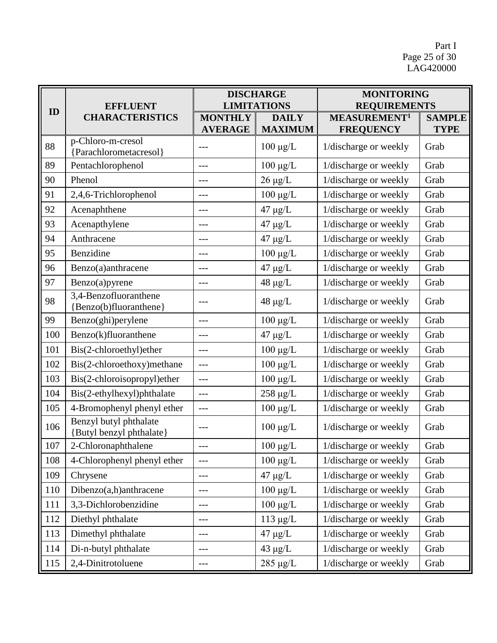Part I Page 25 of 30 LAG420000

|     | <b>EFFLUENT</b><br><b>CHARACTERISTICS</b>          | <b>DISCHARGE</b><br><b>LIMITATIONS</b> |                                | <b>MONITORING</b><br><b>REQUIREMENTS</b>     |                              |
|-----|----------------------------------------------------|----------------------------------------|--------------------------------|----------------------------------------------|------------------------------|
| ID  |                                                    | <b>MONTHLY</b><br><b>AVERAGE</b>       | <b>DAILY</b><br><b>MAXIMUM</b> | MEASUREMENT <sup>1</sup><br><b>FREQUENCY</b> | <b>SAMPLE</b><br><b>TYPE</b> |
| 88  | p-Chloro-m-cresol<br>{Parachlorometacresol}        | ---                                    | $100 \mu g/L$                  | 1/discharge or weekly                        | Grab                         |
| 89  | Pentachlorophenol                                  | $---$                                  | $100 \ \mu g/L$                | 1/discharge or weekly                        | Grab                         |
| 90  | Phenol                                             | ---                                    | $26 \mu g/L$                   | 1/discharge or weekly                        | Grab                         |
| 91  | 2,4,6-Trichlorophenol                              | $---$                                  | $100 \mu g/L$                  | 1/discharge or weekly                        | Grab                         |
| 92  | Acenaphthene                                       | ---                                    | $47 \mu g/L$                   | 1/discharge or weekly                        | Grab                         |
| 93  | Acenapthylene                                      | $---$                                  | $47 \mu g/L$                   | 1/discharge or weekly                        | Grab                         |
| 94  | Anthracene                                         | $---$                                  | $47 \mu g/L$                   | 1/discharge or weekly                        | Grab                         |
| 95  | Benzidine                                          | ---                                    | $100 \mu g/L$                  | 1/discharge or weekly                        | Grab                         |
| 96  | Benzo(a)anthracene                                 | ---                                    | $47 \mu g/L$                   | 1/discharge or weekly                        | Grab                         |
| 97  | Benzo(a)pyrene                                     | ---                                    | $48 \mu g/L$                   | 1/discharge or weekly                        | Grab                         |
| 98  | 3,4-Benzofluoranthene<br>{Benzo(b)fluoranthene}    | $---$                                  | $48 \mu g/L$                   | 1/discharge or weekly                        | Grab                         |
| 99  | Benzo(ghi)perylene                                 | $---$                                  | $100 \mu g/L$                  | 1/discharge or weekly                        | Grab                         |
| 100 | Benzo(k)fluoranthene                               | ---                                    | $47 \mu g/L$                   | 1/discharge or weekly                        | Grab                         |
| 101 | Bis(2-chloroethyl)ether                            | $---$                                  | $100 \mu g/L$                  | 1/discharge or weekly                        | Grab                         |
| 102 | Bis(2-chloroethoxy)methane                         | ---                                    | $100 \mu g/L$                  | 1/discharge or weekly                        | Grab                         |
| 103 | Bis(2-chloroisopropyl)ether                        | $ -$                                   | $100 \mu g/L$                  | 1/discharge or weekly                        | Grab                         |
| 104 | Bis(2-ethylhexyl)phthalate                         | $---$                                  | $258 \mu g/L$                  | 1/discharge or weekly                        | Grab                         |
| 105 | 4-Bromophenyl phenyl ether                         | $---$                                  | $100 \ \mu g/L$                | 1/discharge or weekly                        | Grab                         |
| 106 | Benzyl butyl phthalate<br>{Butyl benzyl phthalate} | ---                                    | $100 \mu g/L$                  | 1/discharge or weekly                        | Grab                         |
| 107 | 2-Chloronaphthalene                                | ---                                    | $100 \mu g/L$                  | 1/discharge or weekly                        | Grab                         |
| 108 | 4-Chlorophenyl phenyl ether                        | $---$                                  | $100 \mu g/L$                  | 1/discharge or weekly                        | Grab                         |
| 109 | Chrysene                                           | ---                                    | $47 \mu g/L$                   | 1/discharge or weekly                        | Grab                         |
| 110 | Dibenzo(a,h)anthracene                             | ---                                    | $100 \mu g/L$                  | 1/discharge or weekly                        | Grab                         |
| 111 | 3,3-Dichlorobenzidine                              | ---                                    | $100 \mu g/L$                  | 1/discharge or weekly                        | Grab                         |
| 112 | Diethyl phthalate                                  | ---                                    | $113 \mu g/L$                  | 1/discharge or weekly                        | Grab                         |
| 113 | Dimethyl phthalate                                 | ---                                    | $47 \mu g/L$                   | 1/discharge or weekly                        | Grab                         |
| 114 | Di-n-butyl phthalate                               | ---                                    | $43 \mu g/L$                   | 1/discharge or weekly                        | Grab                         |
| 115 | 2,4-Dinitrotoluene                                 | ---                                    | $285 \mu g/L$                  | 1/discharge or weekly                        | Grab                         |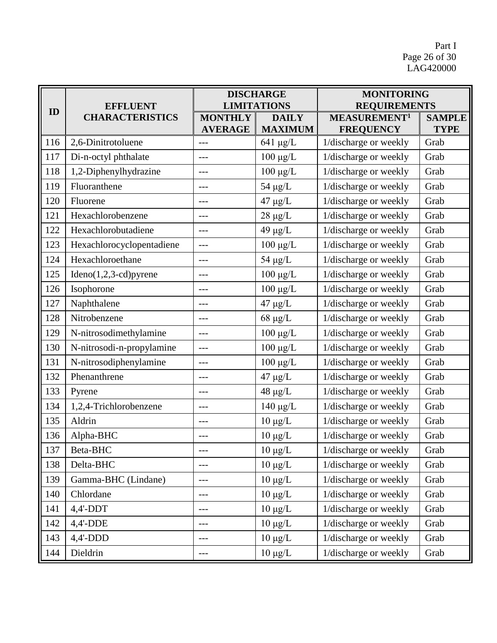Part I Page 26 of 30 LAG420000

| ID  | <b>EFFLUENT</b><br><b>CHARACTERISTICS</b> | <b>DISCHARGE</b><br><b>LIMITATIONS</b> |                                | <b>MONITORING</b><br><b>REQUIREMENTS</b>     |                              |
|-----|-------------------------------------------|----------------------------------------|--------------------------------|----------------------------------------------|------------------------------|
|     |                                           | <b>MONTHLY</b><br><b>AVERAGE</b>       | <b>DAILY</b><br><b>MAXIMUM</b> | MEASUREMENT <sup>1</sup><br><b>FREQUENCY</b> | <b>SAMPLE</b><br><b>TYPE</b> |
| 116 | 2,6-Dinitrotoluene                        | ---                                    | $641 \mu g/L$                  | 1/discharge or weekly                        | Grab                         |
| 117 | Di-n-octyl phthalate                      | ---                                    | $100 \mu g/L$                  | 1/discharge or weekly                        | Grab                         |
| 118 | 1,2-Diphenylhydrazine                     | ---                                    | $100 \mu g/L$                  | 1/discharge or weekly                        | Grab                         |
| 119 | Fluoranthene                              | ---                                    | $54 \mu g/L$                   | 1/discharge or weekly                        | Grab                         |
| 120 | Fluorene                                  | ---                                    | $47 \mu g/L$                   | 1/discharge or weekly                        | Grab                         |
| 121 | Hexachlorobenzene                         | ---                                    | $28 \mu g/L$                   | 1/discharge or weekly                        | Grab                         |
| 122 | Hexachlorobutadiene                       | ---                                    | 49 $\mu$ g/L                   | 1/discharge or weekly                        | Grab                         |
| 123 | Hexachlorocyclopentadiene                 | ---                                    | $100 \mu g/L$                  | 1/discharge or weekly                        | Grab                         |
| 124 | Hexachloroethane                          | ---                                    | $54 \mu g/L$                   | 1/discharge or weekly                        | Grab                         |
| 125 | $Ideno(1,2,3-cd)pyrene$                   | ---                                    | $100 \ \mu g/L$                | 1/discharge or weekly                        | Grab                         |
| 126 | Isophorone                                | ---                                    | $100 \mu g/L$                  | 1/discharge or weekly                        | Grab                         |
| 127 | Naphthalene                               | ---                                    | $47 \mu g/L$                   | 1/discharge or weekly                        | Grab                         |
| 128 | Nitrobenzene                              | ---                                    | $68~\mu g/L$                   | 1/discharge or weekly                        | Grab                         |
| 129 | N-nitrosodimethylamine                    | ---                                    | $100 \ \mu g/L$                | 1/discharge or weekly                        | Grab                         |
| 130 | N-nitrosodi-n-propylamine                 | ---                                    | $100~\mu\text{g/L}$            | 1/discharge or weekly                        | Grab                         |
| 131 | N-nitrosodiphenylamine                    | ---                                    | $100 \mu g/L$                  | 1/discharge or weekly                        | Grab                         |
| 132 | Phenanthrene                              | ---                                    | $47 \mu g/L$                   | 1/discharge or weekly                        | Grab                         |
| 133 | Pyrene                                    | ---                                    | $48 \mu g/L$                   | 1/discharge or weekly                        | Grab                         |
| 134 | 1,2,4-Trichlorobenzene                    | ---                                    | $140 \mu g/L$                  | 1/discharge or weekly                        | Grab                         |
| 135 | Aldrin                                    | ---                                    | $10 \mu g/L$                   | 1/discharge or weekly                        | Grab                         |
| 136 | Alpha-BHC                                 | ---                                    | $10~\mu\text{g}/\text{L}$      | 1/discharge or weekly                        | Grab                         |
| 137 | Beta-BHC                                  | ---                                    | $10 \ \mu g/L$                 | 1/discharge or weekly                        | Grab                         |
| 138 | Delta-BHC                                 | ---                                    | $10 \mu g/L$                   | 1/discharge or weekly                        | Grab                         |
| 139 | Gamma-BHC (Lindane)                       | ---                                    | $10 \mu g/L$                   | 1/discharge or weekly                        | Grab                         |
| 140 | Chlordane                                 | ---                                    | $10 \mu g/L$                   | 1/discharge or weekly                        | Grab                         |
| 141 | $4,4'-DDT$                                | ---                                    | $10 \mu g/L$                   | 1/discharge or weekly                        | Grab                         |
| 142 | 4,4'-DDE                                  | ---                                    | $10 \mu g/L$                   | 1/discharge or weekly                        | Grab                         |
| 143 | $4,4'-DDD$                                | ---                                    | $10 \mu g/L$                   | 1/discharge or weekly                        | Grab                         |
| 144 | Dieldrin                                  | ---                                    | $10 \mu g/L$                   | 1/discharge or weekly                        | Grab                         |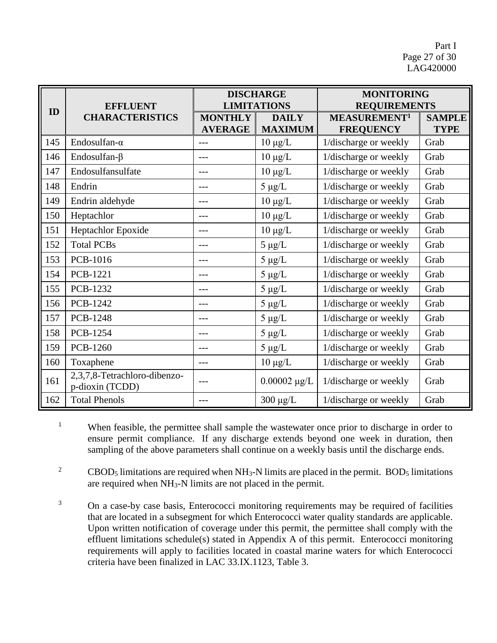Part I Page 27 of 30 LAG420000

|     | <b>EFFLUENT</b><br><b>CHARACTERISTICS</b>       | <b>DISCHARGE</b><br><b>LIMITATIONS</b> |                                | <b>MONITORING</b><br><b>REQUIREMENTS</b>     |                              |
|-----|-------------------------------------------------|----------------------------------------|--------------------------------|----------------------------------------------|------------------------------|
| ID  |                                                 | <b>MONTHLY</b><br><b>AVERAGE</b>       | <b>DAILY</b><br><b>MAXIMUM</b> | MEASUREMENT <sup>1</sup><br><b>FREQUENCY</b> | <b>SAMPLE</b><br><b>TYPE</b> |
| 145 | Endosulfan- $\alpha$                            | $---$                                  | $10 \mu g/L$                   | 1/discharge or weekly                        | Grab                         |
| 146 | Endosulfan- $\beta$                             | ---                                    | $10 \mu g/L$                   | 1/discharge or weekly                        | Grab                         |
| 147 | Endosulfansulfate                               | $---$                                  | $10 \mu g/L$                   | 1/discharge or weekly                        | Grab                         |
| 148 | Endrin                                          | $---$                                  | $5 \mu g/L$                    | 1/discharge or weekly                        | Grab                         |
| 149 | Endrin aldehyde                                 | ---                                    | $10 \mu g/L$                   | 1/discharge or weekly                        | Grab                         |
| 150 | Heptachlor                                      | $---$                                  | $10 \mu g/L$                   | 1/discharge or weekly                        | Grab                         |
| 151 | Heptachlor Epoxide                              | $---$                                  | $10 \mu g/L$                   | 1/discharge or weekly                        | Grab                         |
| 152 | <b>Total PCBs</b>                               | ---                                    | $5 \mu g/L$                    | 1/discharge or weekly                        | Grab                         |
| 153 | <b>PCB-1016</b>                                 | $---$                                  | $5 \mu g/L$                    | 1/discharge or weekly                        | Grab                         |
| 154 | <b>PCB-1221</b>                                 | $---$                                  | $5 \mu g/L$                    | 1/discharge or weekly                        | Grab                         |
| 155 | <b>PCB-1232</b>                                 | ---                                    | $5 \mu g/L$                    | 1/discharge or weekly                        | Grab                         |
| 156 | PCB-1242                                        | $---$                                  | $5 \mu g/L$                    | 1/discharge or weekly                        | Grab                         |
| 157 | <b>PCB-1248</b>                                 | ---                                    | $5 \mu g/L$                    | 1/discharge or weekly                        | Grab                         |
| 158 | <b>PCB-1254</b>                                 | ---                                    | $5 \mu g/L$                    | 1/discharge or weekly                        | Grab                         |
| 159 | PCB-1260                                        | $---$                                  | $5 \mu g/L$                    | 1/discharge or weekly                        | Grab                         |
| 160 | Toxaphene                                       | $---$                                  | $10 \mu g/L$                   | 1/discharge or weekly                        | Grab                         |
| 161 | 2,3,7,8-Tetrachloro-dibenzo-<br>p-dioxin (TCDD) | ---                                    | $0.00002 \mu g/L$              | 1/discharge or weekly                        | Grab                         |
| 162 | <b>Total Phenols</b>                            | $---$                                  | $300 \mu g/L$                  | 1/discharge or weekly                        | Grab                         |

<sup>1</sup> When feasible, the permittee shall sample the wastewater once prior to discharge in order to ensure permit compliance. If any discharge extends beyond one week in duration, then sampling of the above parameters shall continue on a weekly basis until the discharge ends.

<sup>2</sup> CBOD<sub>5</sub> limitations are required when NH<sub>3</sub>-N limits are placed in the permit. BOD<sub>5</sub> limitations are required when NH3-N limits are not placed in the permit.

<sup>3</sup> On a case-by case basis, Enterococci monitoring requirements may be required of facilities that are located in a subsegment for which Enterococci water quality standards are applicable. Upon written notification of coverage under this permit, the permittee shall comply with the effluent limitations schedule(s) stated in Appendix A of this permit. Enterococci monitoring requirements will apply to facilities located in coastal marine waters for which Enterococci criteria have been finalized in LAC 33.IX.1123, Table 3.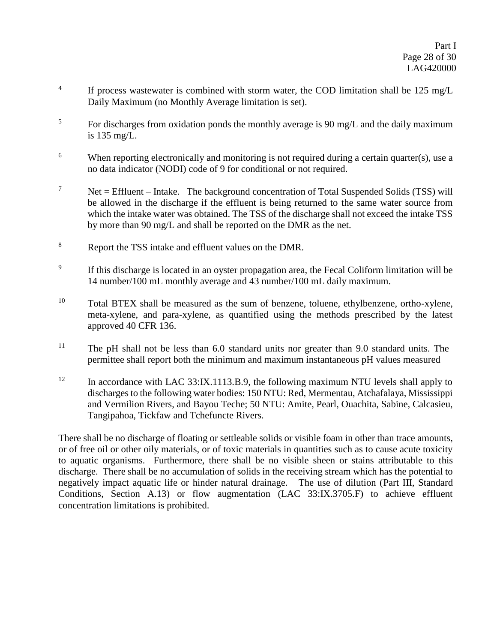- 4 If process wastewater is combined with storm water, the COD limitation shall be 125 mg/L Daily Maximum (no Monthly Average limitation is set).
- $5$  For discharges from oxidation ponds the monthly average is 90 mg/L and the daily maximum is 135 mg/L.
- <sup>6</sup> When reporting electronically and monitoring is not required during a certain quarter(s), use a no data indicator (NODI) code of 9 for conditional or not required.
- <sup>7</sup> Net = Effluent Intake. The background concentration of Total Suspended Solids (TSS) will be allowed in the discharge if the effluent is being returned to the same water source from which the intake water was obtained. The TSS of the discharge shall not exceed the intake TSS by more than 90 mg/L and shall be reported on the DMR as the net.
- <sup>8</sup> Report the TSS intake and effluent values on the DMR.
- 9 If this discharge is located in an oyster propagation area, the Fecal Coliform limitation will be 14 number/100 mL monthly average and 43 number/100 mL daily maximum.
- <sup>10</sup> Total BTEX shall be measured as the sum of benzene, toluene, ethylbenzene, ortho-xylene, meta-xylene, and para-xylene, as quantified using the methods prescribed by the latest approved 40 CFR 136.
- <sup>11</sup> The pH shall not be less than 6.0 standard units nor greater than 9.0 standard units. The permittee shall report both the minimum and maximum instantaneous pH values measured
- 12 In accordance with LAC 33:IX.1113.B.9, the following maximum NTU levels shall apply to discharges to the following water bodies: 150 NTU: Red, Mermentau, Atchafalaya, Mississippi and Vermilion Rivers, and Bayou Teche; 50 NTU: Amite, Pearl, Ouachita, Sabine, Calcasieu, Tangipahoa, Tickfaw and Tchefuncte Rivers.

There shall be no discharge of floating or settleable solids or visible foam in other than trace amounts, or of free oil or other oily materials, or of toxic materials in quantities such as to cause acute toxicity to aquatic organisms. Furthermore, there shall be no visible sheen or stains attributable to this discharge. There shall be no accumulation of solids in the receiving stream which has the potential to negatively impact aquatic life or hinder natural drainage. The use of dilution (Part III, Standard Conditions, Section A.13) or flow augmentation (LAC 33:IX.3705.F) to achieve effluent concentration limitations is prohibited.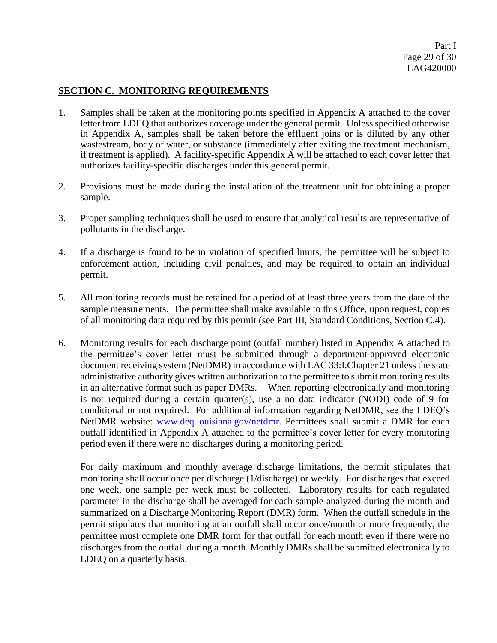#### **SECTION C. MONITORING REQUIREMENTS**

- 1. Samples shall be taken at the monitoring points specified in Appendix A attached to the cover letter from LDEQ that authorizes coverage under the general permit. Unless specified otherwise in Appendix A, samples shall be taken before the effluent joins or is diluted by any other wastestream, body of water, or substance (immediately after exiting the treatment mechanism, if treatment is applied). A facility-specific Appendix A will be attached to each cover letter that authorizes facility-specific discharges under this general permit.
- 2. Provisions must be made during the installation of the treatment unit for obtaining a proper sample.
- 3. Proper sampling techniques shall be used to ensure that analytical results are representative of pollutants in the discharge.
- 4. If a discharge is found to be in violation of specified limits, the permittee will be subject to enforcement action, including civil penalties, and may be required to obtain an individual permit.
- 5. All monitoring records must be retained for a period of at least three years from the date of the sample measurements. The permittee shall make available to this Office, upon request, copies of all monitoring data required by this permit (see Part III, Standard Conditions, Section C.4).
- 6. Monitoring results for each discharge point (outfall number) listed in Appendix A attached to the permittee's cover letter must be submitted through a department-approved electronic document receiving system (NetDMR) in accordance with LAC 33:I.Chapter 21 unless the state administrative authority gives written authorization to the permittee to submit monitoring results in an alternative format such as paper DMRs. When reporting electronically and monitoring is not required during a certain quarter(s), use a no data indicator (NODI) code of 9 for conditional or not required. For additional information regarding NetDMR, see the LDEQ's NetDMR website: [www.deq.louisiana.gov/netdmr.](http://www.deq.louisiana.gov/netdmr) Permittees shall submit a DMR for each outfall identified in Appendix A attached to the permittee's cover letter for every monitoring period even if there were no discharges during a monitoring period.

For daily maximum and monthly average discharge limitations, the permit stipulates that monitoring shall occur once per discharge (1/discharge) or weekly. For discharges that exceed one week, one sample per week must be collected. Laboratory results for each regulated parameter in the discharge shall be averaged for each sample analyzed during the month and summarized on a Discharge Monitoring Report (DMR) form. When the outfall schedule in the permit stipulates that monitoring at an outfall shall occur once/month or more frequently, the permittee must complete one DMR form for that outfall for each month even if there were no discharges from the outfall during a month. Monthly DMRs shall be submitted electronically to LDEQ on a quarterly basis.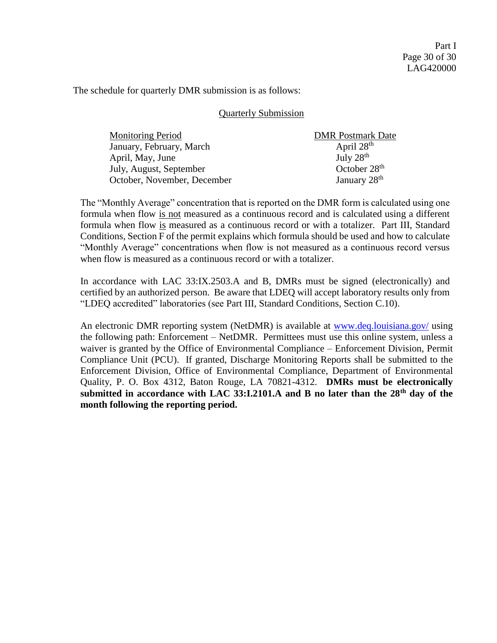The schedule for quarterly DMR submission is as follows:

#### Quarterly Submission

| <b>Monitoring Period</b>    | <b>DMR</b> Postmark Date |
|-----------------------------|--------------------------|
| January, February, March    | April $28th$             |
| April, May, June            | July $28th$              |
| July, August, September     | October $28th$           |
| October, November, December | January $28th$           |

The "Monthly Average" concentration that is reported on the DMR form is calculated using one formula when flow is not measured as a continuous record and is calculated using a different formula when flow is measured as a continuous record or with a totalizer. Part III, Standard Conditions, Section F of the permit explains which formula should be used and how to calculate "Monthly Average" concentrations when flow is not measured as a continuous record versus when flow is measured as a continuous record or with a totalizer.

In accordance with LAC 33:IX.2503.A and B, DMRs must be signed (electronically) and certified by an authorized person. Be aware that LDEQ will accept laboratory results only from "LDEQ accredited" laboratories (see Part III, Standard Conditions*,* Section C.10).

An electronic DMR reporting system (NetDMR) is available at [www.deq.louisiana.gov/](http://www.deq.louisiana.gov/) using the following path: Enforcement – NetDMR. Permittees must use this online system, unless a waiver is granted by the Office of Environmental Compliance – Enforcement Division, Permit Compliance Unit (PCU). If granted, Discharge Monitoring Reports shall be submitted to the Enforcement Division, Office of Environmental Compliance, Department of Environmental Quality, P. O. Box 4312, Baton Rouge, LA 70821-4312. **DMRs must be electronically submitted in accordance with LAC 33:I.2101.A and B no later than the 28th day of the month following the reporting period.**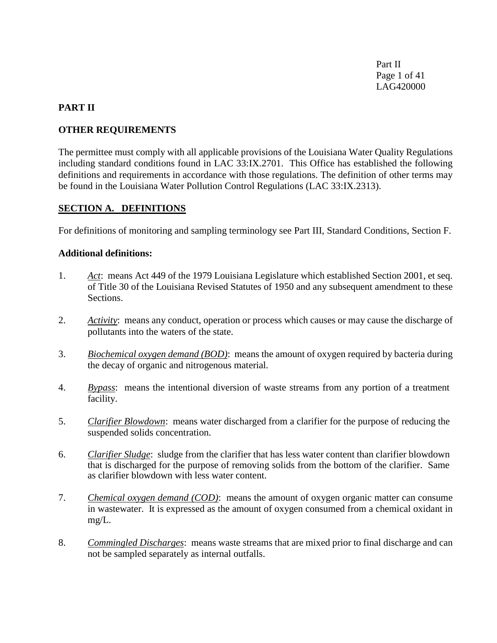Part II Page 1 of 41 LAG420000

#### **PART II**

#### **OTHER REQUIREMENTS**

The permittee must comply with all applicable provisions of the Louisiana Water Quality Regulations including standard conditions found in LAC 33:IX.2701. This Office has established the following definitions and requirements in accordance with those regulations. The definition of other terms may be found in the Louisiana Water Pollution Control Regulations (LAC 33:IX.2313).

#### **SECTION A. DEFINITIONS**

For definitions of monitoring and sampling terminology see Part III, Standard Conditions, Section F.

#### **Additional definitions:**

- 1. *Act*: means Act 449 of the 1979 Louisiana Legislature which established Section 2001, et seq. of Title 30 of the Louisiana Revised Statutes of 1950 and any subsequent amendment to these Sections.
- 2. *Activity*: means any conduct, operation or process which causes or may cause the discharge of pollutants into the waters of the state.
- 3. *Biochemical oxygen demand (BOD)*: means the amount of oxygen required by bacteria during the decay of organic and nitrogenous material.
- 4. *Bypass*: means the intentional diversion of waste streams from any portion of a treatment facility.
- 5. *Clarifier Blowdown*: means water discharged from a clarifier for the purpose of reducing the suspended solids concentration.
- 6. *Clarifier Sludge*: sludge from the clarifier that has less water content than clarifier blowdown that is discharged for the purpose of removing solids from the bottom of the clarifier. Same as clarifier blowdown with less water content.
- 7. *Chemical oxygen demand (COD)*: means the amount of oxygen organic matter can consume in wastewater. It is expressed as the amount of oxygen consumed from a chemical oxidant in mg/L.
- 8. *Commingled Discharges*: means waste streams that are mixed prior to final discharge and can not be sampled separately as internal outfalls.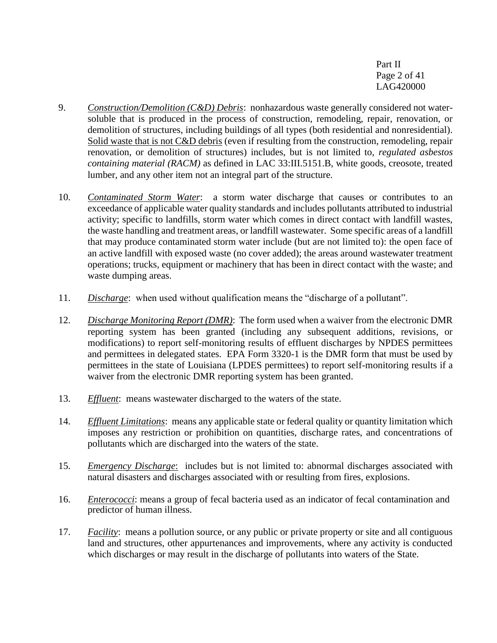Part II Page 2 of 41 LAG420000

- 9. *Construction/Demolition (C&D) Debris*: nonhazardous waste generally considered not watersoluble that is produced in the process of construction, remodeling, repair, renovation, or demolition of structures, including buildings of all types (both residential and nonresidential). Solid waste that is not C&D debris (even if resulting from the construction, remodeling, repair renovation, or demolition of structures) includes, but is not limited to, *regulated asbestos containing material (RACM)* as defined in LAC 33:III.5151.B, white goods, creosote, treated lumber, and any other item not an integral part of the structure.
- 10. *Contaminated Storm Water*: a storm water discharge that causes or contributes to an exceedance of applicable water quality standards and includes pollutants attributed to industrial activity; specific to landfills, storm water which comes in direct contact with landfill wastes, the waste handling and treatment areas, or landfill wastewater. Some specific areas of a landfill that may produce contaminated storm water include (but are not limited to): the open face of an active landfill with exposed waste (no cover added); the areas around wastewater treatment operations; trucks, equipment or machinery that has been in direct contact with the waste; and waste dumping areas.
- 11. *Discharge*: when used without qualification means the "discharge of a pollutant".
- 12. *Discharge Monitoring Report (DMR)*: The form used when a waiver from the electronic DMR reporting system has been granted (including any subsequent additions, revisions, or modifications) to report self-monitoring results of effluent discharges by NPDES permittees and permittees in delegated states. EPA Form 3320-1 is the DMR form that must be used by permittees in the state of Louisiana (LPDES permittees) to report self-monitoring results if a waiver from the electronic DMR reporting system has been granted.
- 13. *Effluent*: means wastewater discharged to the waters of the state.
- 14. *Effluent Limitations*: means any applicable state or federal quality or quantity limitation which imposes any restriction or prohibition on quantities, discharge rates, and concentrations of pollutants which are discharged into the waters of the state.
- 15. *Emergency Discharge*: includes but is not limited to: abnormal discharges associated with natural disasters and discharges associated with or resulting from fires, explosions.
- 16. *Enterococci*: means a group of fecal bacteria used as an indicator of fecal contamination and predictor of human illness.
- 17. *Facility*: means a pollution source, or any public or private property or site and all contiguous land and structures, other appurtenances and improvements, where any activity is conducted which discharges or may result in the discharge of pollutants into waters of the State.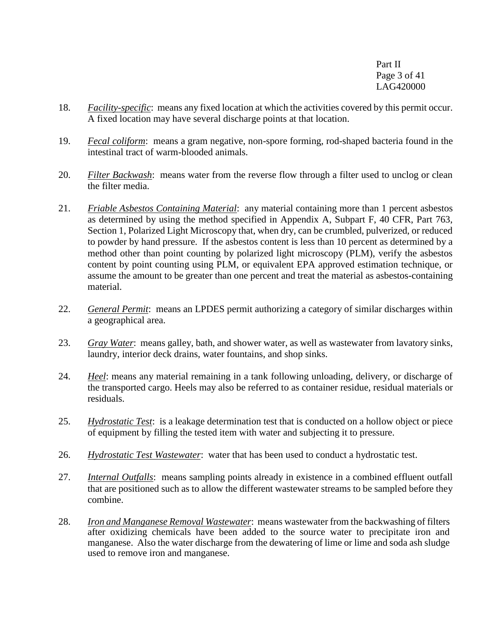Part II Page 3 of 41 LAG420000

- 18. *Facility-specific*: means any fixed location at which the activities covered by this permit occur. A fixed location may have several discharge points at that location.
- 19. *Fecal coliform*: means a gram negative, non-spore forming, rod-shaped bacteria found in the intestinal tract of warm-blooded animals.
- 20. *Filter Backwash*: means water from the reverse flow through a filter used to unclog or clean the filter media.
- 21. *Friable Asbestos Containing Material*: any material containing more than 1 percent asbestos as determined by using the method specified in Appendix A, Subpart F, 40 CFR, Part 763, Section 1, Polarized Light Microscopy that, when dry, can be crumbled, pulverized, or reduced to powder by hand pressure. If the asbestos content is less than 10 percent as determined by a method other than point counting by polarized light microscopy (PLM), verify the asbestos content by point counting using PLM, or equivalent EPA approved estimation technique, or assume the amount to be greater than one percent and treat the material as asbestos-containing material.
- 22. *General Permit*: means an LPDES permit authorizing a category of similar discharges within a geographical area.
- 23. *Gray Water*: means galley, bath, and shower water, as well as wastewater from lavatory sinks, laundry, interior deck drains, water fountains, and shop sinks.
- 24. *Heel*: means any material remaining in a tank following unloading, delivery, or discharge of the transported cargo. Heels may also be referred to as container residue, residual materials or residuals.
- 25. *Hydrostatic Test*: is a leakage determination test that is conducted on a hollow object or piece of equipment by filling the tested item with water and subjecting it to pressure.
- 26. *Hydrostatic Test Wastewater*: water that has been used to conduct a hydrostatic test.
- 27. *Internal Outfalls*: means sampling points already in existence in a combined effluent outfall that are positioned such as to allow the different wastewater streams to be sampled before they combine.
- 28. *Iron and Manganese Removal Wastewater*: means wastewater from the backwashing of filters after oxidizing chemicals have been added to the source water to precipitate iron and manganese. Also the water discharge from the dewatering of lime or lime and soda ash sludge used to remove iron and manganese.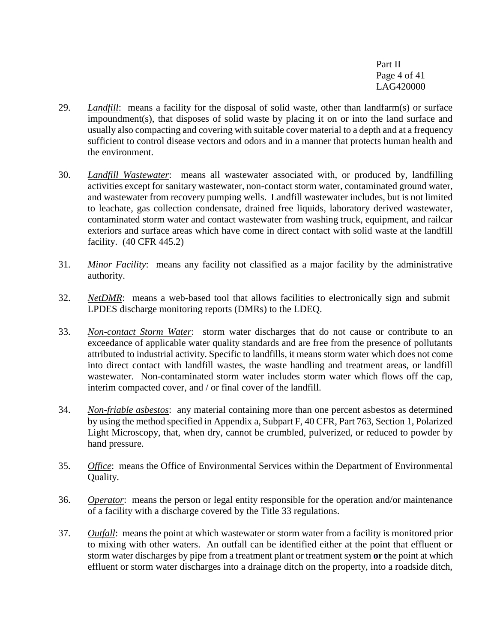Part II Page 4 of 41 LAG420000

- 29. *Landfill*: means a facility for the disposal of solid waste, other than landfarm(s) or surface impoundment(s), that disposes of solid waste by placing it on or into the land surface and usually also compacting and covering with suitable cover material to a depth and at a frequency sufficient to control disease vectors and odors and in a manner that protects human health and the environment.
- 30. *Landfill Wastewater*: means all wastewater associated with, or produced by, landfilling activities except for sanitary wastewater, non-contact storm water, contaminated ground water, and wastewater from recovery pumping wells. Landfill wastewater includes, but is not limited to leachate, gas collection condensate, drained free liquids, laboratory derived wastewater, contaminated storm water and contact wastewater from washing truck, equipment, and railcar exteriors and surface areas which have come in direct contact with solid waste at the landfill facility. (40 CFR 445.2)
- 31. *Minor Facility*: means any facility not classified as a major facility by the administrative authority.
- 32. *NetDMR*: means a web-based tool that allows facilities to electronically sign and submit LPDES discharge monitoring reports (DMRs) to the LDEQ.
- 33. *Non-contact Storm Water*: storm water discharges that do not cause or contribute to an exceedance of applicable water quality standards and are free from the presence of pollutants attributed to industrial activity. Specific to landfills, it means storm water which does not come into direct contact with landfill wastes, the waste handling and treatment areas, or landfill wastewater. Non-contaminated storm water includes storm water which flows off the cap, interim compacted cover, and / or final cover of the landfill.
- 34. *Non-friable asbestos*: any material containing more than one percent asbestos as determined by using the method specified in Appendix a, Subpart F, 40 CFR, Part 763, Section 1, Polarized Light Microscopy, that, when dry, cannot be crumbled, pulverized, or reduced to powder by hand pressure.
- 35. *Office*: means the Office of Environmental Services within the Department of Environmental Quality.
- 36. *Operator*: means the person or legal entity responsible for the operation and/or maintenance of a facility with a discharge covered by the Title 33 regulations.
- 37. *Outfall*: means the point at which wastewater or storm water from a facility is monitored prior to mixing with other waters. An outfall can be identified either at the point that effluent or storm water discharges by pipe from a treatment plant or treatment system **or** the point at which effluent or storm water discharges into a drainage ditch on the property, into a roadside ditch,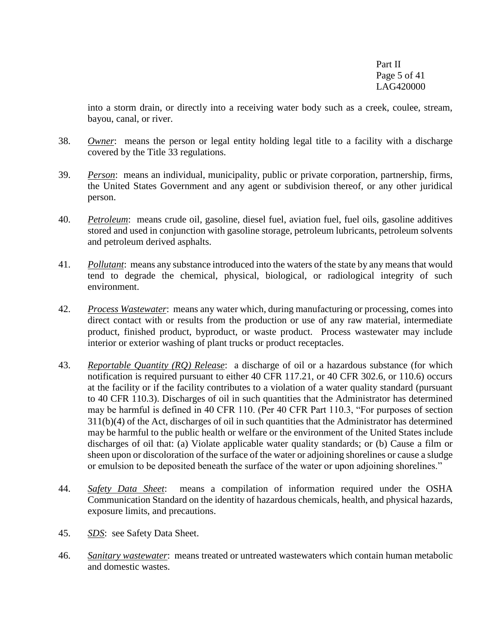Part II Page 5 of 41 LAG420000

into a storm drain, or directly into a receiving water body such as a creek, coulee, stream, bayou, canal, or river.

- 38. *Owner*: means the person or legal entity holding legal title to a facility with a discharge covered by the Title 33 regulations.
- 39. *Person*: means an individual, municipality, public or private corporation, partnership, firms, the United States Government and any agent or subdivision thereof, or any other juridical person.
- 40. *Petroleum*: means crude oil, gasoline, diesel fuel, aviation fuel, fuel oils, gasoline additives stored and used in conjunction with gasoline storage, petroleum lubricants, petroleum solvents and petroleum derived asphalts.
- 41. *Pollutant*: means any substance introduced into the waters of the state by any means that would tend to degrade the chemical, physical, biological, or radiological integrity of such environment.
- 42. *Process Wastewater*: means any water which, during manufacturing or processing, comes into direct contact with or results from the production or use of any raw material, intermediate product, finished product, byproduct, or waste product. Process wastewater may include interior or exterior washing of plant trucks or product receptacles.
- 43. *Reportable Quantity (RQ) Release*: a discharge of oil or a hazardous substance (for which notification is required pursuant to either 40 CFR 117.21, or 40 CFR 302.6, or 110.6) occurs at the facility or if the facility contributes to a violation of a water quality standard (pursuant to 40 CFR 110.3). Discharges of oil in such quantities that the Administrator has determined may be harmful is defined in 40 CFR 110. (Per 40 CFR Part 110.3, "For purposes of section 311(b)(4) of the Act, discharges of oil in such quantities that the Administrator has determined may be harmful to the public health or welfare or the environment of the United States include discharges of oil that: (a) Violate applicable water quality standards; or (b) Cause a film or sheen upon or discoloration of the surface of the water or adjoining shorelines or cause a sludge or emulsion to be deposited beneath the surface of the water or upon adjoining shorelines."
- 44. *Safety Data Sheet*: means a compilation of information required under the OSHA Communication Standard on the identity of hazardous chemicals, health, and physical hazards, exposure limits, and precautions.
- 45. *SDS*: see Safety Data Sheet.
- 46. *Sanitary wastewater*: means treated or untreated wastewaters which contain human metabolic and domestic wastes.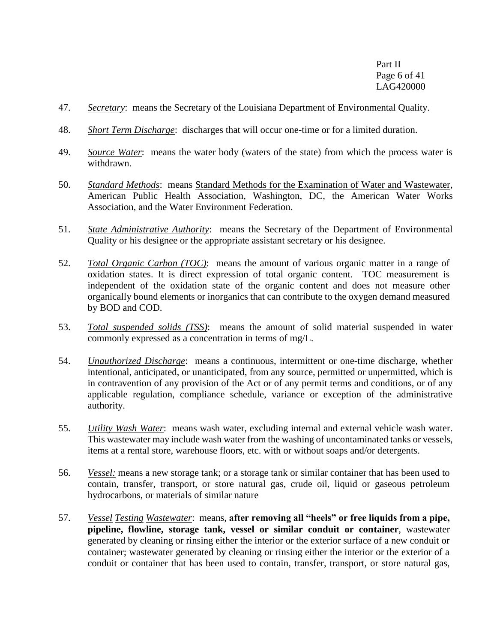Part II Page 6 of 41 LAG420000

- 47. *Secretary*: means the Secretary of the Louisiana Department of Environmental Quality.
- 48. *Short Term Discharge*: discharges that will occur one-time or for a limited duration.
- 49. *Source Water*: means the water body (waters of the state) from which the process water is withdrawn.
- 50. *Standard Methods*: means Standard Methods for the Examination of Water and Wastewater, American Public Health Association, Washington, DC, the American Water Works Association, and the Water Environment Federation.
- 51. *State Administrative Authority*: means the Secretary of the Department of Environmental Quality or his designee or the appropriate assistant secretary or his designee.
- 52. *Total Organic Carbon (TOC)*: means the amount of various organic matter in a range of oxidation states. It is direct expression of total organic content. TOC measurement is independent of the oxidation state of the organic content and does not measure other organically bound elements or inorganics that can contribute to the oxygen demand measured by BOD and COD.
- 53. *Total suspended solids (TSS)*: means the amount of solid material suspended in water commonly expressed as a concentration in terms of mg/L.
- 54. *Unauthorized Discharge*: means a continuous, intermittent or one-time discharge, whether intentional, anticipated, or unanticipated, from any source, permitted or unpermitted, which is in contravention of any provision of the Act or of any permit terms and conditions, or of any applicable regulation, compliance schedule, variance or exception of the administrative authority.
- 55. *Utility Wash Water*: means wash water, excluding internal and external vehicle wash water. This wastewater may include wash water from the washing of uncontaminated tanks or vessels, items at a rental store, warehouse floors, etc. with or without soaps and/or detergents.
- 56. *Vessel:* means a new storage tank; or a storage tank or similar container that has been used to contain, transfer, transport, or store natural gas, crude oil, liquid or gaseous petroleum hydrocarbons, or materials of similar nature
- 57. *Vessel Testing Wastewater*: means, **after removing all "heels" or free liquids from a pipe, pipeline, flowline, storage tank, vessel or similar conduit or container**, wastewater generated by cleaning or rinsing either the interior or the exterior surface of a new conduit or container; wastewater generated by cleaning or rinsing either the interior or the exterior of a conduit or container that has been used to contain, transfer, transport, or store natural gas,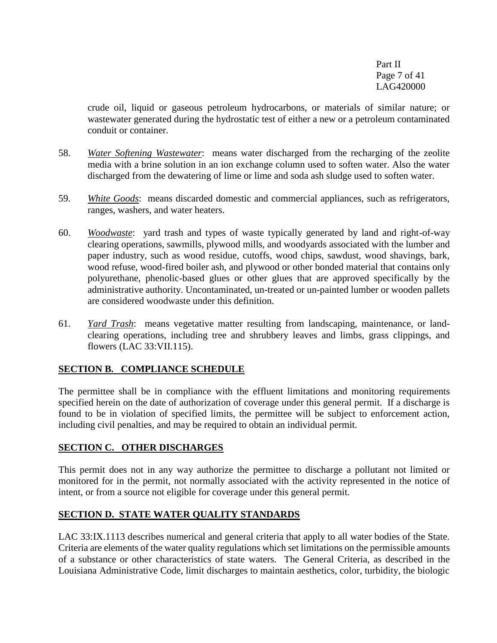Part II Page 7 of 41 LAG420000

crude oil, liquid or gaseous petroleum hydrocarbons, or materials of similar nature; or wastewater generated during the hydrostatic test of either a new or a petroleum contaminated conduit or container.

- 58. *Water Softening Wastewater*: means water discharged from the recharging of the zeolite media with a brine solution in an ion exchange column used to soften water. Also the water discharged from the dewatering of lime or lime and soda ash sludge used to soften water.
- 59. *White Goods*: means discarded domestic and commercial appliances, such as refrigerators, ranges, washers, and water heaters.
- 60. *Woodwaste*: yard trash and types of waste typically generated by land and right-of-way clearing operations, sawmills, plywood mills, and woodyards associated with the lumber and paper industry, such as wood residue, cutoffs, wood chips, sawdust, wood shavings, bark, wood refuse, wood-fired boiler ash, and plywood or other bonded material that contains only polyurethane, phenolic-based glues or other glues that are approved specifically by the administrative authority. Uncontaminated, un-treated or un-painted lumber or wooden pallets are considered woodwaste under this definition.
- 61. *Yard Trash*: means vegetative matter resulting from landscaping, maintenance, or landclearing operations, including tree and shrubbery leaves and limbs, grass clippings, and flowers (LAC 33:VII.115).

## **SECTION B. COMPLIANCE SCHEDULE**

The permittee shall be in compliance with the effluent limitations and monitoring requirements specified herein on the date of authorization of coverage under this general permit. If a discharge is found to be in violation of specified limits, the permittee will be subject to enforcement action, including civil penalties, and may be required to obtain an individual permit.

## **SECTION C. OTHER DISCHARGES**

This permit does not in any way authorize the permittee to discharge a pollutant not limited or monitored for in the permit, not normally associated with the activity represented in the notice of intent, or from a source not eligible for coverage under this general permit.

## **SECTION D. STATE WATER QUALITY STANDARDS**

LAC 33:IX.1113 describes numerical and general criteria that apply to all water bodies of the State. Criteria are elements of the water quality regulations which set limitations on the permissible amounts of a substance or other characteristics of state waters. The General Criteria, as described in the Louisiana Administrative Code, limit discharges to maintain aesthetics, color, turbidity, the biologic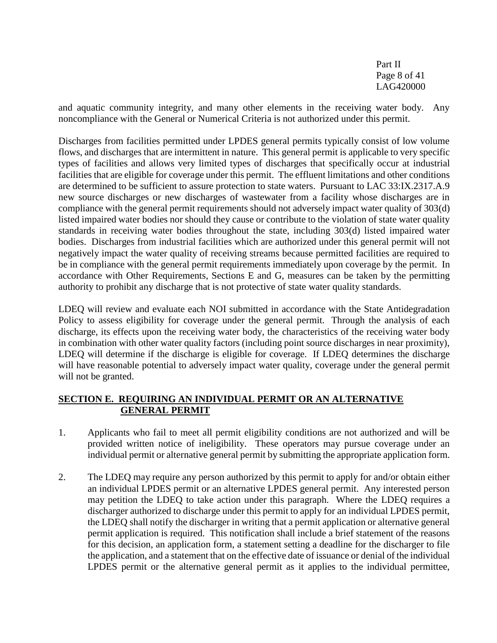Part II Page 8 of 41 LAG420000

and aquatic community integrity, and many other elements in the receiving water body. Any noncompliance with the General or Numerical Criteria is not authorized under this permit.

Discharges from facilities permitted under LPDES general permits typically consist of low volume flows, and discharges that are intermittent in nature. This general permit is applicable to very specific types of facilities and allows very limited types of discharges that specifically occur at industrial facilities that are eligible for coverage under this permit. The effluent limitations and other conditions are determined to be sufficient to assure protection to state waters. Pursuant to LAC 33:IX.2317.A.9 new source discharges or new discharges of wastewater from a facility whose discharges are in compliance with the general permit requirements should not adversely impact water quality of 303(d) listed impaired water bodies nor should they cause or contribute to the violation of state water quality standards in receiving water bodies throughout the state, including 303(d) listed impaired water bodies. Discharges from industrial facilities which are authorized under this general permit will not negatively impact the water quality of receiving streams because permitted facilities are required to be in compliance with the general permit requirements immediately upon coverage by the permit. In accordance with Other Requirements, Sections E and G, measures can be taken by the permitting authority to prohibit any discharge that is not protective of state water quality standards.

LDEQ will review and evaluate each NOI submitted in accordance with the State Antidegradation Policy to assess eligibility for coverage under the general permit. Through the analysis of each discharge, its effects upon the receiving water body, the characteristics of the receiving water body in combination with other water quality factors (including point source discharges in near proximity), LDEQ will determine if the discharge is eligible for coverage. If LDEQ determines the discharge will have reasonable potential to adversely impact water quality, coverage under the general permit will not be granted.

## **SECTION E. REQUIRING AN INDIVIDUAL PERMIT OR AN ALTERNATIVE GENERAL PERMIT**

- 1. Applicants who fail to meet all permit eligibility conditions are not authorized and will be provided written notice of ineligibility. These operators may pursue coverage under an individual permit or alternative general permit by submitting the appropriate application form.
- 2. The LDEQ may require any person authorized by this permit to apply for and/or obtain either an individual LPDES permit or an alternative LPDES general permit. Any interested person may petition the LDEQ to take action under this paragraph. Where the LDEQ requires a discharger authorized to discharge under this permit to apply for an individual LPDES permit, the LDEQ shall notify the discharger in writing that a permit application or alternative general permit application is required. This notification shall include a brief statement of the reasons for this decision, an application form, a statement setting a deadline for the discharger to file the application, and a statement that on the effective date of issuance or denial of the individual LPDES permit or the alternative general permit as it applies to the individual permittee,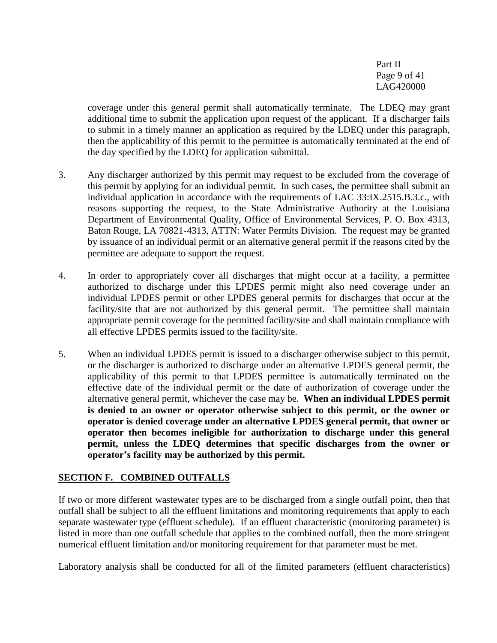Part II Page 9 of 41 LAG420000

coverage under this general permit shall automatically terminate. The LDEQ may grant additional time to submit the application upon request of the applicant. If a discharger fails to submit in a timely manner an application as required by the LDEQ under this paragraph, then the applicability of this permit to the permittee is automatically terminated at the end of the day specified by the LDEQ for application submittal.

- 3. Any discharger authorized by this permit may request to be excluded from the coverage of this permit by applying for an individual permit. In such cases, the permittee shall submit an individual application in accordance with the requirements of LAC 33:IX.2515.B.3.c., with reasons supporting the request, to the State Administrative Authority at the Louisiana Department of Environmental Quality, Office of Environmental Services, P. O. Box 4313, Baton Rouge, LA 70821-4313, ATTN: Water Permits Division. The request may be granted by issuance of an individual permit or an alternative general permit if the reasons cited by the permittee are adequate to support the request.
- 4. In order to appropriately cover all discharges that might occur at a facility, a permittee authorized to discharge under this LPDES permit might also need coverage under an individual LPDES permit or other LPDES general permits for discharges that occur at the facility/site that are not authorized by this general permit. The permittee shall maintain appropriate permit coverage for the permitted facility/site and shall maintain compliance with all effective LPDES permits issued to the facility/site.
- 5. When an individual LPDES permit is issued to a discharger otherwise subject to this permit, or the discharger is authorized to discharge under an alternative LPDES general permit, the applicability of this permit to that LPDES permittee is automatically terminated on the effective date of the individual permit or the date of authorization of coverage under the alternative general permit, whichever the case may be. **When an individual LPDES permit is denied to an owner or operator otherwise subject to this permit, or the owner or operator is denied coverage under an alternative LPDES general permit, that owner or operator then becomes ineligible for authorization to discharge under this general permit, unless the LDEQ determines that specific discharges from the owner or operator's facility may be authorized by this permit.**

#### **SECTION F. COMBINED OUTFALLS**

If two or more different wastewater types are to be discharged from a single outfall point, then that outfall shall be subject to all the effluent limitations and monitoring requirements that apply to each separate wastewater type (effluent schedule). If an effluent characteristic (monitoring parameter) is listed in more than one outfall schedule that applies to the combined outfall, then the more stringent numerical effluent limitation and/or monitoring requirement for that parameter must be met.

Laboratory analysis shall be conducted for all of the limited parameters (effluent characteristics)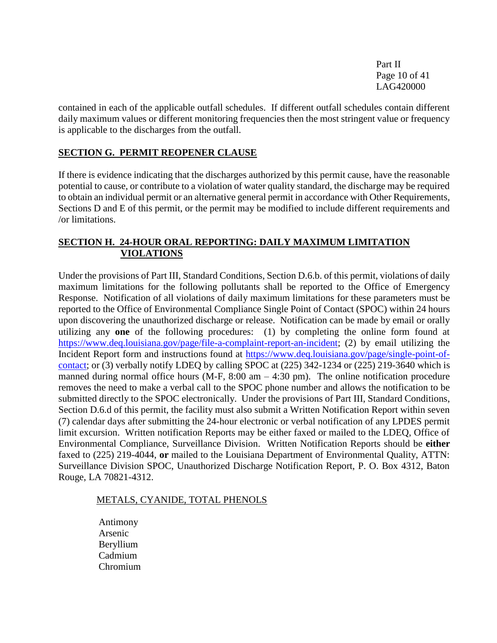Part II Page 10 of 41 LAG420000

contained in each of the applicable outfall schedules. If different outfall schedules contain different daily maximum values or different monitoring frequencies then the most stringent value or frequency is applicable to the discharges from the outfall.

#### **SECTION G. PERMIT REOPENER CLAUSE**

If there is evidence indicating that the discharges authorized by this permit cause, have the reasonable potential to cause, or contribute to a violation of water quality standard, the discharge may be required to obtain an individual permit or an alternative general permit in accordance with Other Requirements*,*  Sections D and E of this permit, or the permit may be modified to include different requirements and /or limitations.

#### **SECTION H. 24-HOUR ORAL REPORTING: DAILY MAXIMUM LIMITATION VIOLATIONS**

Under the provisions of Part III, Standard Conditions, Section D.6.b. of this permit, violations of daily maximum limitations for the following pollutants shall be reported to the Office of Emergency Response. Notification of all violations of daily maximum limitations for these parameters must be reported to the Office of Environmental Compliance Single Point of Contact (SPOC) within 24 hours upon discovering the unauthorized discharge or release. Notification can be made by email or orally utilizing any **one** of the following procedures: (1) by completing the online form found at [https://www.deq.louisiana.gov/page/file-a-complaint-report-an-incident;](https://www.deq.louisiana.gov/page/file-a-complaint-report-an-incident) (2) by email utilizing the Incident Report form and instructions found at [https://www.deq.louisiana.gov/page/single-point-of](https://www.deq.louisiana.gov/page/single-point-of-contact)[contact;](https://www.deq.louisiana.gov/page/single-point-of-contact) or (3) verbally notify LDEQ by calling SPOC at (225) 342-1234 or (225) 219-3640 which is manned during normal office hours (M-F,  $8:00 \text{ am} - 4:30 \text{ pm}$ ). The online notification procedure removes the need to make a verbal call to the SPOC phone number and allows the notification to be submitted directly to the SPOC electronically. Under the provisions of Part III, Standard Conditions, Section D.6.d of this permit, the facility must also submit a Written Notification Report within seven (7) calendar days after submitting the 24-hour electronic or verbal notification of any LPDES permit limit excursion. Written notification Reports may be either faxed or mailed to the LDEQ, Office of Environmental Compliance, Surveillance Division. Written Notification Reports should be **either** faxed to (225) 219-4044, **or** mailed to the Louisiana Department of Environmental Quality, ATTN: Surveillance Division SPOC, Unauthorized Discharge Notification Report, P. O. Box 4312, Baton Rouge, LA 70821-4312.

#### METALS, CYANIDE, TOTAL PHENOLS

Antimony Arsenic Beryllium Cadmium Chromium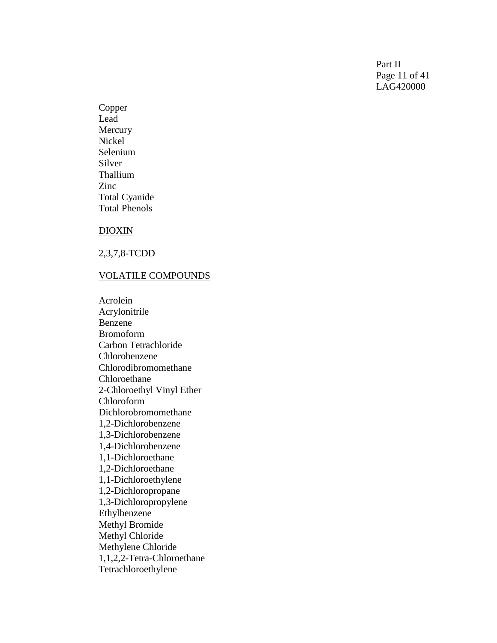Part II Page 11 of 41 LAG420000

Copper Lead Mercury Nickel Selenium Silver Thallium Zinc Total Cyanide Total Phenols

#### DIOXIN

2,3,7,8 -TCDD

#### VOLATILE COMPOUNDS

Acrolein Acrylonitrile Benzene Bromoform Carbon Tetrachloride Chlorobenzene Chlorodibromomethane Chloroethane 2-Chloroethyl Vinyl Ether Chloroform Dichlorobromomethane  $1,2$ 1,2-Dichlorobenzene 1,3 -Dichlorobenzene 1,4 -Dichlorobenzene 1,1 -Dichloroethane 1,2 -Dichloroethane 1,1 -Dichloroethylene 1,2 -Dichloropropane 1,3 -Dichloropropylene Ethylbenzene Methyl Bromide Methyl Chloride Methylene Chloride 1,1,2,2 -Tetra -Chloroethane Tetrachloroethylene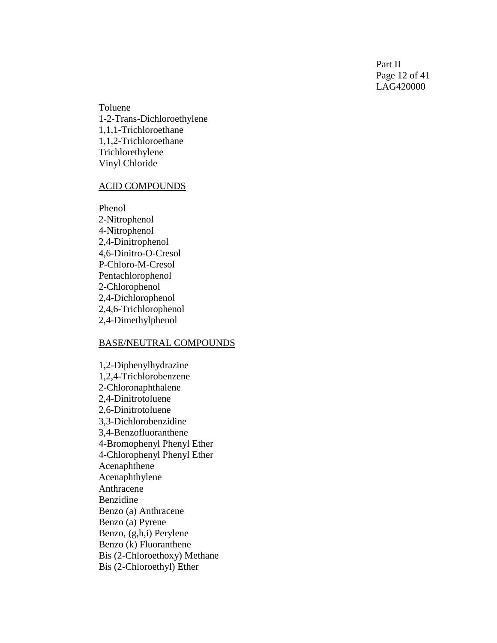Part II Page 12 of 41 LAG420000

Toluene<br>1-2-Trans-Dichloroethylene 1,1,1 -Trichloroethane 1,1,2 -Trichloroethane Trichlorethylene Vinyl Chloride

#### ACID COMPOUNDS

Phenol 2-Nitrophenol 4-Nitrophenol 2,4 -Dinitrophenol 4,6 -Dinitro - O -Cresol P-Chloro-M-Cresol Pentachlorophenol 2-Chlorophenol 2,4 -Dichlorophenol 2,4,6 -Trichlorophenol 2,4 -Dimethylphenol

#### BASE/NEUTRAL COMPOUNDS

1,2 -Diphenylhydrazine 1,2,4 -Trichlorobenzene 2 -Chloronaphthalene 2,4 -Dinitrotoluene 2,6 -Dinitrotoluene 3,3 -Dichlorobenzidine 3,4 -Benzofluoranthene 4 -Bromophenyl Phenyl Ether 4 -Chlorophenyl Phenyl Ether Acenaphthene Acenaphthylene Anthracene Benzidine Benzo (a) Anthracene Benzo (a) Pyrene Benzo, (g,h,i) Perylene Benzo (k) Fluoranthene Bis (2 -Chloroethoxy) Methane Bis (2 -Chloroethyl) Ether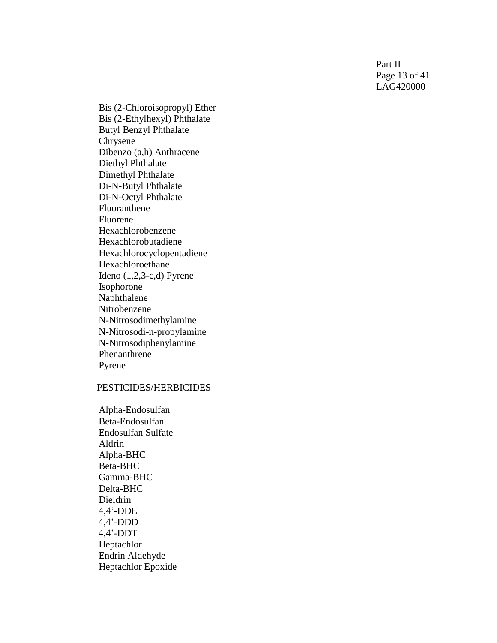Part II Page 13 of 41 LAG420000

Bis (2 -Chloroisopropyl) Ethe r Bis (2 -Ethylhexyl) Phthalate Butyl Benzyl Phthalate Chrysene Dibenzo (a,h) Anthracene Diethyl Phthalate Dimethyl Phthalate Di-N-Butyl Phthalate Di-N-Octyl Phthalate Fluoranthene Fluorene Hexachlorobenzene Hexachlorobutadiene Hexachlorocyclopentadiene Hexachloroethane Ideno (1,2,3 -c,d) Pyrene Isophorone Naphthalene Nitrobenzene N-Nitrosodimethylamine N-Nitrosodi-n-propylamine N-Nitrosodiphenylamine Phenanthrene Pyrene

#### PESTICIDES/HERBICIDES

Alpha -Endosulfan Beta -Endosulfan Endosulfan Sulfate Aldrin Alpha -BHC Beta -BHC Gamma -BHC Delta -BHC Dieldrin 4,4' -DDE 4,4' -DDD 4,4' -DDT Heptachlor Endrin Aldehyde Heptachlor Epoxide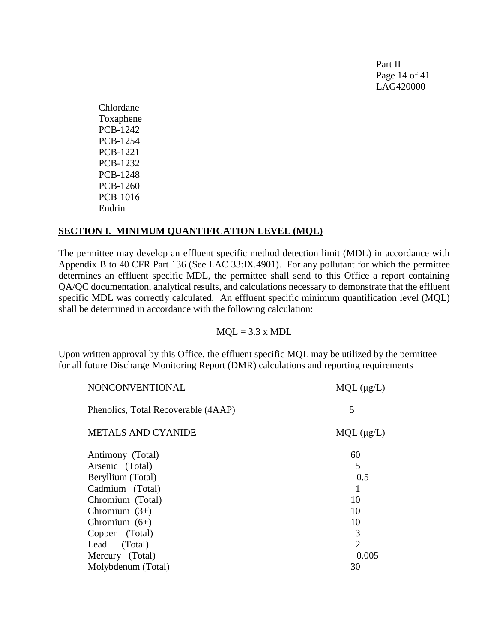Part II Page 14 of 41 LAG420000

Chlordane Toxaphene PCB-1242 PCB-1254 PCB-1221 PCB-1232 PCB-1248 PCB-1260 PCB-1016 Endrin

#### **SECTION I. MINIMUM QUANTIFICATION LEVEL (MQL)**

The permittee may develop an effluent specific method detection limit (MDL) in accordance with Appendix B to 40 CFR Part 136 (See LAC 33:IX.4901). For any pollutant for which the permittee determines an effluent specific MDL, the permittee shall send to this Office a report containing QA/QC documentation, analytical results, and calculations necessary to demonstrate that the effluent specific MDL was correctly calculated. An effluent specific minimum quantification level (MQL) shall be determined in accordance with the following calculation:

 $MOL = 3.3 \times MDL$ 

Upon written approval by this Office, the effluent specific MQL may be utilized by the permittee for all future Discharge Monitoring Report (DMR) calculations and reporting requirements

| NONCONVENTIONAL                     | MOL (ug/L)         |
|-------------------------------------|--------------------|
| Phenolics, Total Recoverable (4AAP) | 5                  |
| <b>METALS AND CYANIDE</b>           | $MOL$ ( $\mu$ g/L) |
| Antimony (Total)                    | 60                 |
| Arsenic (Total)                     | 5                  |
| Beryllium (Total)                   | 0.5                |
|                                     |                    |
| Cadmium (Total)                     |                    |
| Chromium (Total)                    | 10                 |
| Chromium $(3+)$                     | 10                 |
| Chromium $(6+)$                     | 10                 |
| Copper (Total)                      | 3                  |
| Lead (Total)                        | $\overline{2}$     |
| Mercury (Total)                     | 0.005              |
| Molybdenum (Total)                  | 30                 |
|                                     |                    |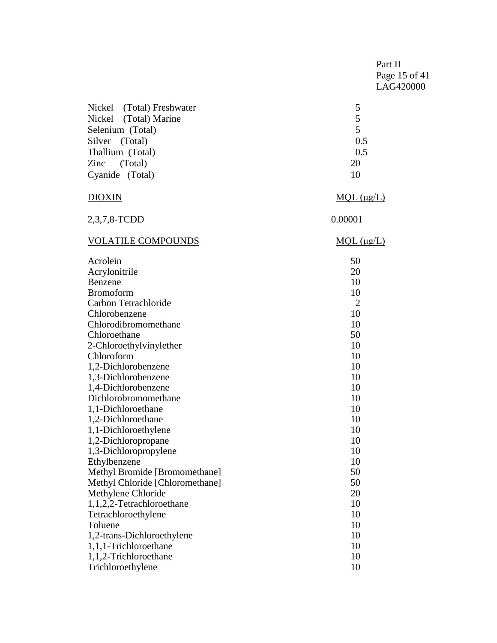|                                 | Part II<br>Page 15 of 41<br>LAG420000 |  |
|---------------------------------|---------------------------------------|--|
| Nickel (Total) Freshwater       | 5                                     |  |
| Nickel (Total) Marine           | 5                                     |  |
| Selenium (Total)                | 5                                     |  |
| Silver<br>(Total)               | 0.5                                   |  |
| Thallium (Total)                | 0.5                                   |  |
| (Total)<br>Zinc                 | 20                                    |  |
| Cyanide (Total)                 | 10                                    |  |
| <b>DIOXIN</b>                   | $MQL$ ( $\mu g/L$ )                   |  |
| 2,3,7,8-TCDD                    | 0.00001                               |  |
| <b>VOLATILE COMPOUNDS</b>       | MQL (µg/L)                            |  |
| Acrolein                        | 50                                    |  |
| Acrylonitrile                   | 20                                    |  |
| Benzene                         | 10                                    |  |
| <b>Bromoform</b>                | 10                                    |  |
| Carbon Tetrachloride            | $\overline{2}$                        |  |
| Chlorobenzene                   | 10                                    |  |
| Chlorodibromomethane            | 10                                    |  |
| Chloroethane                    | 50                                    |  |
| 2-Chloroethylvinylether         | 10                                    |  |
| Chloroform                      | 10                                    |  |
| 1,2-Dichlorobenzene             | 10                                    |  |
| 1,3-Dichlorobenzene             | 10                                    |  |
| 1,4-Dichlorobenzene             | 10                                    |  |
| Dichlorobromomethane            | 10                                    |  |
| 1,1-Dichloroethane              | 10                                    |  |
| 1,2-Dichloroethane              | 10                                    |  |
| 1,1-Dichloroethylene            | 10                                    |  |
| 1,2-Dichloropropane             | 10                                    |  |
| 1,3-Dichloropropylene           | 10                                    |  |
| Ethylbenzene                    | 10                                    |  |
| Methyl Bromide [Bromomethane]   | 50                                    |  |
| Methyl Chloride [Chloromethane] | 50                                    |  |
| Methylene Chloride              | 20                                    |  |
| 1,1,2,2-Tetrachloroethane       | 10                                    |  |
| Tetrachloroethylene             | 10                                    |  |
| Toluene                         | 10                                    |  |
| 1,2-trans-Dichloroethylene      | 10                                    |  |
| 1,1,1-Trichloroethane           | 10                                    |  |
| 1,1,2-Trichloroethane           | 10                                    |  |
| Trichloroethylene               | 10                                    |  |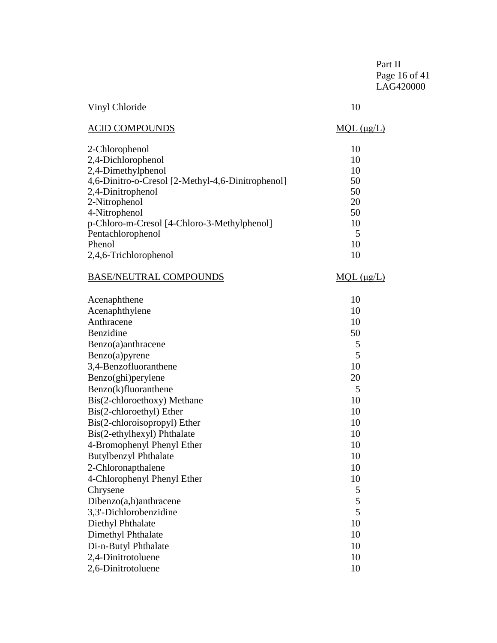|                                                                                                                                                                                                                                                                                                                                                                  | Part II<br>Page 16 of 41<br>LAG420000                                               |
|------------------------------------------------------------------------------------------------------------------------------------------------------------------------------------------------------------------------------------------------------------------------------------------------------------------------------------------------------------------|-------------------------------------------------------------------------------------|
| Vinyl Chloride                                                                                                                                                                                                                                                                                                                                                   | 10                                                                                  |
| <b>ACID COMPOUNDS</b>                                                                                                                                                                                                                                                                                                                                            | $MQL$ ( $\mu$ g/L)                                                                  |
| 2-Chlorophenol<br>2,4-Dichlorophenol<br>2,4-Dimethylphenol<br>4,6-Dinitro-o-Cresol [2-Methyl-4,6-Dinitrophenol]<br>2,4-Dinitrophenol<br>2-Nitrophenol<br>4-Nitrophenol<br>p-Chloro-m-Cresol [4-Chloro-3-Methylphenol]<br>Pentachlorophenol                                                                                                                       | 10<br>10<br>10<br>50<br>50<br>20<br>50<br>10<br>5                                   |
| Phenol                                                                                                                                                                                                                                                                                                                                                           | 10                                                                                  |
| 2,4,6-Trichlorophenol                                                                                                                                                                                                                                                                                                                                            | 10                                                                                  |
| <b>BASE/NEUTRAL COMPOUNDS</b>                                                                                                                                                                                                                                                                                                                                    | MQL (µg/L)                                                                          |
| Acenaphthene<br>Acenaphthylene<br>Anthracene<br>Benzidine<br>Benzo(a)anthracene<br>Benzo(a)pyrene<br>3,4-Benzofluoranthene<br>Benzo(ghi)perylene<br>Benzo(k)fluoranthene<br>Bis(2-chloroethoxy) Methane<br>Bis(2-chloroethyl) Ether<br>Bis(2-chloroisopropyl) Ether<br>Bis(2-ethylhexyl) Phthalate<br>4-Bromophenyl Phenyl Ether<br><b>Butylbenzyl Phthalate</b> | 10<br>10<br>10<br>50<br>5<br>5<br>10<br>20<br>5<br>10<br>10<br>10<br>10<br>10<br>10 |
| 2-Chloronapthalene<br>4-Chlorophenyl Phenyl Ether<br>Chrysene<br>Dibenzo(a,h)anthracene<br>3,3'-Dichlorobenzidine<br>Diethyl Phthalate<br>Dimethyl Phthalate<br>Di-n-Butyl Phthalate<br>2,4-Dinitrotoluene<br>2,6-Dinitrotoluene                                                                                                                                 | 10<br>10<br>5<br>5<br>5<br>10<br>10<br>10<br>10<br>10                               |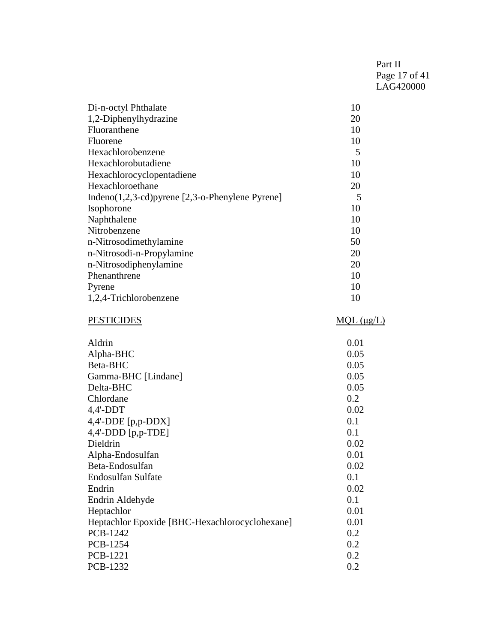| Part II       |
|---------------|
| Page 17 of 41 |
| LAG420000     |

| Di-n-octyl Phthalate                                 | 10 |
|------------------------------------------------------|----|
| 1,2-Diphenylhydrazine                                | 20 |
| Fluoranthene                                         | 10 |
| Fluorene                                             | 10 |
| Hexachlorobenzene                                    | 5  |
| Hexachlorobutadiene                                  | 10 |
| Hexachlorocyclopentadiene                            | 10 |
| Hexachloroethane                                     | 20 |
| Indeno $(1,2,3$ -cd) pyrene [2,3-o-Phenylene Pyrene] | 5  |
| Isophorone                                           | 10 |
| Naphthalene                                          | 10 |
| Nitrobenzene                                         | 10 |
| n-Nitrosodimethylamine                               | 50 |
| n-Nitrosodi-n-Propylamine                            | 20 |
| n-Nitrosodiphenylamine                               | 20 |
| Phenanthrene                                         | 10 |
| Pyrene                                               | 10 |
| 1,2,4-Trichlorobenzene                               | 10 |
|                                                      |    |

# PESTICIDES MQL (μg/L)

| Aldrin                                         | 0.01 |
|------------------------------------------------|------|
| Alpha-BHC                                      | 0.05 |
| Beta-BHC                                       | 0.05 |
| Gamma-BHC [Lindane]                            | 0.05 |
| Delta-BHC                                      | 0.05 |
| Chlordane                                      | 0.2  |
| $4,4'-DDT$                                     | 0.02 |
| 4,4'-DDE [p,p-DDX]                             | 0.1  |
| 4,4'-DDD [p,p-TDE]                             | 0.1  |
| Dieldrin                                       | 0.02 |
| Alpha-Endosulfan                               | 0.01 |
| Beta-Endosulfan                                | 0.02 |
| Endosulfan Sulfate                             | 0.1  |
| Endrin                                         | 0.02 |
| Endrin Aldehyde                                | 0.1  |
| Heptachlor                                     | 0.01 |
| Heptachlor Epoxide [BHC-Hexachlorocyclohexane] | 0.01 |
| PCB-1242                                       | 0.2  |
| <b>PCB-1254</b>                                | 0.2  |
| <b>PCB-1221</b>                                | 0.2  |
| PCB-1232                                       | 0.2  |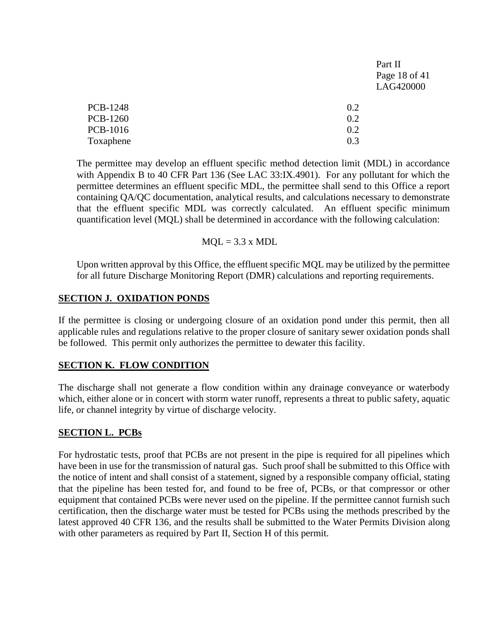|                 |     | Part II       |
|-----------------|-----|---------------|
|                 |     | Page 18 of 41 |
|                 |     | LAG420000     |
| <b>PCB-1248</b> | 0.2 |               |
| <b>PCB-1260</b> | 0.2 |               |
| <b>PCB-1016</b> | 0.2 |               |
| Toxaphene       | 0.3 |               |

The permittee may develop an effluent specific method detection limit (MDL) in accordance with Appendix B to 40 CFR Part 136 (See LAC 33:IX.4901). For any pollutant for which the permittee determines an effluent specific MDL, the permittee shall send to this Office a report containing QA/QC documentation, analytical results, and calculations necessary to demonstrate that the effluent specific MDL was correctly calculated. An effluent specific minimum quantification level (MQL) shall be determined in accordance with the following calculation:

 $MOL = 3.3$  x MDL

Upon written approval by this Office, the effluent specific MQL may be utilized by the permittee for all future Discharge Monitoring Report (DMR) calculations and reporting requirements.

#### **SECTION J. OXIDATION PONDS**

If the permittee is closing or undergoing closure of an oxidation pond under this permit, then all applicable rules and regulations relative to the proper closure of sanitary sewer oxidation ponds shall be followed. This permit only authorizes the permittee to dewater this facility.

## **SECTION K. FLOW CONDITION**

The discharge shall not generate a flow condition within any drainage conveyance or waterbody which, either alone or in concert with storm water runoff, represents a threat to public safety, aquatic life, or channel integrity by virtue of discharge velocity.

## **SECTION L. PCBs**

For hydrostatic tests, proof that PCBs are not present in the pipe is required for all pipelines which have been in use for the transmission of natural gas. Such proof shall be submitted to this Office with the notice of intent and shall consist of a statement, signed by a responsible company official, stating that the pipeline has been tested for, and found to be free of, PCBs, or that compressor or other equipment that contained PCBs were never used on the pipeline. If the permittee cannot furnish such certification, then the discharge water must be tested for PCBs using the methods prescribed by the latest approved 40 CFR 136, and the results shall be submitted to the Water Permits Division along with other parameters as required by Part II, Section H of this permit.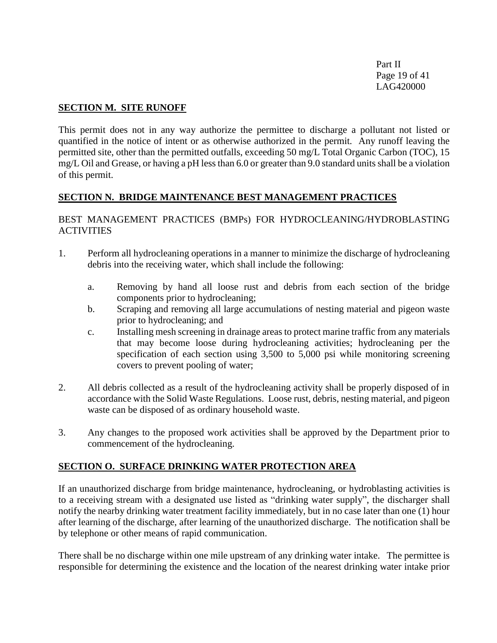Part II Page 19 of 41 LAG420000

#### **SECTION M. SITE RUNOFF**

This permit does not in any way authorize the permittee to discharge a pollutant not listed or quantified in the notice of intent or as otherwise authorized in the permit. Any runoff leaving the permitted site, other than the permitted outfalls, exceeding 50 mg/L Total Organic Carbon (TOC), 15 mg/L Oil and Grease, or having a pH less than 6.0 or greater than 9.0 standard units shall be a violation of this permit.

## **SECTION N. BRIDGE MAINTENANCE BEST MANAGEMENT PRACTICES**

#### BEST MANAGEMENT PRACTICES (BMPs) FOR HYDROCLEANING/HYDROBLASTING **ACTIVITIES**

- 1. Perform all hydrocleaning operations in a manner to minimize the discharge of hydrocleaning debris into the receiving water, which shall include the following:
	- a. Removing by hand all loose rust and debris from each section of the bridge components prior to hydrocleaning;
	- b. Scraping and removing all large accumulations of nesting material and pigeon waste prior to hydrocleaning; and
	- c. Installing mesh screening in drainage areas to protect marine traffic from any materials that may become loose during hydrocleaning activities; hydrocleaning per the specification of each section using 3,500 to 5,000 psi while monitoring screening covers to prevent pooling of water;
- 2. All debris collected as a result of the hydrocleaning activity shall be properly disposed of in accordance with the Solid Waste Regulations. Loose rust, debris, nesting material, and pigeon waste can be disposed of as ordinary household waste.
- 3. Any changes to the proposed work activities shall be approved by the Department prior to commencement of the hydrocleaning.

## **SECTION O. SURFACE DRINKING WATER PROTECTION AREA**

If an unauthorized discharge from bridge maintenance, hydrocleaning, or hydroblasting activities is to a receiving stream with a designated use listed as "drinking water supply", the discharger shall notify the nearby drinking water treatment facility immediately, but in no case later than one (1) hour after learning of the discharge, after learning of the unauthorized discharge. The notification shall be by telephone or other means of rapid communication.

There shall be no discharge within one mile upstream of any drinking water intake. The permittee is responsible for determining the existence and the location of the nearest drinking water intake prior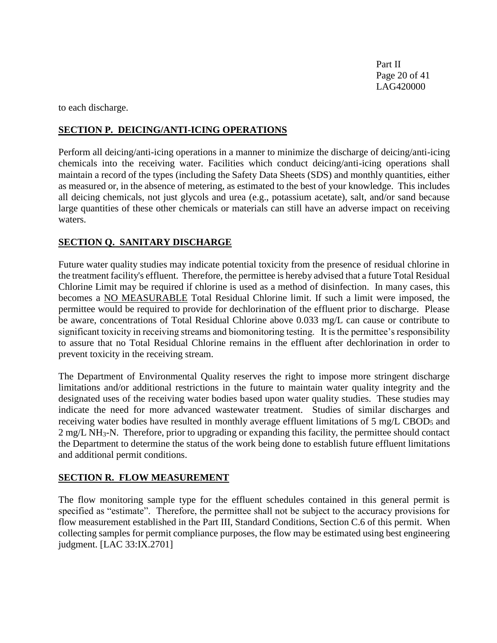Part II Page 20 of 41 LAG420000

to each discharge.

#### **SECTION P. DEICING/ANTI-ICING OPERATIONS**

Perform all deicing/anti-icing operations in a manner to minimize the discharge of deicing/anti-icing chemicals into the receiving water. Facilities which conduct deicing/anti-icing operations shall maintain a record of the types (including the Safety Data Sheets (SDS) and monthly quantities, either as measured or, in the absence of metering, as estimated to the best of your knowledge. This includes all deicing chemicals, not just glycols and urea (e.g., potassium acetate), salt, and/or sand because large quantities of these other chemicals or materials can still have an adverse impact on receiving waters.

#### **SECTION Q. SANITARY DISCHARGE**

Future water quality studies may indicate potential toxicity from the presence of residual chlorine in the treatment facility's effluent. Therefore, the permittee is hereby advised that a future Total Residual Chlorine Limit may be required if chlorine is used as a method of disinfection. In many cases, this becomes a NO MEASURABLE Total Residual Chlorine limit. If such a limit were imposed, the permittee would be required to provide for dechlorination of the effluent prior to discharge. Please be aware, concentrations of Total Residual Chlorine above 0.033 mg/L can cause or contribute to significant toxicity in receiving streams and biomonitoring testing. It is the permittee's responsibility to assure that no Total Residual Chlorine remains in the effluent after dechlorination in order to prevent toxicity in the receiving stream.

The Department of Environmental Quality reserves the right to impose more stringent discharge limitations and/or additional restrictions in the future to maintain water quality integrity and the designated uses of the receiving water bodies based upon water quality studies. These studies may indicate the need for more advanced wastewater treatment. Studies of similar discharges and receiving water bodies have resulted in monthly average effluent limitations of 5 mg/L CBOD<sub>5</sub> and 2 mg/L NH3-N. Therefore, prior to upgrading or expanding this facility, the permittee should contact the Department to determine the status of the work being done to establish future effluent limitations and additional permit conditions.

#### **SECTION R. FLOW MEASUREMENT**

The flow monitoring sample type for the effluent schedules contained in this general permit is specified as "estimate". Therefore, the permittee shall not be subject to the accuracy provisions for flow measurement established in the Part III, Standard Conditions, Section C.6 of this permit. When collecting samples for permit compliance purposes, the flow may be estimated using best engineering judgment. [LAC 33:IX.2701]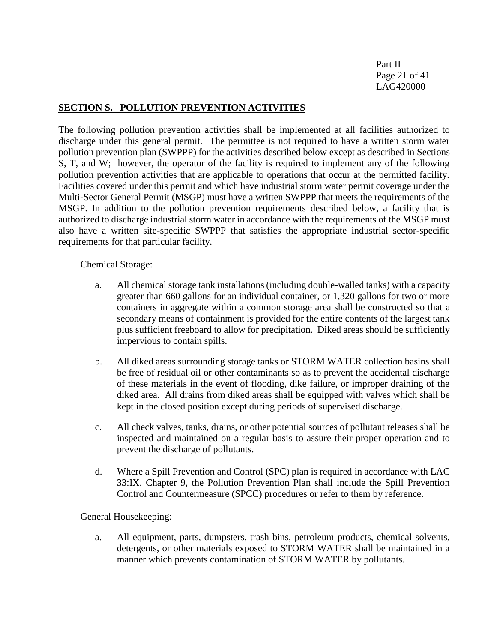Part II Page 21 of 41 LAG420000

#### **SECTION S. POLLUTION PREVENTION ACTIVITIES**

The following pollution prevention activities shall be implemented at all facilities authorized to discharge under this general permit. The permittee is not required to have a written storm water pollution prevention plan (SWPPP) for the activities described below except as described in Sections S, T, and W; however, the operator of the facility is required to implement any of the following pollution prevention activities that are applicable to operations that occur at the permitted facility. Facilities covered under this permit and which have industrial storm water permit coverage under the Multi-Sector General Permit (MSGP) must have a written SWPPP that meets the requirements of the MSGP. In addition to the pollution prevention requirements described below, a facility that is authorized to discharge industrial storm water in accordance with the requirements of the MSGP must also have a written site-specific SWPPP that satisfies the appropriate industrial sector-specific requirements for that particular facility.

Chemical Storage:

- a. All chemical storage tank installations (including double-walled tanks) with a capacity greater than 660 gallons for an individual container, or 1,320 gallons for two or more containers in aggregate within a common storage area shall be constructed so that a secondary means of containment is provided for the entire contents of the largest tank plus sufficient freeboard to allow for precipitation. Diked areas should be sufficiently impervious to contain spills.
- b. All diked areas surrounding storage tanks or STORM WATER collection basins shall be free of residual oil or other contaminants so as to prevent the accidental discharge of these materials in the event of flooding, dike failure, or improper draining of the diked area. All drains from diked areas shall be equipped with valves which shall be kept in the closed position except during periods of supervised discharge.
- c. All check valves, tanks, drains, or other potential sources of pollutant releases shall be inspected and maintained on a regular basis to assure their proper operation and to prevent the discharge of pollutants.
- d. Where a Spill Prevention and Control (SPC) plan is required in accordance with LAC 33:IX. Chapter 9, the Pollution Prevention Plan shall include the Spill Prevention Control and Countermeasure (SPCC) procedures or refer to them by reference.

General Housekeeping:

a. All equipment, parts, dumpsters, trash bins, petroleum products, chemical solvents, detergents, or other materials exposed to STORM WATER shall be maintained in a manner which prevents contamination of STORM WATER by pollutants.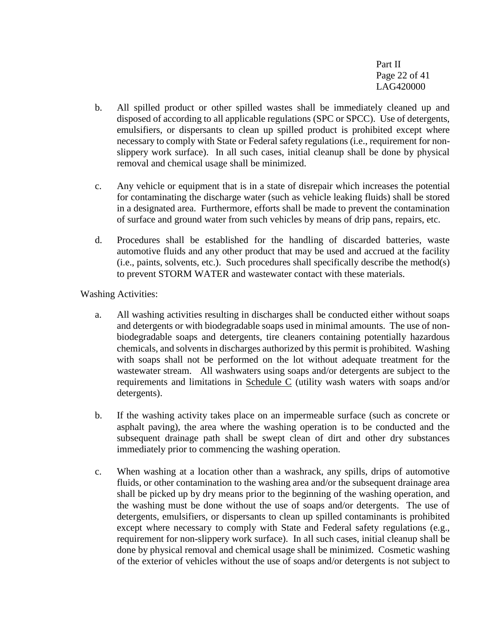Part II Page 22 of 41 LAG420000

- b. All spilled product or other spilled wastes shall be immediately cleaned up and disposed of according to all applicable regulations (SPC or SPCC). Use of detergents, emulsifiers, or dispersants to clean up spilled product is prohibited except where necessary to comply with State or Federal safety regulations (i.e., requirement for nonslippery work surface). In all such cases, initial cleanup shall be done by physical removal and chemical usage shall be minimized.
- c. Any vehicle or equipment that is in a state of disrepair which increases the potential for contaminating the discharge water (such as vehicle leaking fluids) shall be stored in a designated area. Furthermore, efforts shall be made to prevent the contamination of surface and ground water from such vehicles by means of drip pans, repairs, etc.
- d. Procedures shall be established for the handling of discarded batteries, waste automotive fluids and any other product that may be used and accrued at the facility (i.e., paints, solvents, etc.). Such procedures shall specifically describe the method(s) to prevent STORM WATER and wastewater contact with these materials.

Washing Activities:

- a. All washing activities resulting in discharges shall be conducted either without soaps and detergents or with biodegradable soaps used in minimal amounts. The use of nonbiodegradable soaps and detergents, tire cleaners containing potentially hazardous chemicals, and solvents in discharges authorized by this permit is prohibited. Washing with soaps shall not be performed on the lot without adequate treatment for the wastewater stream. All washwaters using soaps and/or detergents are subject to the requirements and limitations in Schedule C (utility wash waters with soaps and/or detergents).
- b. If the washing activity takes place on an impermeable surface (such as concrete or asphalt paving), the area where the washing operation is to be conducted and the subsequent drainage path shall be swept clean of dirt and other dry substances immediately prior to commencing the washing operation.
- c. When washing at a location other than a washrack, any spills, drips of automotive fluids, or other contamination to the washing area and/or the subsequent drainage area shall be picked up by dry means prior to the beginning of the washing operation, and the washing must be done without the use of soaps and/or detergents. The use of detergents, emulsifiers, or dispersants to clean up spilled contaminants is prohibited except where necessary to comply with State and Federal safety regulations (e.g., requirement for non-slippery work surface). In all such cases, initial cleanup shall be done by physical removal and chemical usage shall be minimized. Cosmetic washing of the exterior of vehicles without the use of soaps and/or detergents is not subject to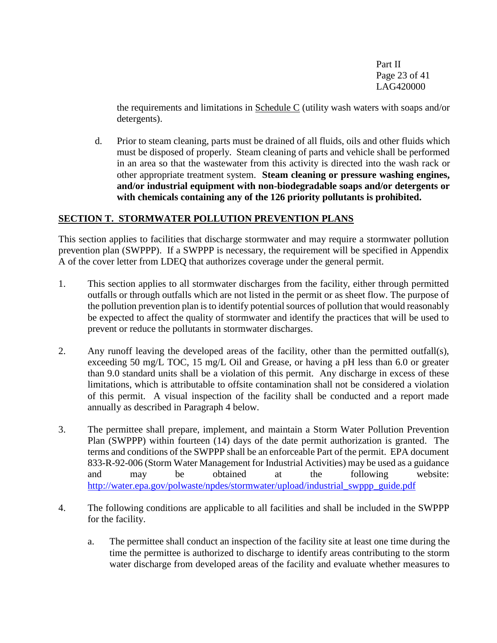Part II Page 23 of 41 LAG420000

the requirements and limitations in  $S$ chedule  $C$  (utility wash waters with soaps and/or detergents).

d. Prior to steam cleaning, parts must be drained of all fluids, oils and other fluids which must be disposed of properly. Steam cleaning of parts and vehicle shall be performed in an area so that the wastewater from this activity is directed into the wash rack or other appropriate treatment system. **Steam cleaning or pressure washing engines, and/or industrial equipment with non-biodegradable soaps and/or detergents or with chemicals containing any of the 126 priority pollutants is prohibited.**

#### **SECTION T. STORMWATER POLLUTION PREVENTION PLANS**

This section applies to facilities that discharge stormwater and may require a stormwater pollution prevention plan (SWPPP). If a SWPPP is necessary, the requirement will be specified in Appendix A of the cover letter from LDEQ that authorizes coverage under the general permit.

- 1. This section applies to all stormwater discharges from the facility, either through permitted outfalls or through outfalls which are not listed in the permit or as sheet flow. The purpose of the pollution prevention plan is to identify potential sources of pollution that would reasonably be expected to affect the quality of stormwater and identify the practices that will be used to prevent or reduce the pollutants in stormwater discharges.
- 2. Any runoff leaving the developed areas of the facility, other than the permitted outfall(s), exceeding 50 mg/L TOC, 15 mg/L Oil and Grease, or having a pH less than 6.0 or greater than 9.0 standard units shall be a violation of this permit. Any discharge in excess of these limitations, which is attributable to offsite contamination shall not be considered a violation of this permit. A visual inspection of the facility shall be conducted and a report made annually as described in Paragraph 4 below.
- 3. The permittee shall prepare, implement, and maintain a Storm Water Pollution Prevention Plan (SWPPP) within fourteen (14) days of the date permit authorization is granted. The terms and conditions of the SWPPP shall be an enforceable Part of the permit. EPA document 833-R-92-006 (Storm Water Management for Industrial Activities) may be used as a guidance and may be obtained at the following website: [http://water.epa.gov/polwaste/npdes/stormwater/upload/industrial\\_swppp\\_guide.pdf](http://water.epa.gov/polwaste/npdes/stormwater/upload/industrial_swppp_guide.pdf)
- 4. The following conditions are applicable to all facilities and shall be included in the SWPPP for the facility.
	- a. The permittee shall conduct an inspection of the facility site at least one time during the time the permittee is authorized to discharge to identify areas contributing to the storm water discharge from developed areas of the facility and evaluate whether measures to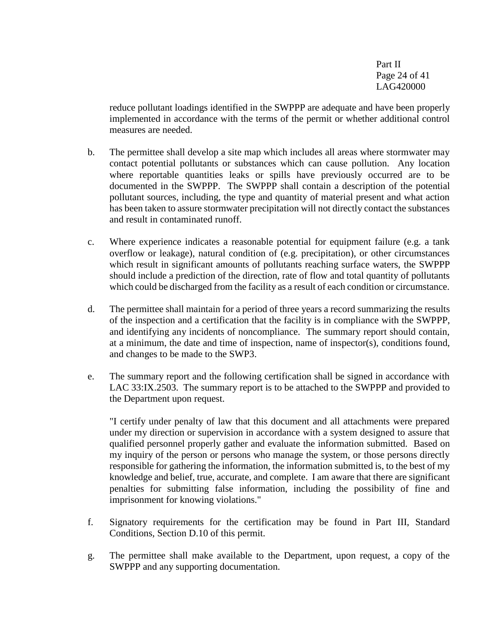Part II Page 24 of 41 LAG420000

reduce pollutant loadings identified in the SWPPP are adequate and have been properly implemented in accordance with the terms of the permit or whether additional control measures are needed.

- b. The permittee shall develop a site map which includes all areas where stormwater may contact potential pollutants or substances which can cause pollution. Any location where reportable quantities leaks or spills have previously occurred are to be documented in the SWPPP. The SWPPP shall contain a description of the potential pollutant sources, including, the type and quantity of material present and what action has been taken to assure stormwater precipitation will not directly contact the substances and result in contaminated runoff.
- c. Where experience indicates a reasonable potential for equipment failure (e.g. a tank overflow or leakage), natural condition of (e.g. precipitation), or other circumstances which result in significant amounts of pollutants reaching surface waters, the SWPPP should include a prediction of the direction, rate of flow and total quantity of pollutants which could be discharged from the facility as a result of each condition or circumstance.
- d. The permittee shall maintain for a period of three years a record summarizing the results of the inspection and a certification that the facility is in compliance with the SWPPP, and identifying any incidents of noncompliance. The summary report should contain, at a minimum, the date and time of inspection, name of inspector(s), conditions found, and changes to be made to the SWP3.
- e. The summary report and the following certification shall be signed in accordance with LAC 33:IX.2503. The summary report is to be attached to the SWPPP and provided to the Department upon request.

"I certify under penalty of law that this document and all attachments were prepared under my direction or supervision in accordance with a system designed to assure that qualified personnel properly gather and evaluate the information submitted. Based on my inquiry of the person or persons who manage the system, or those persons directly responsible for gathering the information, the information submitted is, to the best of my knowledge and belief, true, accurate, and complete. I am aware that there are significant penalties for submitting false information, including the possibility of fine and imprisonment for knowing violations."

- f. Signatory requirements for the certification may be found in Part III, Standard Conditions*,* Section D.10 of this permit.
- g. The permittee shall make available to the Department, upon request, a copy of the SWPPP and any supporting documentation.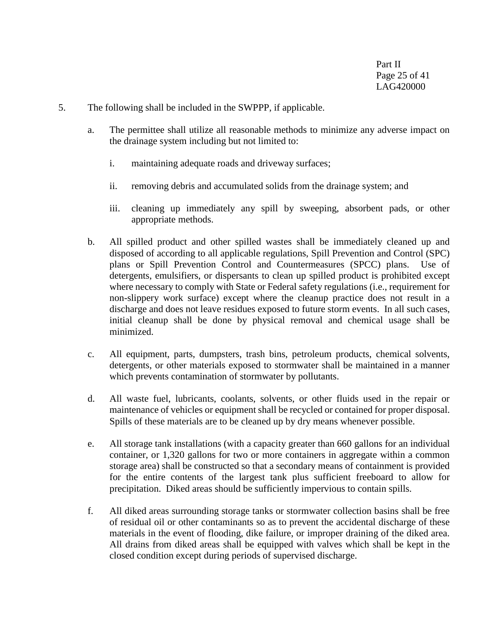- 5. The following shall be included in the SWPPP, if applicable.
	- a. The permittee shall utilize all reasonable methods to minimize any adverse impact on the drainage system including but not limited to:
		- i. maintaining adequate roads and driveway surfaces;
		- ii. removing debris and accumulated solids from the drainage system; and
		- iii. cleaning up immediately any spill by sweeping, absorbent pads, or other appropriate methods.
	- b. All spilled product and other spilled wastes shall be immediately cleaned up and disposed of according to all applicable regulations, Spill Prevention and Control (SPC) plans or Spill Prevention Control and Countermeasures (SPCC) plans. Use of detergents, emulsifiers, or dispersants to clean up spilled product is prohibited except where necessary to comply with State or Federal safety regulations (i.e., requirement for non-slippery work surface) except where the cleanup practice does not result in a discharge and does not leave residues exposed to future storm events. In all such cases, initial cleanup shall be done by physical removal and chemical usage shall be minimized.
	- c. All equipment, parts, dumpsters, trash bins, petroleum products, chemical solvents, detergents, or other materials exposed to stormwater shall be maintained in a manner which prevents contamination of stormwater by pollutants.
	- d. All waste fuel, lubricants, coolants, solvents, or other fluids used in the repair or maintenance of vehicles or equipment shall be recycled or contained for proper disposal. Spills of these materials are to be cleaned up by dry means whenever possible.
	- e. All storage tank installations (with a capacity greater than 660 gallons for an individual container, or 1,320 gallons for two or more containers in aggregate within a common storage area) shall be constructed so that a secondary means of containment is provided for the entire contents of the largest tank plus sufficient freeboard to allow for precipitation. Diked areas should be sufficiently impervious to contain spills.
	- f. All diked areas surrounding storage tanks or stormwater collection basins shall be free of residual oil or other contaminants so as to prevent the accidental discharge of these materials in the event of flooding, dike failure, or improper draining of the diked area. All drains from diked areas shall be equipped with valves which shall be kept in the closed condition except during periods of supervised discharge.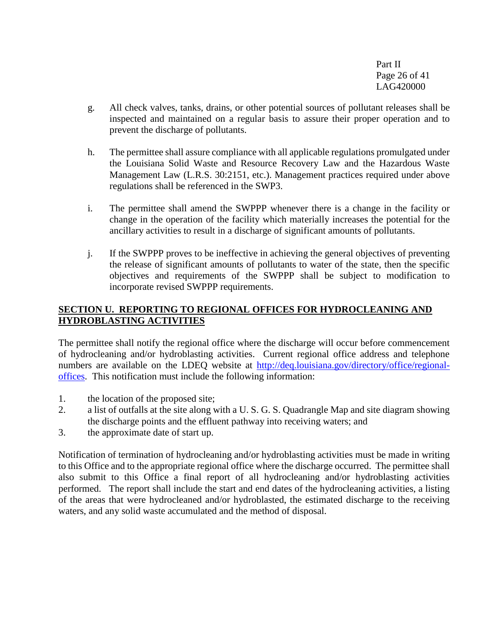Part II Page 26 of 41 LAG420000

- g. All check valves, tanks, drains, or other potential sources of pollutant releases shall be inspected and maintained on a regular basis to assure their proper operation and to prevent the discharge of pollutants.
- h. The permittee shall assure compliance with all applicable regulations promulgated under the Louisiana Solid Waste and Resource Recovery Law and the Hazardous Waste Management Law (L.R.S. 30:2151, etc.). Management practices required under above regulations shall be referenced in the SWP3.
- i. The permittee shall amend the SWPPP whenever there is a change in the facility or change in the operation of the facility which materially increases the potential for the ancillary activities to result in a discharge of significant amounts of pollutants.
- j. If the SWPPP proves to be ineffective in achieving the general objectives of preventing the release of significant amounts of pollutants to water of the state, then the specific objectives and requirements of the SWPPP shall be subject to modification to incorporate revised SWPPP requirements.

## **SECTION U. REPORTING TO REGIONAL OFFICES FOR HYDROCLEANING AND HYDROBLASTING ACTIVITIES**

The permittee shall notify the regional office where the discharge will occur before commencement of hydrocleaning and/or hydroblasting activities. Current regional office address and telephone numbers are available on the LDEQ website at [http://deq.louisiana.gov/directory/office/regional](http://deq.louisiana.gov/directory/office/regional-offices)[offices.](http://deq.louisiana.gov/directory/office/regional-offices) This notification must include the following information:

- 1. the location of the proposed site;
- 2. a list of outfalls at the site along with a U. S. G. S. Quadrangle Map and site diagram showing the discharge points and the effluent pathway into receiving waters; and
- 3. the approximate date of start up.

Notification of termination of hydrocleaning and/or hydroblasting activities must be made in writing to this Office and to the appropriate regional office where the discharge occurred. The permittee shall also submit to this Office a final report of all hydrocleaning and/or hydroblasting activities performed. The report shall include the start and end dates of the hydrocleaning activities, a listing of the areas that were hydrocleaned and/or hydroblasted, the estimated discharge to the receiving waters, and any solid waste accumulated and the method of disposal.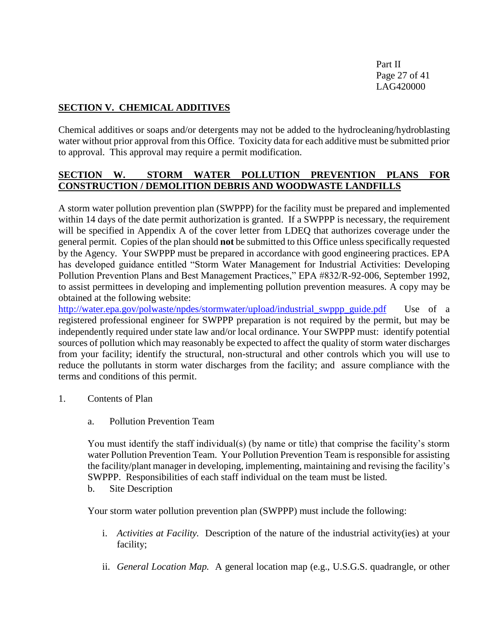Part II Page 27 of 41 LAG420000

## **SECTION V. CHEMICAL ADDITIVES**

Chemical additives or soaps and/or detergents may not be added to the hydrocleaning/hydroblasting water without prior approval from this Office. Toxicity data for each additive must be submitted prior to approval. This approval may require a permit modification.

## **SECTION W. STORM WATER POLLUTION PREVENTION PLANS FOR CONSTRUCTION / DEMOLITION DEBRIS AND WOODWASTE LANDFILLS**

A storm water pollution prevention plan (SWPPP) for the facility must be prepared and implemented within 14 days of the date permit authorization is granted. If a SWPPP is necessary, the requirement will be specified in Appendix A of the cover letter from LDEQ that authorizes coverage under the general permit. Copies of the plan should **not** be submitted to this Office unless specifically requested by the Agency. Your SWPPP must be prepared in accordance with good engineering practices. EPA has developed guidance entitled "Storm Water Management for Industrial Activities: Developing Pollution Prevention Plans and Best Management Practices," EPA #832/R-92-006, September 1992, to assist permittees in developing and implementing pollution prevention measures. A copy may be obtained at the following website:

[http://water.epa.gov/polwaste/npdes/stormwater/upload/industrial\\_swppp\\_guide.pdf](http://water.epa.gov/polwaste/npdes/stormwater/upload/industrial_swppp_guide.pdf) Use of a registered professional engineer for SWPPP preparation is not required by the permit, but may be independently required under state law and/or local ordinance. Your SWPPP must: identify potential sources of pollution which may reasonably be expected to affect the quality of storm water discharges from your facility; identify the structural, non-structural and other controls which you will use to reduce the pollutants in storm water discharges from the facility; and assure compliance with the terms and conditions of this permit.

- 1. Contents of Plan
	- a. Pollution Prevention Team

You must identify the staff individual(s) (by name or title) that comprise the facility's storm water Pollution Prevention Team. Your Pollution Prevention Team is responsible for assisting the facility/plant manager in developing, implementing, maintaining and revising the facility's SWPPP. Responsibilities of each staff individual on the team must be listed.

b. Site Description

Your storm water pollution prevention plan (SWPPP) must include the following:

- i. *Activities at Facility.* Description of the nature of the industrial activity(ies) at your facility;
- ii. *General Location Map.*A general location map (e.g., U.S.G.S. quadrangle, or other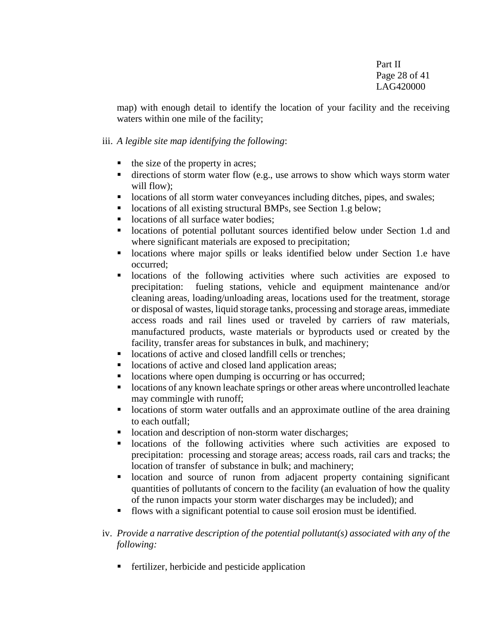map) with enough detail to identify the location of your facility and the receiving waters within one mile of the facility;

#### iii. *A legible site map identifying the following*:

- $\blacksquare$  the size of the property in acres;
- $\blacksquare$  directions of storm water flow (e.g., use arrows to show which ways storm water will flow);
- **lacktriangleright is a lacktriangleright in the starting directions of all storm water conveyances including ditches, pipes, and swales;**
- locations of all existing structural BMPs, see Section 1.g below;
- locations of all surface water bodies:
- locations of potential pollutant sources identified below under Section 1.d and where significant materials are exposed to precipitation;
- **-** locations where major spills or leaks identified below under Section 1.e have occurred;
- locations of the following activities where such activities are exposed to precipitation: fueling stations, vehicle and equipment maintenance and/or cleaning areas, loading/unloading areas, locations used for the treatment, storage or disposal of wastes, liquid storage tanks, processing and storage areas, immediate access roads and rail lines used or traveled by carriers of raw materials, manufactured products, waste materials or byproducts used or created by the facility, transfer areas for substances in bulk, and machinery;
- locations of active and closed landfill cells or trenches;
- locations of active and closed land application areas;
- locations where open dumping is occurring or has occurred;
- locations of any known leachate springs or other areas where uncontrolled leachate may commingle with runoff;
- **I** locations of storm water outfalls and an approximate outline of the area draining to each outfall;
- location and description of non-storm water discharges;
- locations of the following activities where such activities are exposed to precipitation: processing and storage areas; access roads, rail cars and tracks; the location of transfer of substance in bulk; and machinery;
- location and source of runon from adjacent property containing significant quantities of pollutants of concern to the facility (an evaluation of how the quality of the runon impacts your storm water discharges may be included); and
- flows with a significant potential to cause soil erosion must be identified.
- iv. *Provide a narrative description of the potential pollutant(s) associated with any of the following:* 
	- **fertilizer, herbicide and pesticide application**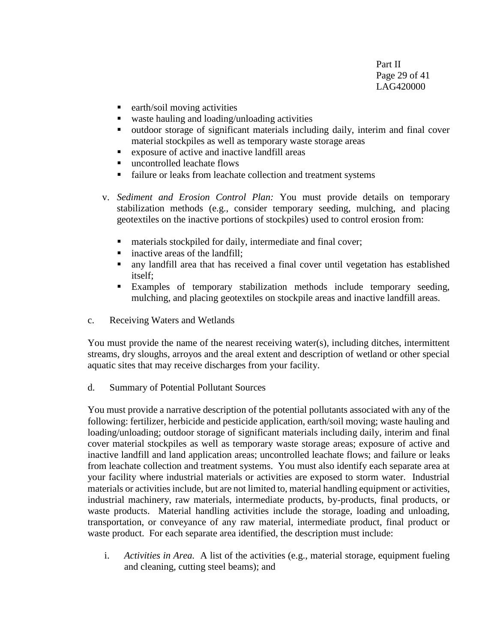Part II Page 29 of 41 LAG420000

- $\blacksquare$  earth/soil moving activities
- waste hauling and loading/unloading activities
- outdoor storage of significant materials including daily, interim and final cover material stockpiles as well as temporary waste storage areas
- exposure of active and inactive landfill areas
- uncontrolled leachate flows
- failure or leaks from leachate collection and treatment systems
- v. *Sediment and Erosion Control Plan:* You must provide details on temporary stabilization methods (e.g., consider temporary seeding, mulching, and placing geotextiles on the inactive portions of stockpiles) used to control erosion from:
	- materials stockpiled for daily, intermediate and final cover;
	- inactive areas of the landfill;
	- any landfill area that has received a final cover until vegetation has established itself;
	- Examples of temporary stabilization methods include temporary seeding, mulching, and placing geotextiles on stockpile areas and inactive landfill areas.
- c. Receiving Waters and Wetlands

You must provide the name of the nearest receiving water(s), including ditches, intermittent streams, dry sloughs, arroyos and the areal extent and description of wetland or other special aquatic sites that may receive discharges from your facility.

d. Summary of Potential Pollutant Sources

You must provide a narrative description of the potential pollutants associated with any of the following: fertilizer, herbicide and pesticide application, earth/soil moving; waste hauling and loading/unloading; outdoor storage of significant materials including daily, interim and final cover material stockpiles as well as temporary waste storage areas; exposure of active and inactive landfill and land application areas; uncontrolled leachate flows; and failure or leaks from leachate collection and treatment systems. You must also identify each separate area at your facility where industrial materials or activities are exposed to storm water. Industrial materials or activities include, but are not limited to, material handling equipment or activities, industrial machinery, raw materials, intermediate products, by-products, final products, or waste products. Material handling activities include the storage, loading and unloading, transportation, or conveyance of any raw material, intermediate product, final product or waste product. For each separate area identified, the description must include:

i. *Activities in Area.* A list of the activities (e.g., material storage, equipment fueling and cleaning, cutting steel beams); and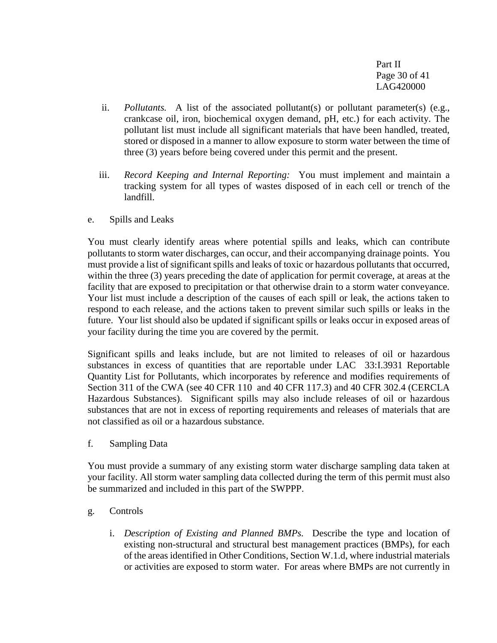Part II Page 30 of 41 LAG420000

- ii. *Pollutants.* A list of the associated pollutant(s) or pollutant parameter(s) (e.g., crankcase oil, iron, biochemical oxygen demand, pH, etc.) for each activity. The pollutant list must include all significant materials that have been handled, treated, stored or disposed in a manner to allow exposure to storm water between the time of three (3) years before being covered under this permit and the present.
- iii. *Record Keeping and Internal Reporting:* You must implement and maintain a tracking system for all types of wastes disposed of in each cell or trench of the landfill.
- e. Spills and Leaks

You must clearly identify areas where potential spills and leaks, which can contribute pollutants to storm water discharges, can occur, and their accompanying drainage points. You must provide a list of significant spills and leaks of toxic or hazardous pollutants that occurred, within the three (3) years preceding the date of application for permit coverage, at areas at the facility that are exposed to precipitation or that otherwise drain to a storm water conveyance. Your list must include a description of the causes of each spill or leak, the actions taken to respond to each release, and the actions taken to prevent similar such spills or leaks in the future. Your list should also be updated if significant spills or leaks occur in exposed areas of your facility during the time you are covered by the permit.

Significant spills and leaks include, but are not limited to releases of oil or hazardous substances in excess of quantities that are reportable under LAC 33:I.3931 Reportable Quantity List for Pollutants, which incorporates by reference and modifies requirements of Section 311 of the CWA (see 40 CFR 110 and 40 CFR 117.3) and 40 CFR 302.4 (CERCLA Hazardous Substances). Significant spills may also include releases of oil or hazardous substances that are not in excess of reporting requirements and releases of materials that are not classified as oil or a hazardous substance.

f. Sampling Data

You must provide a summary of any existing storm water discharge sampling data taken at your facility. All storm water sampling data collected during the term of this permit must also be summarized and included in this part of the SWPPP.

## g. Controls

i. *Description of Existing and Planned BMPs.* Describe the type and location of existing non-structural and structural best management practices (BMPs), for each of the areas identified in Other Conditions, Section W.1.d, where industrial materials or activities are exposed to storm water. For areas where BMPs are not currently in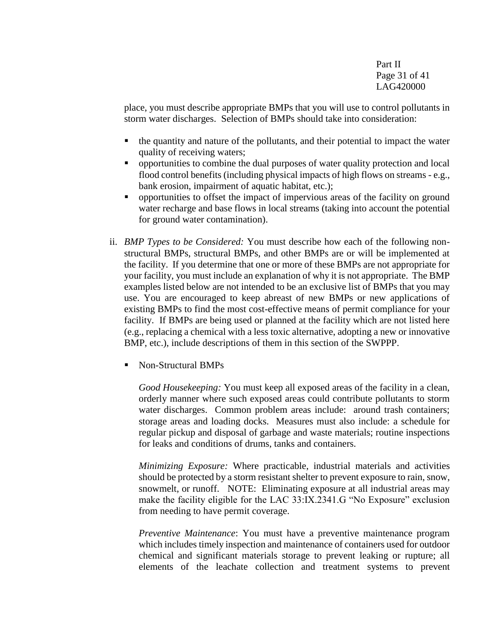Part II Page 31 of 41 LAG420000

place, you must describe appropriate BMPs that you will use to control pollutants in storm water discharges. Selection of BMPs should take into consideration:

- the quantity and nature of the pollutants, and their potential to impact the water quality of receiving waters;
- opportunities to combine the dual purposes of water quality protection and local flood control benefits (including physical impacts of high flows on streams - e.g., bank erosion, impairment of aquatic habitat, etc.);
- opportunities to offset the impact of impervious areas of the facility on ground water recharge and base flows in local streams (taking into account the potential for ground water contamination).
- ii. *BMP Types to be Considered:* You must describe how each of the following nonstructural BMPs, structural BMPs, and other BMPs are or will be implemented at the facility. If you determine that one or more of these BMPs are not appropriate for your facility, you must include an explanation of why it is not appropriate. The BMP examples listed below are not intended to be an exclusive list of BMPs that you may use. You are encouraged to keep abreast of new BMPs or new applications of existing BMPs to find the most cost-effective means of permit compliance for your facility. If BMPs are being used or planned at the facility which are not listed here (e.g., replacing a chemical with a less toxic alternative, adopting a new or innovative BMP, etc.), include descriptions of them in this section of the SWPPP.
	- Non-Structural BMPs

*Good Housekeeping:* You must keep all exposed areas of the facility in a clean, orderly manner where such exposed areas could contribute pollutants to storm water discharges. Common problem areas include: around trash containers; storage areas and loading docks. Measures must also include: a schedule for regular pickup and disposal of garbage and waste materials; routine inspections for leaks and conditions of drums, tanks and containers.

*Minimizing Exposure:* Where practicable, industrial materials and activities should be protected by a storm resistant shelter to prevent exposure to rain, snow, snowmelt, or runoff. NOTE: Eliminating exposure at all industrial areas may make the facility eligible for the LAC 33:IX.2341.G "No Exposure" exclusion from needing to have permit coverage.

*Preventive Maintenance*: You must have a preventive maintenance program which includes timely inspection and maintenance of containers used for outdoor chemical and significant materials storage to prevent leaking or rupture; all elements of the leachate collection and treatment systems to prevent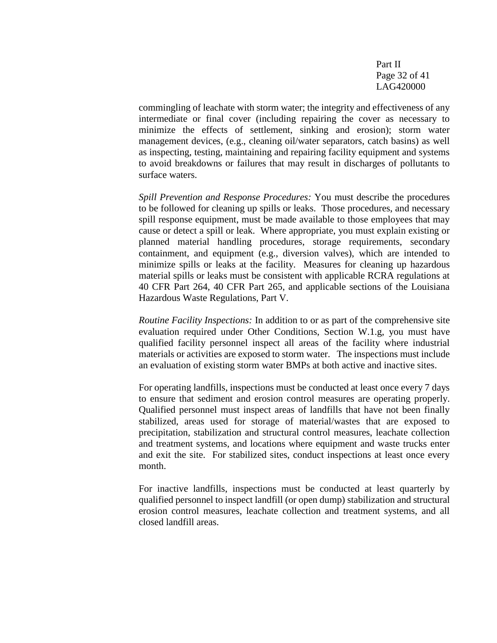Part II Page 32 of 41 LAG420000

commingling of leachate with storm water; the integrity and effectiveness of any intermediate or final cover (including repairing the cover as necessary to minimize the effects of settlement, sinking and erosion); storm water management devices, (e.g., cleaning oil/water separators, catch basins) as well as inspecting, testing, maintaining and repairing facility equipment and systems to avoid breakdowns or failures that may result in discharges of pollutants to surface waters.

*Spill Prevention and Response Procedures:* You must describe the procedures to be followed for cleaning up spills or leaks. Those procedures, and necessary spill response equipment, must be made available to those employees that may cause or detect a spill or leak. Where appropriate, you must explain existing or planned material handling procedures, storage requirements, secondary containment, and equipment (e.g., diversion valves), which are intended to minimize spills or leaks at the facility. Measures for cleaning up hazardous material spills or leaks must be consistent with applicable RCRA regulations at 40 CFR Part 264, 40 CFR Part 265, and applicable sections of the Louisiana Hazardous Waste Regulations, Part V.

*Routine Facility Inspections:* In addition to or as part of the comprehensive site evaluation required under Other Conditions, Section W.1.g, you must have qualified facility personnel inspect all areas of the facility where industrial materials or activities are exposed to storm water. The inspections must include an evaluation of existing storm water BMPs at both active and inactive sites.

For operating landfills, inspections must be conducted at least once every 7 days to ensure that sediment and erosion control measures are operating properly. Qualified personnel must inspect areas of landfills that have not been finally stabilized, areas used for storage of material/wastes that are exposed to precipitation, stabilization and structural control measures, leachate collection and treatment systems, and locations where equipment and waste trucks enter and exit the site. For stabilized sites, conduct inspections at least once every month.

For inactive landfills, inspections must be conducted at least quarterly by qualified personnel to inspect landfill (or open dump) stabilization and structural erosion control measures, leachate collection and treatment systems, and all closed landfill areas.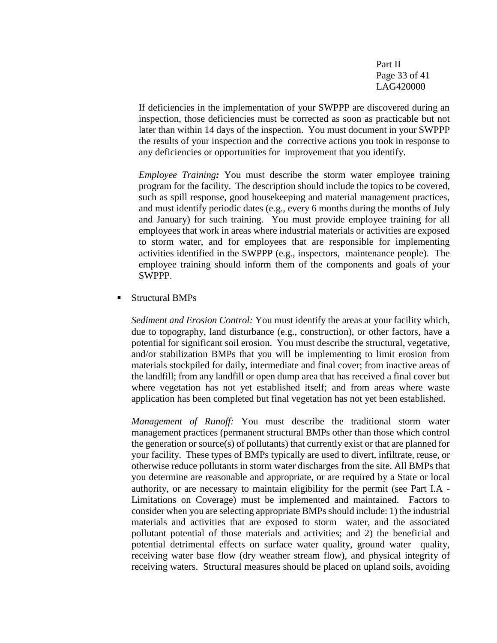Part II Page 33 of 41 LAG420000

If deficiencies in the implementation of your SWPPP are discovered during an inspection, those deficiencies must be corrected as soon as practicable but not later than within 14 days of the inspection. You must document in your SWPPP the results of your inspection and the corrective actions you took in response to any deficiencies or opportunities for improvement that you identify.

*Employee Training:* You must describe the storm water employee training program for the facility. The description should include the topics to be covered, such as spill response, good housekeeping and material management practices, and must identify periodic dates (e.g., every 6 months during the months of July and January) for such training. You must provide employee training for all employees that work in areas where industrial materials or activities are exposed to storm water, and for employees that are responsible for implementing activities identified in the SWPPP (e.g., inspectors, maintenance people). The employee training should inform them of the components and goals of your SWPPP.

Structural BMPs

*Sediment and Erosion Control:* You must identify the areas at your facility which, due to topography, land disturbance (e.g., construction), or other factors, have a potential for significant soil erosion. You must describe the structural, vegetative, and/or stabilization BMPs that you will be implementing to limit erosion from materials stockpiled for daily, intermediate and final cover; from inactive areas of the landfill; from any landfill or open dump area that has received a final cover but where vegetation has not yet established itself; and from areas where waste application has been completed but final vegetation has not yet been established.

*Management of Runoff:* You must describe the traditional storm water management practices (permanent structural BMPs other than those which control the generation or source(s) of pollutants) that currently exist or that are planned for your facility. These types of BMPs typically are used to divert, infiltrate, reuse, or otherwise reduce pollutants in storm water discharges from the site. All BMPs that you determine are reasonable and appropriate, or are required by a State or local authority, or are necessary to maintain eligibility for the permit (see Part I.A - Limitations on Coverage) must be implemented and maintained. Factors to consider when you are selecting appropriate BMPs should include: 1) the industrial materials and activities that are exposed to storm water, and the associated pollutant potential of those materials and activities; and 2) the beneficial and potential detrimental effects on surface water quality, ground water quality, receiving water base flow (dry weather stream flow), and physical integrity of receiving waters. Structural measures should be placed on upland soils, avoiding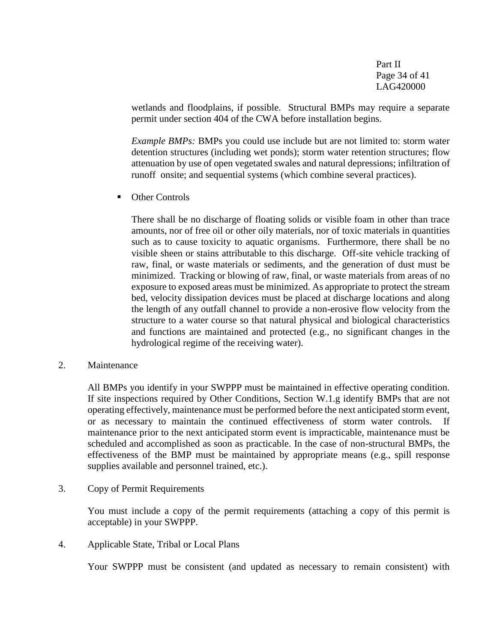Part II Page 34 of 41 LAG420000

wetlands and floodplains, if possible. Structural BMPs may require a separate permit under section 404 of the CWA before installation begins.

*Example BMPs:* BMPs you could use include but are not limited to: storm water detention structures (including wet ponds); storm water retention structures; flow attenuation by use of open vegetated swales and natural depressions; infiltration of runoff onsite; and sequential systems (which combine several practices).

• Other Controls

There shall be no discharge of floating solids or visible foam in other than trace amounts, nor of free oil or other oily materials, nor of toxic materials in quantities such as to cause toxicity to aquatic organisms. Furthermore, there shall be no visible sheen or stains attributable to this discharge. Off-site vehicle tracking of raw, final, or waste materials or sediments, and the generation of dust must be minimized. Tracking or blowing of raw, final, or waste materials from areas of no exposure to exposed areas must be minimized. As appropriate to protect the stream bed, velocity dissipation devices must be placed at discharge locations and along the length of any outfall channel to provide a non-erosive flow velocity from the structure to a water course so that natural physical and biological characteristics and functions are maintained and protected (e.g., no significant changes in the hydrological regime of the receiving water).

2. Maintenance

All BMPs you identify in your SWPPP must be maintained in effective operating condition. If site inspections required by Other Conditions, Section W.1.g identify BMPs that are not operating effectively, maintenance must be performed before the next anticipated storm event, or as necessary to maintain the continued effectiveness of storm water controls. If maintenance prior to the next anticipated storm event is impracticable, maintenance must be scheduled and accomplished as soon as practicable. In the case of non-structural BMPs, the effectiveness of the BMP must be maintained by appropriate means (e.g., spill response supplies available and personnel trained, etc.).

3. Copy of Permit Requirements

You must include a copy of the permit requirements (attaching a copy of this permit is acceptable) in your SWPPP.

4. Applicable State, Tribal or Local Plans

Your SWPPP must be consistent (and updated as necessary to remain consistent) with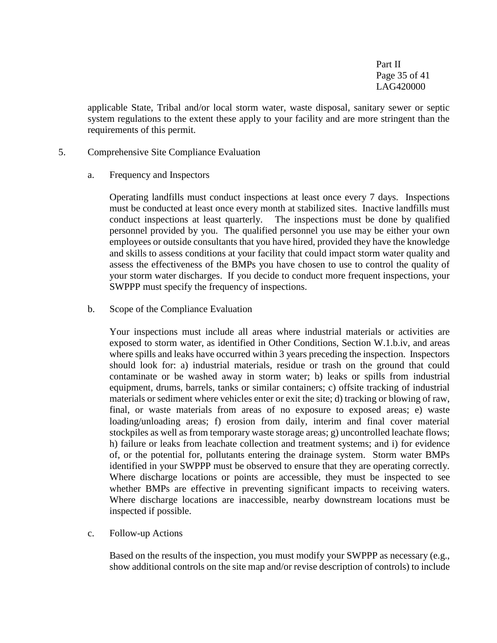Part II Page 35 of 41 LAG420000

applicable State, Tribal and/or local storm water, waste disposal, sanitary sewer or septic system regulations to the extent these apply to your facility and are more stringent than the requirements of this permit.

- 5. Comprehensive Site Compliance Evaluation
	- a. Frequency and Inspectors

Operating landfills must conduct inspections at least once every 7 days. Inspections must be conducted at least once every month at stabilized sites. Inactive landfills must conduct inspections at least quarterly. The inspections must be done by qualified personnel provided by you. The qualified personnel you use may be either your own employees or outside consultants that you have hired, provided they have the knowledge and skills to assess conditions at your facility that could impact storm water quality and assess the effectiveness of the BMPs you have chosen to use to control the quality of your storm water discharges. If you decide to conduct more frequent inspections, your SWPPP must specify the frequency of inspections.

b. Scope of the Compliance Evaluation

Your inspections must include all areas where industrial materials or activities are exposed to storm water, as identified in Other Conditions, Section W.1.b.iv, and areas where spills and leaks have occurred within 3 years preceding the inspection. Inspectors should look for: a) industrial materials, residue or trash on the ground that could contaminate or be washed away in storm water; b) leaks or spills from industrial equipment, drums, barrels, tanks or similar containers; c) offsite tracking of industrial materials or sediment where vehicles enter or exit the site; d) tracking or blowing of raw, final, or waste materials from areas of no exposure to exposed areas; e) waste loading/unloading areas; f) erosion from daily, interim and final cover material stockpiles as well as from temporary waste storage areas; g) uncontrolled leachate flows; h) failure or leaks from leachate collection and treatment systems; and i) for evidence of, or the potential for, pollutants entering the drainage system. Storm water BMPs identified in your SWPPP must be observed to ensure that they are operating correctly. Where discharge locations or points are accessible, they must be inspected to see whether BMPs are effective in preventing significant impacts to receiving waters. Where discharge locations are inaccessible, nearby downstream locations must be inspected if possible.

c. Follow-up Actions

Based on the results of the inspection, you must modify your SWPPP as necessary (e.g., show additional controls on the site map and/or revise description of controls) to include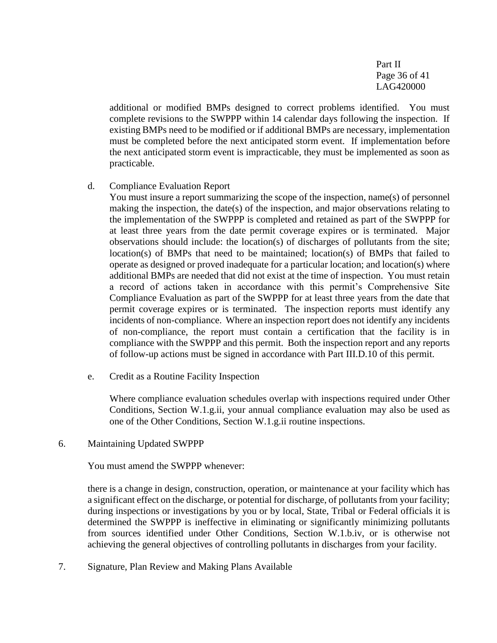Part II Page 36 of 41 LAG420000

additional or modified BMPs designed to correct problems identified. You must complete revisions to the SWPPP within 14 calendar days following the inspection. If existing BMPs need to be modified or if additional BMPs are necessary, implementation must be completed before the next anticipated storm event. If implementation before the next anticipated storm event is impracticable, they must be implemented as soon as practicable.

d. Compliance Evaluation Report

You must insure a report summarizing the scope of the inspection, name(s) of personnel making the inspection, the date(s) of the inspection, and major observations relating to the implementation of the SWPPP is completed and retained as part of the SWPPP for at least three years from the date permit coverage expires or is terminated. Major observations should include: the location(s) of discharges of pollutants from the site; location(s) of BMPs that need to be maintained; location(s) of BMPs that failed to operate as designed or proved inadequate for a particular location; and location(s) where additional BMPs are needed that did not exist at the time of inspection. You must retain a record of actions taken in accordance with this permit's Comprehensive Site Compliance Evaluation as part of the SWPPP for at least three years from the date that permit coverage expires or is terminated. The inspection reports must identify any incidents of non-compliance. Where an inspection report does not identify any incidents of non-compliance, the report must contain a certification that the facility is in compliance with the SWPPP and this permit. Both the inspection report and any reports of follow-up actions must be signed in accordance with Part III.D.10 of this permit.

e. Credit as a Routine Facility Inspection

Where compliance evaluation schedules overlap with inspections required under Other Conditions, Section W.1.g.ii, your annual compliance evaluation may also be used as one of the Other Conditions, Section W.1.g.ii routine inspections.

6. Maintaining Updated SWPPP

You must amend the SWPPP whenever:

there is a change in design, construction, operation, or maintenance at your facility which has a significant effect on the discharge, or potential for discharge, of pollutants from your facility; during inspections or investigations by you or by local, State, Tribal or Federal officials it is determined the SWPPP is ineffective in eliminating or significantly minimizing pollutants from sources identified under Other Conditions, Section W.1.b.iv, or is otherwise not achieving the general objectives of controlling pollutants in discharges from your facility.

7. Signature, Plan Review and Making Plans Available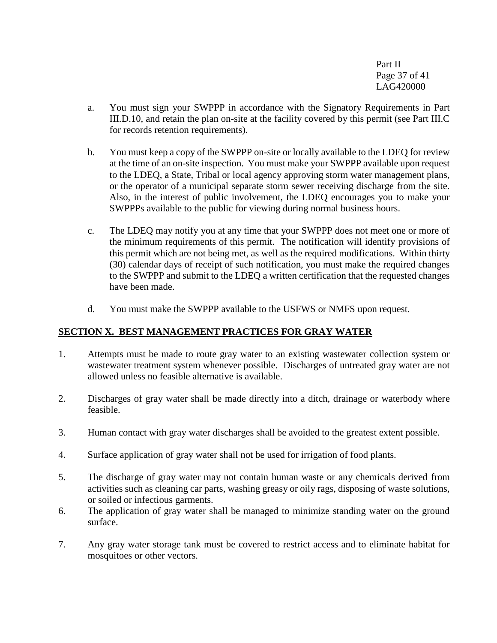Part II Page 37 of 41 LAG420000

- a. You must sign your SWPPP in accordance with the Signatory Requirements in Part III.D.10, and retain the plan on-site at the facility covered by this permit (see Part III.C for records retention requirements).
- b. You must keep a copy of the SWPPP on-site or locally available to the LDEQ for review at the time of an on-site inspection. You must make your SWPPP available upon request to the LDEQ, a State, Tribal or local agency approving storm water management plans, or the operator of a municipal separate storm sewer receiving discharge from the site. Also, in the interest of public involvement, the LDEQ encourages you to make your SWPPPs available to the public for viewing during normal business hours.
- c. The LDEQ may notify you at any time that your SWPPP does not meet one or more of the minimum requirements of this permit. The notification will identify provisions of this permit which are not being met, as well as the required modifications. Within thirty (30) calendar days of receipt of such notification, you must make the required changes to the SWPPP and submit to the LDEQ a written certification that the requested changes have been made.
- d. You must make the SWPPP available to the USFWS or NMFS upon request.

## **SECTION X. BEST MANAGEMENT PRACTICES FOR GRAY WATER**

- 1. Attempts must be made to route gray water to an existing wastewater collection system or wastewater treatment system whenever possible. Discharges of untreated gray water are not allowed unless no feasible alternative is available.
- 2. Discharges of gray water shall be made directly into a ditch, drainage or waterbody where feasible.
- 3. Human contact with gray water discharges shall be avoided to the greatest extent possible.
- 4. Surface application of gray water shall not be used for irrigation of food plants.
- 5. The discharge of gray water may not contain human waste or any chemicals derived from activities such as cleaning car parts, washing greasy or oily rags, disposing of waste solutions, or soiled or infectious garments.
- 6. The application of gray water shall be managed to minimize standing water on the ground surface.
- 7. Any gray water storage tank must be covered to restrict access and to eliminate habitat for mosquitoes or other vectors.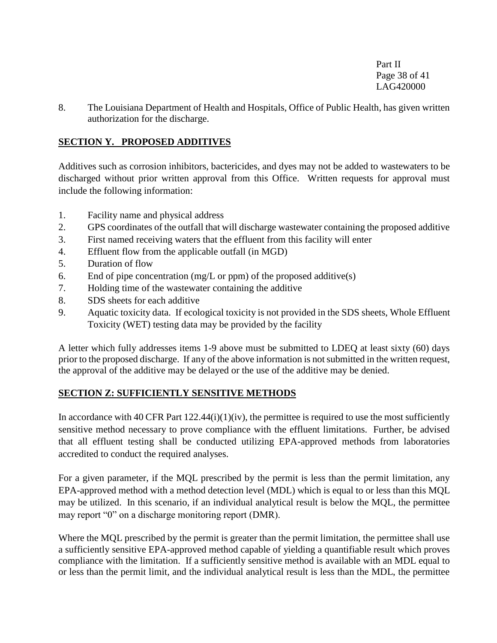Part II Page 38 of 41 LAG420000

8. The Louisiana Department of Health and Hospitals, Office of Public Health, has given written authorization for the discharge.

## **SECTION Y. PROPOSED ADDITIVES**

Additives such as corrosion inhibitors, bactericides, and dyes may not be added to wastewaters to be discharged without prior written approval from this Office. Written requests for approval must include the following information:

- 1. Facility name and physical address
- 2. GPS coordinates of the outfall that will discharge wastewater containing the proposed additive
- 3. First named receiving waters that the effluent from this facility will enter
- 4. Effluent flow from the applicable outfall (in MGD)
- 5. Duration of flow
- 6. End of pipe concentration (mg/L or ppm) of the proposed additive(s)
- 7. Holding time of the wastewater containing the additive
- 8. SDS sheets for each additive
- 9. Aquatic toxicity data. If ecological toxicity is not provided in the SDS sheets, Whole Effluent Toxicity (WET) testing data may be provided by the facility

A letter which fully addresses items 1-9 above must be submitted to LDEQ at least sixty (60) days prior to the proposed discharge. If any of the above information is not submitted in the written request, the approval of the additive may be delayed or the use of the additive may be denied.

## **SECTION Z: SUFFICIENTLY SENSITIVE METHODS**

In accordance with 40 CFR Part  $122.44(i)(1)(iv)$ , the permittee is required to use the most sufficiently sensitive method necessary to prove compliance with the effluent limitations. Further, be advised that all effluent testing shall be conducted utilizing EPA-approved methods from laboratories accredited to conduct the required analyses.

For a given parameter, if the MQL prescribed by the permit is less than the permit limitation, any EPA-approved method with a method detection level (MDL) which is equal to or less than this MQL may be utilized. In this scenario, if an individual analytical result is below the MQL, the permittee may report "0" on a discharge monitoring report (DMR).

Where the MQL prescribed by the permit is greater than the permit limitation, the permittee shall use a sufficiently sensitive EPA-approved method capable of yielding a quantifiable result which proves compliance with the limitation. If a sufficiently sensitive method is available with an MDL equal to or less than the permit limit, and the individual analytical result is less than the MDL, the permittee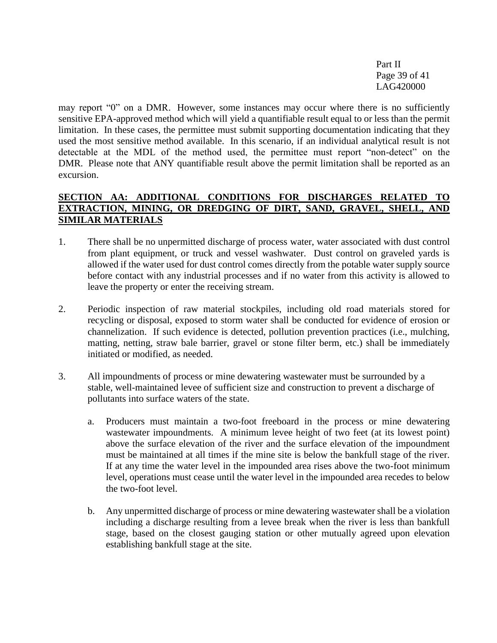Part II Page 39 of 41 LAG420000

may report "0" on a DMR. However, some instances may occur where there is no sufficiently sensitive EPA-approved method which will yield a quantifiable result equal to or less than the permit limitation. In these cases, the permittee must submit supporting documentation indicating that they used the most sensitive method available. In this scenario, if an individual analytical result is not detectable at the MDL of the method used, the permittee must report "non-detect" on the DMR. Please note that ANY quantifiable result above the permit limitation shall be reported as an excursion.

## **SECTION AA: ADDITIONAL CONDITIONS FOR DISCHARGES RELATED TO EXTRACTION, MINING, OR DREDGING OF DIRT, SAND, GRAVEL, SHELL, AND SIMILAR MATERIALS**

- 1. There shall be no unpermitted discharge of process water, water associated with dust control from plant equipment, or truck and vessel washwater. Dust control on graveled yards is allowed if the water used for dust control comes directly from the potable water supply source before contact with any industrial processes and if no water from this activity is allowed to leave the property or enter the receiving stream.
- 2. Periodic inspection of raw material stockpiles, including old road materials stored for recycling or disposal, exposed to storm water shall be conducted for evidence of erosion or channelization. If such evidence is detected, pollution prevention practices (i.e., mulching, matting, netting, straw bale barrier, gravel or stone filter berm, etc.) shall be immediately initiated or modified, as needed.
- 3. All impoundments of process or mine dewatering wastewater must be surrounded by a stable, well-maintained levee of sufficient size and construction to prevent a discharge of pollutants into surface waters of the state.
	- a. Producers must maintain a two-foot freeboard in the process or mine dewatering wastewater impoundments. A minimum levee height of two feet (at its lowest point) above the surface elevation of the river and the surface elevation of the impoundment must be maintained at all times if the mine site is below the bankfull stage of the river. If at any time the water level in the impounded area rises above the two-foot minimum level, operations must cease until the water level in the impounded area recedes to below the two-foot level.
	- b. Any unpermitted discharge of process or mine dewatering wastewater shall be a violation including a discharge resulting from a levee break when the river is less than bankfull stage, based on the closest gauging station or other mutually agreed upon elevation establishing bankfull stage at the site.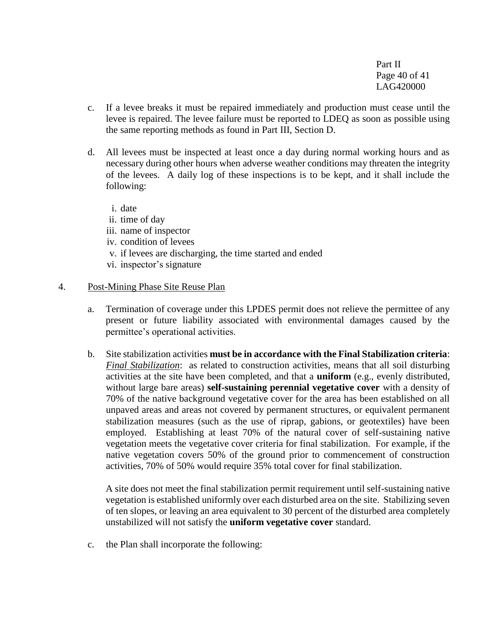Part II Page 40 of 41 LAG420000

- c. If a levee breaks it must be repaired immediately and production must cease until the levee is repaired. The levee failure must be reported to LDEQ as soon as possible using the same reporting methods as found in Part III, Section D.
- d. All levees must be inspected at least once a day during normal working hours and as necessary during other hours when adverse weather conditions may threaten the integrity of the levees. A daily log of these inspections is to be kept, and it shall include the following:
	- i. date
	- ii. time of day
	- iii. name of inspector
	- iv. condition of levees
	- v. if levees are discharging, the time started and ended
	- vi. inspector's signature

#### 4. Post-Mining Phase Site Reuse Plan

- a. Termination of coverage under this LPDES permit does not relieve the permittee of any present or future liability associated with environmental damages caused by the permittee's operational activities.
- b. Site stabilization activities **must be in accordance with the Final Stabilization criteria**: *Final Stabilization*: as related to construction activities, means that all soil disturbing activities at the site have been completed, and that a **uniform** (e.g., evenly distributed, without large bare areas) **self-sustaining perennial vegetative cover** with a density of 70% of the native background vegetative cover for the area has been established on all unpaved areas and areas not covered by permanent structures, or equivalent permanent stabilization measures (such as the use of riprap, gabions, or geotextiles) have been employed. Establishing at least 70% of the natural cover of self-sustaining native vegetation meets the vegetative cover criteria for final stabilization. For example, if the native vegetation covers 50% of the ground prior to commencement of construction activities, 70% of 50% would require 35% total cover for final stabilization.

A site does not meet the final stabilization permit requirement until self-sustaining native vegetation is established uniformly over each disturbed area on the site. Stabilizing seven of ten slopes, or leaving an area equivalent to 30 percent of the disturbed area completely unstabilized will not satisfy the **uniform vegetative cover** standard.

c. the Plan shall incorporate the following: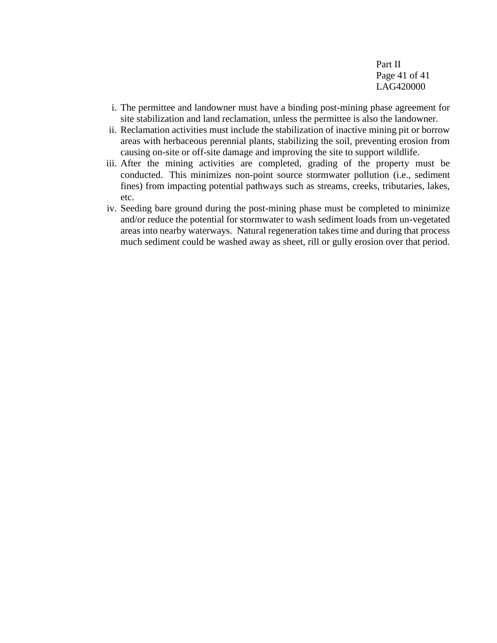Part II Page 41 of 41 LAG420000

- i. The permittee and landowner must have a binding post-mining phase agreement for site stabilization and land reclamation, unless the permittee is also the landowner.
- ii. Reclamation activities must include the stabilization of inactive mining pit or borrow areas with herbaceous perennial plants, stabilizing the soil, preventing erosion from causing on-site or off-site damage and improving the site to support wildlife.
- iii. After the mining activities are completed, grading of the property must be conducted. This minimizes non-point source stormwater pollution (i.e., sediment fines) from impacting potential pathways such as streams, creeks, tributaries, lakes, etc.
- iv. Seeding bare ground during the post-mining phase must be completed to minimize and/or reduce the potential for stormwater to wash sediment loads from un-vegetated areas into nearby waterways. Natural regeneration takes time and during that process much sediment could be washed away as sheet, rill or gully erosion over that period.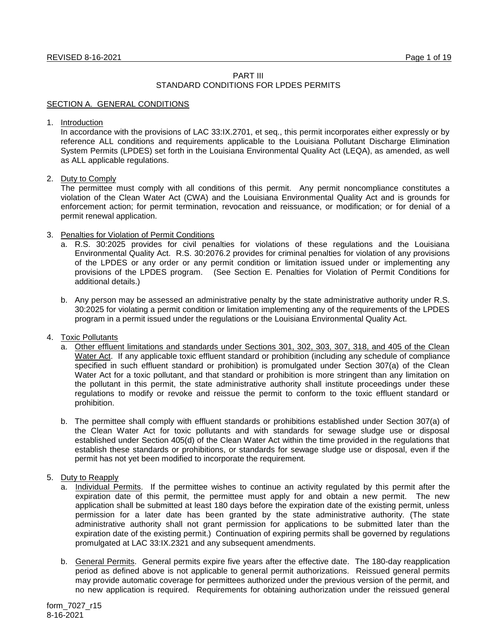# PART III

# STANDARD CONDITIONS FOR LPDES PERMITS

# SECTION A. GENERAL CONDITIONS

1. Introduction

In accordance with the provisions of LAC 33:IX.2701, et seq., this permit incorporates either expressly or by reference ALL conditions and requirements applicable to the Louisiana Pollutant Discharge Elimination System Permits (LPDES) set forth in the Louisiana Environmental Quality Act (LEQA), as amended, as well as ALL applicable regulations.

# 2. Duty to Comply

The permittee must comply with all conditions of this permit. Any permit noncompliance constitutes a violation of the Clean Water Act (CWA) and the Louisiana Environmental Quality Act and is grounds for enforcement action; for permit termination, revocation and reissuance, or modification; or for denial of a permit renewal application.

# 3. Penalties for Violation of Permit Conditions

- a. R.S. 30:2025 provides for civil penalties for violations of these regulations and the Louisiana Environmental Quality Act. R.S. 30:2076.2 provides for criminal penalties for violation of any provisions of the LPDES or any order or any permit condition or limitation issued under or implementing any provisions of the LPDES program. (See Section E. Penalties for Violation of Permit Conditions for additional details.)
- b. Any person may be assessed an administrative penalty by the state administrative authority under R.S. 30:2025 for violating a permit condition or limitation implementing any of the requirements of the LPDES program in a permit issued under the regulations or the Louisiana Environmental Quality Act.

# 4. Toxic Pollutants

- a. Other effluent limitations and standards under Sections 301, 302, 303, 307, 318, and 405 of the Clean Water Act. If any applicable toxic effluent standard or prohibition (including any schedule of compliance specified in such effluent standard or prohibition) is promulgated under Section 307(a) of the Clean Water Act for a toxic pollutant, and that standard or prohibition is more stringent than any limitation on the pollutant in this permit, the state administrative authority shall institute proceedings under these regulations to modify or revoke and reissue the permit to conform to the toxic effluent standard or prohibition.
- b. The permittee shall comply with effluent standards or prohibitions established under Section 307(a) of the Clean Water Act for toxic pollutants and with standards for sewage sludge use or disposal established under Section 405(d) of the Clean Water Act within the time provided in the regulations that establish these standards or prohibitions, or standards for sewage sludge use or disposal, even if the permit has not yet been modified to incorporate the requirement.

# 5. Duty to Reapply

- a. Individual Permits. If the permittee wishes to continue an activity regulated by this permit after the expiration date of this permit, the permittee must apply for and obtain a new permit. The new application shall be submitted at least 180 days before the expiration date of the existing permit, unless permission for a later date has been granted by the state administrative authority. (The state administrative authority shall not grant permission for applications to be submitted later than the expiration date of the existing permit.) Continuation of expiring permits shall be governed by regulations promulgated at LAC 33:IX.2321 and any subsequent amendments.
- b. General Permits. General permits expire five years after the effective date. The 180-day reapplication period as defined above is not applicable to general permit authorizations. Reissued general permits may provide automatic coverage for permittees authorized under the previous version of the permit, and no new application is required. Requirements for obtaining authorization under the reissued general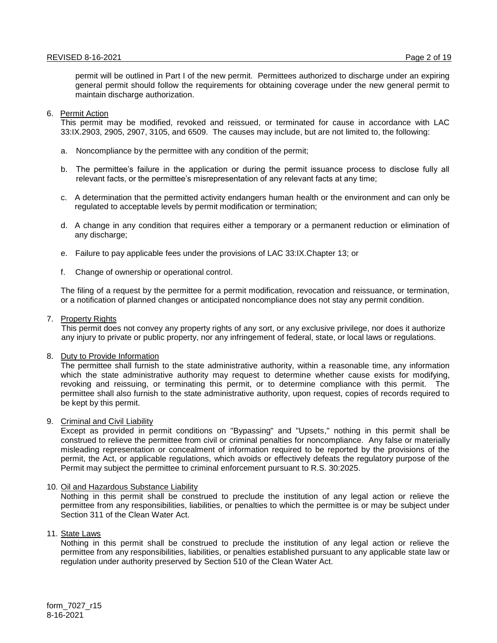permit will be outlined in Part I of the new permit. Permittees authorized to discharge under an expiring general permit should follow the requirements for obtaining coverage under the new general permit to maintain discharge authorization.

#### 6. Permit Action

This permit may be modified, revoked and reissued, or terminated for cause in accordance with LAC 33:IX.2903, 2905, 2907, 3105, and 6509. The causes may include, but are not limited to, the following:

- a. Noncompliance by the permittee with any condition of the permit;
- b. The permittee's failure in the application or during the permit issuance process to disclose fully all relevant facts, or the permittee's misrepresentation of any relevant facts at any time;
- c. A determination that the permitted activity endangers human health or the environment and can only be regulated to acceptable levels by permit modification or termination;
- d. A change in any condition that requires either a temporary or a permanent reduction or elimination of any discharge;
- e. Failure to pay applicable fees under the provisions of LAC 33:IX.Chapter 13; or
- f. Change of ownership or operational control.

The filing of a request by the permittee for a permit modification, revocation and reissuance, or termination, or a notification of planned changes or anticipated noncompliance does not stay any permit condition.

#### 7. Property Rights

This permit does not convey any property rights of any sort, or any exclusive privilege, nor does it authorize any injury to private or public property, nor any infringement of federal, state, or local laws or regulations.

#### 8. Duty to Provide Information

The permittee shall furnish to the state administrative authority, within a reasonable time, any information which the state administrative authority may request to determine whether cause exists for modifying, revoking and reissuing, or terminating this permit, or to determine compliance with this permit. The permittee shall also furnish to the state administrative authority, upon request, copies of records required to be kept by this permit.

9. Criminal and Civil Liability

Except as provided in permit conditions on "Bypassing" and "Upsets," nothing in this permit shall be construed to relieve the permittee from civil or criminal penalties for noncompliance. Any false or materially misleading representation or concealment of information required to be reported by the provisions of the permit, the Act, or applicable regulations, which avoids or effectively defeats the regulatory purpose of the Permit may subject the permittee to criminal enforcement pursuant to R.S. 30:2025.

# 10. Oil and Hazardous Substance Liability

Nothing in this permit shall be construed to preclude the institution of any legal action or relieve the permittee from any responsibilities, liabilities, or penalties to which the permittee is or may be subject under Section 311 of the Clean Water Act.

11. State Laws

Nothing in this permit shall be construed to preclude the institution of any legal action or relieve the permittee from any responsibilities, liabilities, or penalties established pursuant to any applicable state law or regulation under authority preserved by Section 510 of the Clean Water Act.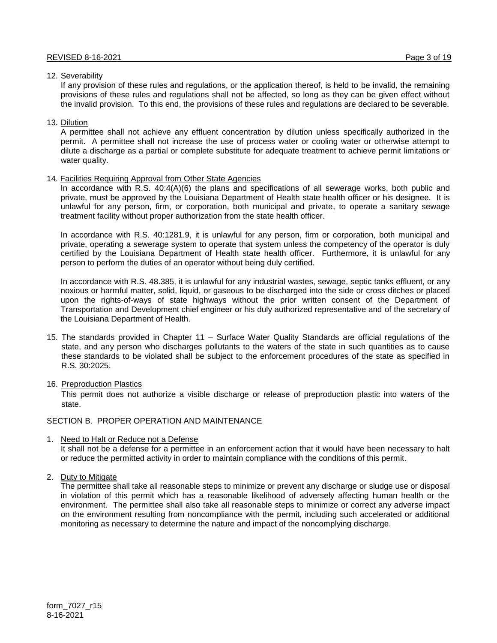# 12. Severability

If any provision of these rules and regulations, or the application thereof, is held to be invalid, the remaining provisions of these rules and regulations shall not be affected, so long as they can be given effect without the invalid provision. To this end, the provisions of these rules and regulations are declared to be severable.

# 13. Dilution

A permittee shall not achieve any effluent concentration by dilution unless specifically authorized in the permit. A permittee shall not increase the use of process water or cooling water or otherwise attempt to dilute a discharge as a partial or complete substitute for adequate treatment to achieve permit limitations or water quality.

# 14. Facilities Requiring Approval from Other State Agencies

In accordance with R.S. 40:4(A)(6) the plans and specifications of all sewerage works, both public and private, must be approved by the Louisiana Department of Health state health officer or his designee. It is unlawful for any person, firm, or corporation, both municipal and private, to operate a sanitary sewage treatment facility without proper authorization from the state health officer.

In accordance with R.S. 40:1281.9, it is unlawful for any person, firm or corporation, both municipal and private, operating a sewerage system to operate that system unless the competency of the operator is duly certified by the Louisiana Department of Health state health officer. Furthermore, it is unlawful for any person to perform the duties of an operator without being duly certified.

In accordance with R.S. 48.385, it is unlawful for any industrial wastes, sewage, septic tanks effluent, or any noxious or harmful matter, solid, liquid, or gaseous to be discharged into the side or cross ditches or placed upon the rights-of-ways of state highways without the prior written consent of the Department of Transportation and Development chief engineer or his duly authorized representative and of the secretary of the Louisiana Department of Health.

- 15. The standards provided in Chapter 11 Surface Water Quality Standards are official regulations of the state, and any person who discharges pollutants to the waters of the state in such quantities as to cause these standards to be violated shall be subject to the enforcement procedures of the state as specified in R.S. 30:2025.
- 16. Preproduction Plastics

This permit does not authorize a visible discharge or release of preproduction plastic into waters of the state.

# SECTION B. PROPER OPERATION AND MAINTENANCE

1. Need to Halt or Reduce not a Defense

It shall not be a defense for a permittee in an enforcement action that it would have been necessary to halt or reduce the permitted activity in order to maintain compliance with the conditions of this permit.

2. Duty to Mitigate

The permittee shall take all reasonable steps to minimize or prevent any discharge or sludge use or disposal in violation of this permit which has a reasonable likelihood of adversely affecting human health or the environment. The permittee shall also take all reasonable steps to minimize or correct any adverse impact on the environment resulting from noncompliance with the permit, including such accelerated or additional monitoring as necessary to determine the nature and impact of the noncomplying discharge.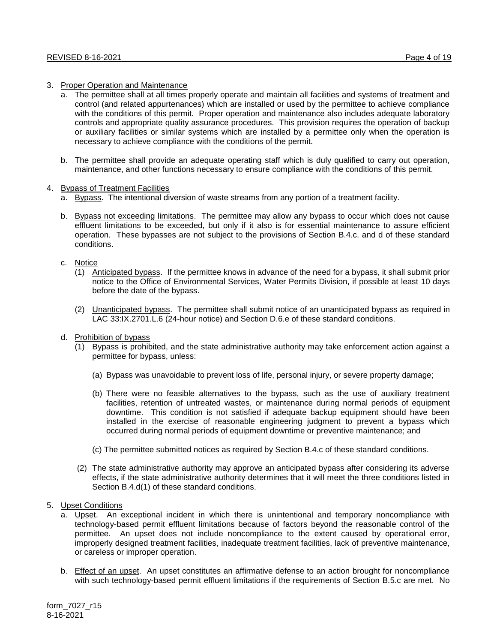## 3. Proper Operation and Maintenance

- a. The permittee shall at all times properly operate and maintain all facilities and systems of treatment and control (and related appurtenances) which are installed or used by the permittee to achieve compliance with the conditions of this permit. Proper operation and maintenance also includes adequate laboratory controls and appropriate quality assurance procedures. This provision requires the operation of backup or auxiliary facilities or similar systems which are installed by a permittee only when the operation is necessary to achieve compliance with the conditions of the permit.
- b. The permittee shall provide an adequate operating staff which is duly qualified to carry out operation, maintenance, and other functions necessary to ensure compliance with the conditions of this permit.

#### 4. Bypass of Treatment Facilities

- a. Bypass. The intentional diversion of waste streams from any portion of a treatment facility.
- b. Bypass not exceeding limitations. The permittee may allow any bypass to occur which does not cause effluent limitations to be exceeded, but only if it also is for essential maintenance to assure efficient operation. These bypasses are not subject to the provisions of Section B.4.c. and d of these standard conditions.

#### c. Notice

- (1) Anticipated bypass. If the permittee knows in advance of the need for a bypass, it shall submit prior notice to the Office of Environmental Services, Water Permits Division, if possible at least 10 days before the date of the bypass.
- (2) Unanticipated bypass. The permittee shall submit notice of an unanticipated bypass as required in LAC 33:IX.2701.L.6 (24-hour notice) and Section D.6.e of these standard conditions.
- d. Prohibition of bypass
	- (1) Bypass is prohibited, and the state administrative authority may take enforcement action against a permittee for bypass, unless:
		- (a) Bypass was unavoidable to prevent loss of life, personal injury, or severe property damage;
		- (b) There were no feasible alternatives to the bypass, such as the use of auxiliary treatment facilities, retention of untreated wastes, or maintenance during normal periods of equipment downtime. This condition is not satisfied if adequate backup equipment should have been installed in the exercise of reasonable engineering judgment to prevent a bypass which occurred during normal periods of equipment downtime or preventive maintenance; and
		- (c) The permittee submitted notices as required by Section B.4.c of these standard conditions.
	- (2) The state administrative authority may approve an anticipated bypass after considering its adverse effects, if the state administrative authority determines that it will meet the three conditions listed in Section B.4.d(1) of these standard conditions.
- 5. Upset Conditions
	- a. Upset. An exceptional incident in which there is unintentional and temporary noncompliance with technology-based permit effluent limitations because of factors beyond the reasonable control of the permittee. An upset does not include noncompliance to the extent caused by operational error, improperly designed treatment facilities, inadequate treatment facilities, lack of preventive maintenance, or careless or improper operation.
	- b. Effect of an upset. An upset constitutes an affirmative defense to an action brought for noncompliance with such technology-based permit effluent limitations if the requirements of Section B.5.c are met. No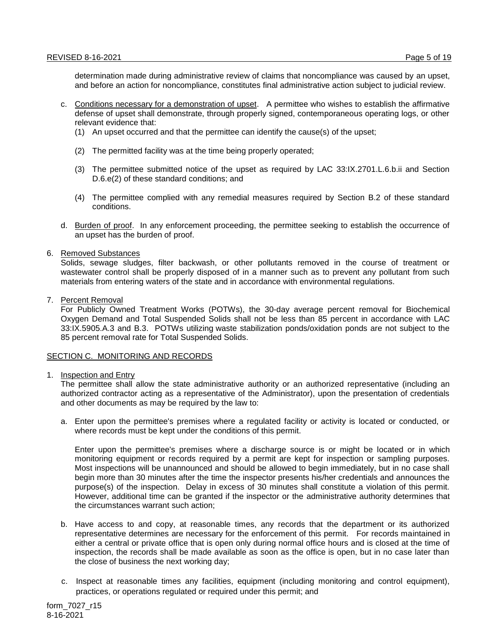determination made during administrative review of claims that noncompliance was caused by an upset, and before an action for noncompliance, constitutes final administrative action subject to judicial review.

- c. Conditions necessary for a demonstration of upset. A permittee who wishes to establish the affirmative defense of upset shall demonstrate, through properly signed, contemporaneous operating logs, or other relevant evidence that:
	- (1) An upset occurred and that the permittee can identify the cause(s) of the upset;
	- (2) The permitted facility was at the time being properly operated;
	- (3) The permittee submitted notice of the upset as required by LAC 33:IX.2701.L.6.b.ii and Section D.6.e(2) of these standard conditions; and
	- (4) The permittee complied with any remedial measures required by Section B.2 of these standard conditions.
- d. Burden of proof. In any enforcement proceeding, the permittee seeking to establish the occurrence of an upset has the burden of proof.
- 6. Removed Substances

Solids, sewage sludges, filter backwash, or other pollutants removed in the course of treatment or wastewater control shall be properly disposed of in a manner such as to prevent any pollutant from such materials from entering waters of the state and in accordance with environmental regulations.

7. Percent Removal

For Publicly Owned Treatment Works (POTWs), the 30-day average percent removal for Biochemical Oxygen Demand and Total Suspended Solids shall not be less than 85 percent in accordance with LAC 33:IX.5905.A.3 and B.3. POTWs utilizing waste stabilization ponds/oxidation ponds are not subject to the 85 percent removal rate for Total Suspended Solids.

#### SECTION C. MONITORING AND RECORDS

1. Inspection and Entry

The permittee shall allow the state administrative authority or an authorized representative (including an authorized contractor acting as a representative of the Administrator), upon the presentation of credentials and other documents as may be required by the law to:

a. Enter upon the permittee's premises where a regulated facility or activity is located or conducted, or where records must be kept under the conditions of this permit.

Enter upon the permittee's premises where a discharge source is or might be located or in which monitoring equipment or records required by a permit are kept for inspection or sampling purposes. Most inspections will be unannounced and should be allowed to begin immediately, but in no case shall begin more than 30 minutes after the time the inspector presents his/her credentials and announces the purpose(s) of the inspection. Delay in excess of 30 minutes shall constitute a violation of this permit. However, additional time can be granted if the inspector or the administrative authority determines that the circumstances warrant such action;

- b. Have access to and copy, at reasonable times, any records that the department or its authorized representative determines are necessary for the enforcement of this permit. For records maintained in either a central or private office that is open only during normal office hours and is closed at the time of inspection, the records shall be made available as soon as the office is open, but in no case later than the close of business the next working day;
- c. Inspect at reasonable times any facilities, equipment (including monitoring and control equipment), practices, or operations regulated or required under this permit; and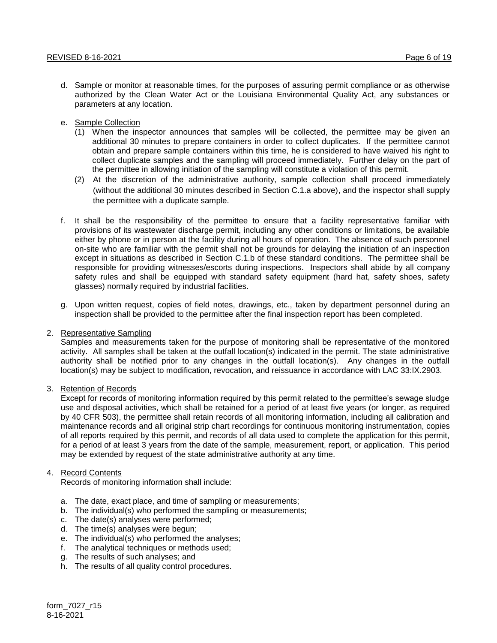- d. Sample or monitor at reasonable times, for the purposes of assuring permit compliance or as otherwise authorized by the Clean Water Act or the Louisiana Environmental Quality Act, any substances or parameters at any location.
- e. Sample Collection
	- (1) When the inspector announces that samples will be collected, the permittee may be given an additional 30 minutes to prepare containers in order to collect duplicates. If the permittee cannot obtain and prepare sample containers within this time, he is considered to have waived his right to collect duplicate samples and the sampling will proceed immediately. Further delay on the part of the permittee in allowing initiation of the sampling will constitute a violation of this permit.
	- (2) At the discretion of the administrative authority, sample collection shall proceed immediately (without the additional 30 minutes described in Section C.1.a above), and the inspector shall supply the permittee with a duplicate sample.
- f. It shall be the responsibility of the permittee to ensure that a facility representative familiar with provisions of its wastewater discharge permit, including any other conditions or limitations, be available either by phone or in person at the facility during all hours of operation. The absence of such personnel on-site who are familiar with the permit shall not be grounds for delaying the initiation of an inspection except in situations as described in Section C.1.b of these standard conditions. The permittee shall be responsible for providing witnesses/escorts during inspections. Inspectors shall abide by all company safety rules and shall be equipped with standard safety equipment (hard hat, safety shoes, safety glasses) normally required by industrial facilities.
- g. Upon written request, copies of field notes, drawings, etc., taken by department personnel during an inspection shall be provided to the permittee after the final inspection report has been completed.
- 2. Representative Sampling

Samples and measurements taken for the purpose of monitoring shall be representative of the monitored activity. All samples shall be taken at the outfall location(s) indicated in the permit. The state administrative authority shall be notified prior to any changes in the outfall location(s). Any changes in the outfall location(s) may be subject to modification, revocation, and reissuance in accordance with LAC 33:IX.2903.

# 3. Retention of Records

Except for records of monitoring information required by this permit related to the permittee's sewage sludge use and disposal activities, which shall be retained for a period of at least five years (or longer, as required by 40 CFR 503), the permittee shall retain records of all monitoring information, including all calibration and maintenance records and all original strip chart recordings for continuous monitoring instrumentation, copies of all reports required by this permit, and records of all data used to complete the application for this permit, for a period of at least 3 years from the date of the sample, measurement, report, or application. This period may be extended by request of the state administrative authority at any time.

# 4. Record Contents

Records of monitoring information shall include:

- a. The date, exact place, and time of sampling or measurements;
- b. The individual(s) who performed the sampling or measurements;
- c. The date(s) analyses were performed;
- d. The time(s) analyses were begun;
- e. The individual(s) who performed the analyses;
- f. The analytical techniques or methods used;
- g. The results of such analyses; and
- h. The results of all quality control procedures.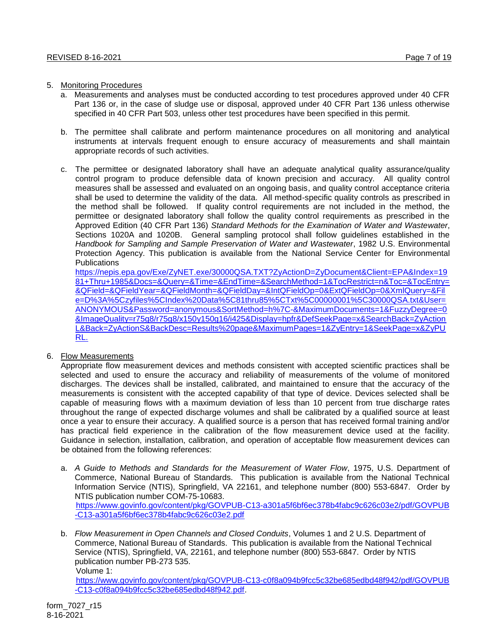## 5. Monitoring Procedures

- a. Measurements and analyses must be conducted according to test procedures approved under 40 CFR Part 136 or, in the case of sludge use or disposal, approved under 40 CFR Part 136 unless otherwise specified in 40 CFR Part 503, unless other test procedures have been specified in this permit.
- b. The permittee shall calibrate and perform maintenance procedures on all monitoring and analytical instruments at intervals frequent enough to ensure accuracy of measurements and shall maintain appropriate records of such activities.
- c. The permittee or designated laboratory shall have an adequate analytical quality assurance/quality control program to produce defensible data of known precision and accuracy. All quality control measures shall be assessed and evaluated on an ongoing basis, and quality control acceptance criteria shall be used to determine the validity of the data. All method-specific quality controls as prescribed in the method shall be followed. If quality control requirements are not included in the method, the permittee or designated laboratory shall follow the quality control requirements as prescribed in the Approved Edition (40 CFR Part 136) *Standard Methods for the Examination of Water and Wastewater*, Sections 1020A and 1020B. General sampling protocol shall follow guidelines established in the *Handbook for Sampling and Sample Preservation of Water and Wastewater*, 1982 U.S. Environmental Protection Agency. This publication is available from the National Service Center for Environmental **Publications**

[https://nepis.epa.gov/Exe/ZyNET.exe/30000QSA.TXT?ZyActionD=ZyDocument&Client=EPA&Index=19](https://nepis.epa.gov/Exe/ZyNET.exe/30000QSA.TXT?ZyActionD=ZyDocument&Client=EPA&Index=1981+Thru+1985&Docs=&Query=&Time=&EndTime=&SearchMethod=1&TocRestrict=n&Toc=&TocEntry=&QField=&QFieldYear=&QFieldMonth=&QFieldDay=&IntQFieldOp=0&ExtQFieldOp=0&XmlQuery=&File=D%3A%5Czyfiles%5CIndex%20Data%5C81thru85%5CTxt%5C00000001%5C30000QSA.txt&User=ANONYMOUS&Password=anonymous&SortMethod=h%7C-&MaximumDocuments=1&FuzzyDegree=0&ImageQuality=r75g8/r75g8/x150y150g16/i425&Display=hpfr&DefSeekPage=x&SearchBack=ZyActionL&Back=ZyActionS&BackDesc=Results%20page&MaximumPages=1&ZyEntry=1&SeekPage=x&ZyPURL.) [81+Thru+1985&Docs=&Query=&Time=&EndTime=&SearchMethod=1&TocRestrict=n&Toc=&TocEntry=](https://nepis.epa.gov/Exe/ZyNET.exe/30000QSA.TXT?ZyActionD=ZyDocument&Client=EPA&Index=1981+Thru+1985&Docs=&Query=&Time=&EndTime=&SearchMethod=1&TocRestrict=n&Toc=&TocEntry=&QField=&QFieldYear=&QFieldMonth=&QFieldDay=&IntQFieldOp=0&ExtQFieldOp=0&XmlQuery=&File=D%3A%5Czyfiles%5CIndex%20Data%5C81thru85%5CTxt%5C00000001%5C30000QSA.txt&User=ANONYMOUS&Password=anonymous&SortMethod=h%7C-&MaximumDocuments=1&FuzzyDegree=0&ImageQuality=r75g8/r75g8/x150y150g16/i425&Display=hpfr&DefSeekPage=x&SearchBack=ZyActionL&Back=ZyActionS&BackDesc=Results%20page&MaximumPages=1&ZyEntry=1&SeekPage=x&ZyPURL.) [&QField=&QFieldYear=&QFieldMonth=&QFieldDay=&IntQFieldOp=0&ExtQFieldOp=0&XmlQuery=&Fil](https://nepis.epa.gov/Exe/ZyNET.exe/30000QSA.TXT?ZyActionD=ZyDocument&Client=EPA&Index=1981+Thru+1985&Docs=&Query=&Time=&EndTime=&SearchMethod=1&TocRestrict=n&Toc=&TocEntry=&QField=&QFieldYear=&QFieldMonth=&QFieldDay=&IntQFieldOp=0&ExtQFieldOp=0&XmlQuery=&File=D%3A%5Czyfiles%5CIndex%20Data%5C81thru85%5CTxt%5C00000001%5C30000QSA.txt&User=ANONYMOUS&Password=anonymous&SortMethod=h%7C-&MaximumDocuments=1&FuzzyDegree=0&ImageQuality=r75g8/r75g8/x150y150g16/i425&Display=hpfr&DefSeekPage=x&SearchBack=ZyActionL&Back=ZyActionS&BackDesc=Results%20page&MaximumPages=1&ZyEntry=1&SeekPage=x&ZyPURL.) [e=D%3A%5Czyfiles%5CIndex%20Data%5C81thru85%5CTxt%5C00000001%5C30000QSA.txt&User=](https://nepis.epa.gov/Exe/ZyNET.exe/30000QSA.TXT?ZyActionD=ZyDocument&Client=EPA&Index=1981+Thru+1985&Docs=&Query=&Time=&EndTime=&SearchMethod=1&TocRestrict=n&Toc=&TocEntry=&QField=&QFieldYear=&QFieldMonth=&QFieldDay=&IntQFieldOp=0&ExtQFieldOp=0&XmlQuery=&File=D%3A%5Czyfiles%5CIndex%20Data%5C81thru85%5CTxt%5C00000001%5C30000QSA.txt&User=ANONYMOUS&Password=anonymous&SortMethod=h%7C-&MaximumDocuments=1&FuzzyDegree=0&ImageQuality=r75g8/r75g8/x150y150g16/i425&Display=hpfr&DefSeekPage=x&SearchBack=ZyActionL&Back=ZyActionS&BackDesc=Results%20page&MaximumPages=1&ZyEntry=1&SeekPage=x&ZyPURL.) [ANONYMOUS&Password=anonymous&SortMethod=h%7C-&MaximumDocuments=1&FuzzyDegree=0](https://nepis.epa.gov/Exe/ZyNET.exe/30000QSA.TXT?ZyActionD=ZyDocument&Client=EPA&Index=1981+Thru+1985&Docs=&Query=&Time=&EndTime=&SearchMethod=1&TocRestrict=n&Toc=&TocEntry=&QField=&QFieldYear=&QFieldMonth=&QFieldDay=&IntQFieldOp=0&ExtQFieldOp=0&XmlQuery=&File=D%3A%5Czyfiles%5CIndex%20Data%5C81thru85%5CTxt%5C00000001%5C30000QSA.txt&User=ANONYMOUS&Password=anonymous&SortMethod=h%7C-&MaximumDocuments=1&FuzzyDegree=0&ImageQuality=r75g8/r75g8/x150y150g16/i425&Display=hpfr&DefSeekPage=x&SearchBack=ZyActionL&Back=ZyActionS&BackDesc=Results%20page&MaximumPages=1&ZyEntry=1&SeekPage=x&ZyPURL.) [&ImageQuality=r75g8/r75g8/x150y150g16/i425&Display=hpfr&DefSeekPage=x&SearchBack=ZyAction](https://nepis.epa.gov/Exe/ZyNET.exe/30000QSA.TXT?ZyActionD=ZyDocument&Client=EPA&Index=1981+Thru+1985&Docs=&Query=&Time=&EndTime=&SearchMethod=1&TocRestrict=n&Toc=&TocEntry=&QField=&QFieldYear=&QFieldMonth=&QFieldDay=&IntQFieldOp=0&ExtQFieldOp=0&XmlQuery=&File=D%3A%5Czyfiles%5CIndex%20Data%5C81thru85%5CTxt%5C00000001%5C30000QSA.txt&User=ANONYMOUS&Password=anonymous&SortMethod=h%7C-&MaximumDocuments=1&FuzzyDegree=0&ImageQuality=r75g8/r75g8/x150y150g16/i425&Display=hpfr&DefSeekPage=x&SearchBack=ZyActionL&Back=ZyActionS&BackDesc=Results%20page&MaximumPages=1&ZyEntry=1&SeekPage=x&ZyPURL.) [L&Back=ZyActionS&BackDesc=Results%20page&MaximumPages=1&ZyEntry=1&SeekPage=x&ZyPU](https://nepis.epa.gov/Exe/ZyNET.exe/30000QSA.TXT?ZyActionD=ZyDocument&Client=EPA&Index=1981+Thru+1985&Docs=&Query=&Time=&EndTime=&SearchMethod=1&TocRestrict=n&Toc=&TocEntry=&QField=&QFieldYear=&QFieldMonth=&QFieldDay=&IntQFieldOp=0&ExtQFieldOp=0&XmlQuery=&File=D%3A%5Czyfiles%5CIndex%20Data%5C81thru85%5CTxt%5C00000001%5C30000QSA.txt&User=ANONYMOUS&Password=anonymous&SortMethod=h%7C-&MaximumDocuments=1&FuzzyDegree=0&ImageQuality=r75g8/r75g8/x150y150g16/i425&Display=hpfr&DefSeekPage=x&SearchBack=ZyActionL&Back=ZyActionS&BackDesc=Results%20page&MaximumPages=1&ZyEntry=1&SeekPage=x&ZyPURL.) [RL.](https://nepis.epa.gov/Exe/ZyNET.exe/30000QSA.TXT?ZyActionD=ZyDocument&Client=EPA&Index=1981+Thru+1985&Docs=&Query=&Time=&EndTime=&SearchMethod=1&TocRestrict=n&Toc=&TocEntry=&QField=&QFieldYear=&QFieldMonth=&QFieldDay=&IntQFieldOp=0&ExtQFieldOp=0&XmlQuery=&File=D%3A%5Czyfiles%5CIndex%20Data%5C81thru85%5CTxt%5C00000001%5C30000QSA.txt&User=ANONYMOUS&Password=anonymous&SortMethod=h%7C-&MaximumDocuments=1&FuzzyDegree=0&ImageQuality=r75g8/r75g8/x150y150g16/i425&Display=hpfr&DefSeekPage=x&SearchBack=ZyActionL&Back=ZyActionS&BackDesc=Results%20page&MaximumPages=1&ZyEntry=1&SeekPage=x&ZyPURL.)

6. Flow Measurements

Appropriate flow measurement devices and methods consistent with accepted scientific practices shall be selected and used to ensure the accuracy and reliability of measurements of the volume of monitored discharges. The devices shall be installed, calibrated, and maintained to ensure that the accuracy of the measurements is consistent with the accepted capability of that type of device. Devices selected shall be capable of measuring flows with a maximum deviation of less than 10 percent from true discharge rates throughout the range of expected discharge volumes and shall be calibrated by a qualified source at least once a year to ensure their accuracy. A qualified source is a person that has received formal training and/or has practical field experience in the calibration of the flow measurement device used at the facility. Guidance in selection, installation, calibration, and operation of acceptable flow measurement devices can be obtained from the following references:

- a. *A Guide to Methods and Standards for the Measurement of Water Flow*, 1975, U.S. Department of Commerce, National Bureau of Standards. This publication is available from the National Technical Information Service (NTIS), Springfield, VA 22161, and telephone number (800) 553-6847. Order by NTIS publication number COM-75-10683. [https://www.govinfo.gov/content/pkg/GOVPUB-C13-a301a5f6bf6ec378b4fabc9c626c03e2/pdf/GOVPUB](https://www.govinfo.gov/content/pkg/GOVPUB-C13-a301a5f6bf6ec378b4fabc9c626c03e2/pdf/GOVPUB-C13-a301a5f6bf6ec378b4fabc9c626c03e2.pdf) [-C13-a301a5f6bf6ec378b4fabc9c626c03e2.pdf](https://www.govinfo.gov/content/pkg/GOVPUB-C13-a301a5f6bf6ec378b4fabc9c626c03e2/pdf/GOVPUB-C13-a301a5f6bf6ec378b4fabc9c626c03e2.pdf)
- b. *Flow Measurement in Open Channels and Closed Conduits*, Volumes 1 and 2 U.S. Department of Commerce, National Bureau of Standards. This publication is available from the National Technical Service (NTIS), Springfield, VA, 22161, and telephone number (800) 553-6847. Order by NTIS publication number PB-273 535. Volume 1:

[https://www.govinfo.gov/content/pkg/GOVPUB-C13-c0f8a094b9fcc5c32be685edbd48f942/pdf/GOVPUB](https://www.govinfo.gov/content/pkg/GOVPUB-C13-c0f8a094b9fcc5c32be685edbd48f942/pdf/GOVPUB-C13-c0f8a094b9fcc5c32be685edbd48f942.pdf) [-C13-c0f8a094b9fcc5c32be685edbd48f942.pdf.](https://www.govinfo.gov/content/pkg/GOVPUB-C13-c0f8a094b9fcc5c32be685edbd48f942/pdf/GOVPUB-C13-c0f8a094b9fcc5c32be685edbd48f942.pdf)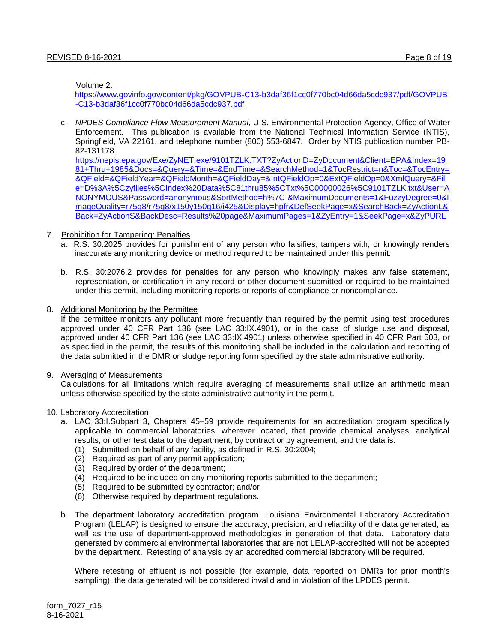Volume 2:

[https://www.govinfo.gov/content/pkg/GOVPUB-C13-b3daf36f1cc0f770bc04d66da5cdc937/pdf/GOVPUB](https://www.govinfo.gov/content/pkg/GOVPUB-C13-b3daf36f1cc0f770bc04d66da5cdc937/pdf/GOVPUB-C13-b3daf36f1cc0f770bc04d66da5cdc937.pdf) [-C13-b3daf36f1cc0f770bc04d66da5cdc937.pdf](https://www.govinfo.gov/content/pkg/GOVPUB-C13-b3daf36f1cc0f770bc04d66da5cdc937/pdf/GOVPUB-C13-b3daf36f1cc0f770bc04d66da5cdc937.pdf)

c. *NPDES Compliance Flow Measurement Manual*, U.S. Environmental Protection Agency, Office of Water Enforcement. This publication is available from the National Technical Information Service (NTIS), Springfield, VA 22161, and telephone number (800) 553-6847. Order by NTIS publication number PB-82-131178.

[https://nepis.epa.gov/Exe/ZyNET.exe/9101TZLK.TXT?ZyActionD=ZyDocument&Client=EPA&Index=19](https://nepis.epa.gov/Exe/ZyNET.exe/9101TZLK.TXT?ZyActionD=ZyDocument&Client=EPA&Index=1981+Thru+1985&Docs=&Query=&Time=&EndTime=&SearchMethod=1&TocRestrict=n&Toc=&TocEntry=&QField=&QFieldYear=&QFieldMonth=&QFieldDay=&IntQFieldOp=0&ExtQFieldOp=0&XmlQuery=&File=D%3A%5Czyfiles%5CIndex%20Data%5C81thru85%5CTxt%5C00000026%5C9101TZLK.txt&User=ANONYMOUS&Password=anonymous&SortMethod=h%7C-&MaximumDocuments=1&FuzzyDegree=0&ImageQuality=r75g8/r75g8/x150y150g16/i425&Display=hpfr&DefSeekPage=x&SearchBack=ZyActionL&Back=ZyActionS&BackDesc=Results%20page&MaximumPages=1&ZyEntry=1&SeekPage=x&ZyPURL) [81+Thru+1985&Docs=&Query=&Time=&EndTime=&SearchMethod=1&TocRestrict=n&Toc=&TocEntry=](https://nepis.epa.gov/Exe/ZyNET.exe/9101TZLK.TXT?ZyActionD=ZyDocument&Client=EPA&Index=1981+Thru+1985&Docs=&Query=&Time=&EndTime=&SearchMethod=1&TocRestrict=n&Toc=&TocEntry=&QField=&QFieldYear=&QFieldMonth=&QFieldDay=&IntQFieldOp=0&ExtQFieldOp=0&XmlQuery=&File=D%3A%5Czyfiles%5CIndex%20Data%5C81thru85%5CTxt%5C00000026%5C9101TZLK.txt&User=ANONYMOUS&Password=anonymous&SortMethod=h%7C-&MaximumDocuments=1&FuzzyDegree=0&ImageQuality=r75g8/r75g8/x150y150g16/i425&Display=hpfr&DefSeekPage=x&SearchBack=ZyActionL&Back=ZyActionS&BackDesc=Results%20page&MaximumPages=1&ZyEntry=1&SeekPage=x&ZyPURL) [&QField=&QFieldYear=&QFieldMonth=&QFieldDay=&IntQFieldOp=0&ExtQFieldOp=0&XmlQuery=&Fil](https://nepis.epa.gov/Exe/ZyNET.exe/9101TZLK.TXT?ZyActionD=ZyDocument&Client=EPA&Index=1981+Thru+1985&Docs=&Query=&Time=&EndTime=&SearchMethod=1&TocRestrict=n&Toc=&TocEntry=&QField=&QFieldYear=&QFieldMonth=&QFieldDay=&IntQFieldOp=0&ExtQFieldOp=0&XmlQuery=&File=D%3A%5Czyfiles%5CIndex%20Data%5C81thru85%5CTxt%5C00000026%5C9101TZLK.txt&User=ANONYMOUS&Password=anonymous&SortMethod=h%7C-&MaximumDocuments=1&FuzzyDegree=0&ImageQuality=r75g8/r75g8/x150y150g16/i425&Display=hpfr&DefSeekPage=x&SearchBack=ZyActionL&Back=ZyActionS&BackDesc=Results%20page&MaximumPages=1&ZyEntry=1&SeekPage=x&ZyPURL) [e=D%3A%5Czyfiles%5CIndex%20Data%5C81thru85%5CTxt%5C00000026%5C9101TZLK.txt&User=A](https://nepis.epa.gov/Exe/ZyNET.exe/9101TZLK.TXT?ZyActionD=ZyDocument&Client=EPA&Index=1981+Thru+1985&Docs=&Query=&Time=&EndTime=&SearchMethod=1&TocRestrict=n&Toc=&TocEntry=&QField=&QFieldYear=&QFieldMonth=&QFieldDay=&IntQFieldOp=0&ExtQFieldOp=0&XmlQuery=&File=D%3A%5Czyfiles%5CIndex%20Data%5C81thru85%5CTxt%5C00000026%5C9101TZLK.txt&User=ANONYMOUS&Password=anonymous&SortMethod=h%7C-&MaximumDocuments=1&FuzzyDegree=0&ImageQuality=r75g8/r75g8/x150y150g16/i425&Display=hpfr&DefSeekPage=x&SearchBack=ZyActionL&Back=ZyActionS&BackDesc=Results%20page&MaximumPages=1&ZyEntry=1&SeekPage=x&ZyPURL) [NONYMOUS&Password=anonymous&SortMethod=h%7C-&MaximumDocuments=1&FuzzyDegree=0&I](https://nepis.epa.gov/Exe/ZyNET.exe/9101TZLK.TXT?ZyActionD=ZyDocument&Client=EPA&Index=1981+Thru+1985&Docs=&Query=&Time=&EndTime=&SearchMethod=1&TocRestrict=n&Toc=&TocEntry=&QField=&QFieldYear=&QFieldMonth=&QFieldDay=&IntQFieldOp=0&ExtQFieldOp=0&XmlQuery=&File=D%3A%5Czyfiles%5CIndex%20Data%5C81thru85%5CTxt%5C00000026%5C9101TZLK.txt&User=ANONYMOUS&Password=anonymous&SortMethod=h%7C-&MaximumDocuments=1&FuzzyDegree=0&ImageQuality=r75g8/r75g8/x150y150g16/i425&Display=hpfr&DefSeekPage=x&SearchBack=ZyActionL&Back=ZyActionS&BackDesc=Results%20page&MaximumPages=1&ZyEntry=1&SeekPage=x&ZyPURL) [mageQuality=r75g8/r75g8/x150y150g16/i425&Display=hpfr&DefSeekPage=x&SearchBack=ZyActionL&](https://nepis.epa.gov/Exe/ZyNET.exe/9101TZLK.TXT?ZyActionD=ZyDocument&Client=EPA&Index=1981+Thru+1985&Docs=&Query=&Time=&EndTime=&SearchMethod=1&TocRestrict=n&Toc=&TocEntry=&QField=&QFieldYear=&QFieldMonth=&QFieldDay=&IntQFieldOp=0&ExtQFieldOp=0&XmlQuery=&File=D%3A%5Czyfiles%5CIndex%20Data%5C81thru85%5CTxt%5C00000026%5C9101TZLK.txt&User=ANONYMOUS&Password=anonymous&SortMethod=h%7C-&MaximumDocuments=1&FuzzyDegree=0&ImageQuality=r75g8/r75g8/x150y150g16/i425&Display=hpfr&DefSeekPage=x&SearchBack=ZyActionL&Back=ZyActionS&BackDesc=Results%20page&MaximumPages=1&ZyEntry=1&SeekPage=x&ZyPURL) [Back=ZyActionS&BackDesc=Results%20page&MaximumPages=1&ZyEntry=1&SeekPage=x&ZyPURL](https://nepis.epa.gov/Exe/ZyNET.exe/9101TZLK.TXT?ZyActionD=ZyDocument&Client=EPA&Index=1981+Thru+1985&Docs=&Query=&Time=&EndTime=&SearchMethod=1&TocRestrict=n&Toc=&TocEntry=&QField=&QFieldYear=&QFieldMonth=&QFieldDay=&IntQFieldOp=0&ExtQFieldOp=0&XmlQuery=&File=D%3A%5Czyfiles%5CIndex%20Data%5C81thru85%5CTxt%5C00000026%5C9101TZLK.txt&User=ANONYMOUS&Password=anonymous&SortMethod=h%7C-&MaximumDocuments=1&FuzzyDegree=0&ImageQuality=r75g8/r75g8/x150y150g16/i425&Display=hpfr&DefSeekPage=x&SearchBack=ZyActionL&Back=ZyActionS&BackDesc=Results%20page&MaximumPages=1&ZyEntry=1&SeekPage=x&ZyPURL)

#### 7. Prohibition for Tampering: Penalties

- a. R.S. 30:2025 provides for punishment of any person who falsifies, tampers with, or knowingly renders inaccurate any monitoring device or method required to be maintained under this permit.
- b. R.S. 30:2076.2 provides for penalties for any person who knowingly makes any false statement, representation, or certification in any record or other document submitted or required to be maintained under this permit, including monitoring reports or reports of compliance or noncompliance.

#### 8. Additional Monitoring by the Permittee

If the permittee monitors any pollutant more frequently than required by the permit using test procedures approved under 40 CFR Part 136 (see LAC 33:IX.4901), or in the case of sludge use and disposal, approved under 40 CFR Part 136 (see LAC 33:IX.4901) unless otherwise specified in 40 CFR Part 503, or as specified in the permit, the results of this monitoring shall be included in the calculation and reporting of the data submitted in the DMR or sludge reporting form specified by the state administrative authority.

#### 9. Averaging of Measurements

Calculations for all limitations which require averaging of measurements shall utilize an arithmetic mean unless otherwise specified by the state administrative authority in the permit.

#### 10. Laboratory Accreditation

- a. LAC 33:I.Subpart 3, Chapters 45–59 provide requirements for an accreditation program specifically applicable to commercial laboratories, wherever located, that provide chemical analyses, analytical results, or other test data to the department, by contract or by agreement, and the data is:
	- (1) Submitted on behalf of any facility, as defined in R.S. 30:2004;
	- (2) Required as part of any permit application;
	- (3) Required by order of the department;
	- (4) Required to be included on any monitoring reports submitted to the department;
	- (5) Required to be submitted by contractor; and/or
	- (6) Otherwise required by department regulations.
- b. The department laboratory accreditation program, Louisiana Environmental Laboratory Accreditation Program (LELAP) is designed to ensure the accuracy, precision, and reliability of the data generated, as well as the use of department-approved methodologies in generation of that data. Laboratory data generated by commercial environmental laboratories that are not LELAP-accredited will not be accepted by the department. Retesting of analysis by an accredited commercial laboratory will be required.

Where retesting of effluent is not possible (for example, data reported on DMRs for prior month's sampling), the data generated will be considered invalid and in violation of the LPDES permit.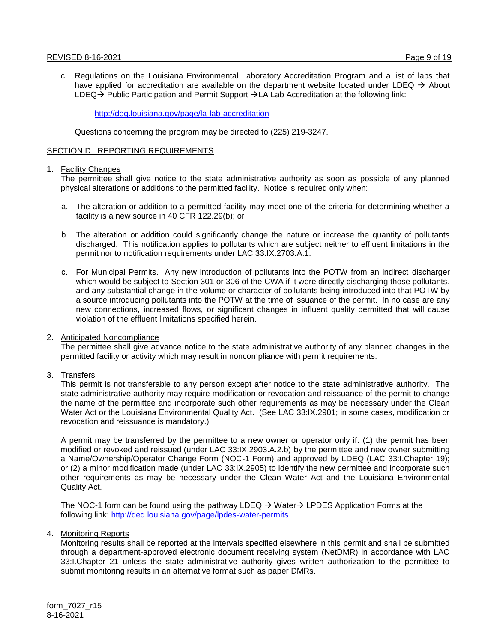c. Regulations on the Louisiana Environmental Laboratory Accreditation Program and a list of labs that have applied for accreditation are available on the department website located under LDEQ  $\rightarrow$  About  $LDEQ \rightarrow$  Public Participation and Permit Support  $\rightarrow$  LA Lab Accreditation at the following link:

<http://deq.louisiana.gov/page/la-lab-accreditation>

Questions concerning the program may be directed to (225) 219-3247.

## SECTION D. REPORTING REQUIREMENTS

#### 1. Facility Changes

The permittee shall give notice to the state administrative authority as soon as possible of any planned physical alterations or additions to the permitted facility. Notice is required only when:

- a. The alteration or addition to a permitted facility may meet one of the criteria for determining whether a facility is a new source in 40 CFR 122.29(b); or
- b. The alteration or addition could significantly change the nature or increase the quantity of pollutants discharged. This notification applies to pollutants which are subject neither to effluent limitations in the permit nor to notification requirements under LAC 33:IX.2703.A.1.
- c. For Municipal Permits. Any new introduction of pollutants into the POTW from an indirect discharger which would be subject to Section 301 or 306 of the CWA if it were directly discharging those pollutants, and any substantial change in the volume or character of pollutants being introduced into that POTW by a source introducing pollutants into the POTW at the time of issuance of the permit. In no case are any new connections, increased flows, or significant changes in influent quality permitted that will cause violation of the effluent limitations specified herein.

# 2. Anticipated Noncompliance

The permittee shall give advance notice to the state administrative authority of any planned changes in the permitted facility or activity which may result in noncompliance with permit requirements.

3. Transfers

This permit is not transferable to any person except after notice to the state administrative authority. The state administrative authority may require modification or revocation and reissuance of the permit to change the name of the permittee and incorporate such other requirements as may be necessary under the Clean Water Act or the Louisiana Environmental Quality Act. (See LAC 33:IX.2901; in some cases, modification or revocation and reissuance is mandatory.)

A permit may be transferred by the permittee to a new owner or operator only if: (1) the permit has been modified or revoked and reissued (under LAC 33:IX.2903.A.2.b) by the permittee and new owner submitting a Name/Ownership/Operator Change Form (NOC-1 Form) and approved by LDEQ (LAC 33:I.Chapter 19); or (2) a minor modification made (under LAC 33:IX.2905) to identify the new permittee and incorporate such other requirements as may be necessary under the Clean Water Act and the Louisiana Environmental Quality Act.

The NOC-1 form can be found using the pathway LDEQ  $\rightarrow$  Water  $\rightarrow$  LPDES Application Forms at the following link:<http://deq.louisiana.gov/page/lpdes-water-permits>

4. Monitoring Reports

Monitoring results shall be reported at the intervals specified elsewhere in this permit and shall be submitted through a department-approved electronic document receiving system (NetDMR) in accordance with LAC 33:I.Chapter 21 unless the state administrative authority gives written authorization to the permittee to submit monitoring results in an alternative format such as paper DMRs.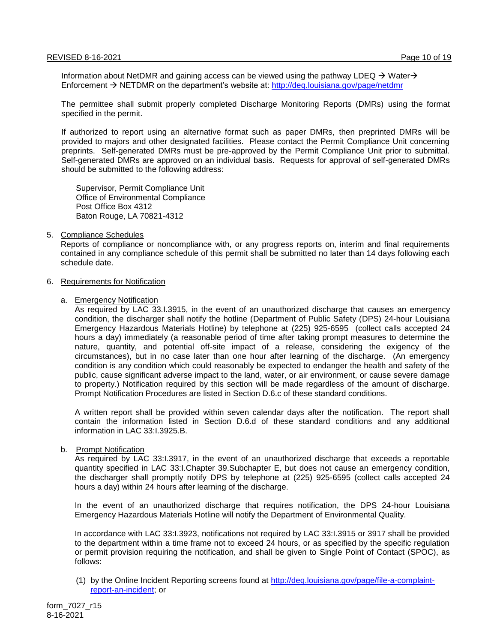Information about NetDMR and gaining access can be viewed using the pathway LDEQ  $\rightarrow$  Water $\rightarrow$ Enforcement NETDMR on the department's website at: <http://deq.louisiana.gov/page/netdmr>

The permittee shall submit properly completed Discharge Monitoring Reports (DMRs) using the format specified in the permit.

If authorized to report using an alternative format such as paper DMRs, then preprinted DMRs will be provided to majors and other designated facilities. Please contact the Permit Compliance Unit concerning preprints. Self-generated DMRs must be pre-approved by the Permit Compliance Unit prior to submittal. Self-generated DMRs are approved on an individual basis. Requests for approval of self-generated DMRs should be submitted to the following address:

Supervisor, Permit Compliance Unit Office of Environmental Compliance Post Office Box 4312 Baton Rouge, LA 70821-4312

#### 5. Compliance Schedules

Reports of compliance or noncompliance with, or any progress reports on, interim and final requirements contained in any compliance schedule of this permit shall be submitted no later than 14 days following each schedule date.

#### 6. Requirements for Notification

#### a. Emergency Notification

As required by LAC 33.I.3915, in the event of an unauthorized discharge that causes an emergency condition, the discharger shall notify the hotline (Department of Public Safety (DPS) 24-hour Louisiana Emergency Hazardous Materials Hotline) by telephone at (225) 925-6595 (collect calls accepted 24 hours a day) immediately (a reasonable period of time after taking prompt measures to determine the nature, quantity, and potential off-site impact of a release, considering the exigency of the circumstances), but in no case later than one hour after learning of the discharge. (An emergency condition is any condition which could reasonably be expected to endanger the health and safety of the public, cause significant adverse impact to the land, water, or air environment, or cause severe damage to property.) Notification required by this section will be made regardless of the amount of discharge. Prompt Notification Procedures are listed in Section D.6.c of these standard conditions.

A written report shall be provided within seven calendar days after the notification. The report shall contain the information listed in Section D.6.d of these standard conditions and any additional information in LAC 33:I.3925.B.

#### b. Prompt Notification

As required by LAC 33:I.3917, in the event of an unauthorized discharge that exceeds a reportable quantity specified in LAC 33:I.Chapter 39.Subchapter E, but does not cause an emergency condition, the discharger shall promptly notify DPS by telephone at (225) 925-6595 (collect calls accepted 24 hours a day) within 24 hours after learning of the discharge.

In the event of an unauthorized discharge that requires notification, the DPS 24-hour Louisiana Emergency Hazardous Materials Hotline will notify the Department of Environmental Quality.

In accordance with LAC 33:I.3923, notifications not required by LAC 33:I.3915 or 3917 shall be provided to the department within a time frame not to exceed 24 hours, or as specified by the specific regulation or permit provision requiring the notification, and shall be given to Single Point of Contact (SPOC), as follows:

(1) by the Online Incident Reporting screens found at [http://deq.louisiana.gov/page/file-a-complaint](http://deq.louisiana.gov/page/file-a-complaint-report-an-incident)[report-an-incident;](http://deq.louisiana.gov/page/file-a-complaint-report-an-incident) or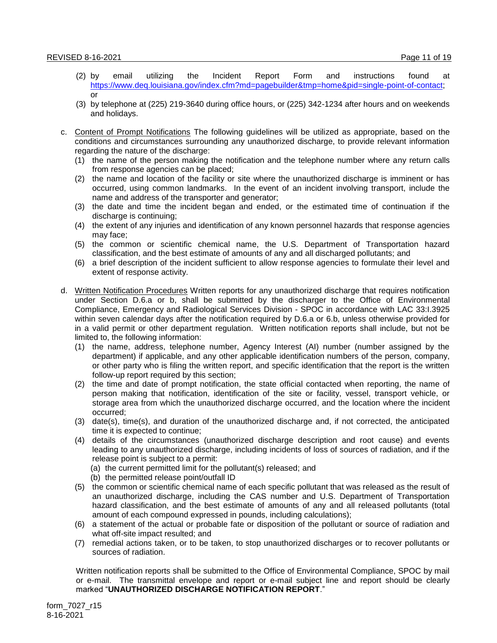- (2) by email utilizing the Incident Report Form and instructions found at [https://www.deq.louisiana.gov/index.cfm?md=pagebuilder&tmp=home&pid=single-point-of-contact;](https://www.deq.louisiana.gov/index.cfm?md=pagebuilder&tmp=home&pid=single-point-of-contact) or
- (3) by telephone at (225) 219-3640 during office hours, or (225) 342-1234 after hours and on weekends and holidays.
- c. Content of Prompt Notifications The following guidelines will be utilized as appropriate, based on the conditions and circumstances surrounding any unauthorized discharge, to provide relevant information regarding the nature of the discharge:
	- (1) the name of the person making the notification and the telephone number where any return calls from response agencies can be placed;
	- (2) the name and location of the facility or site where the unauthorized discharge is imminent or has occurred, using common landmarks. In the event of an incident involving transport, include the name and address of the transporter and generator;
	- (3) the date and time the incident began and ended, or the estimated time of continuation if the discharge is continuing;
	- (4) the extent of any injuries and identification of any known personnel hazards that response agencies may face;
	- (5) the common or scientific chemical name, the U.S. Department of Transportation hazard classification, and the best estimate of amounts of any and all discharged pollutants; and
	- (6) a brief description of the incident sufficient to allow response agencies to formulate their level and extent of response activity.
- d. Written Notification Procedures Written reports for any unauthorized discharge that requires notification under Section D.6.a or b, shall be submitted by the discharger to the Office of Environmental Compliance, Emergency and Radiological Services Division - SPOC in accordance with LAC 33:I.3925 within seven calendar days after the notification required by D.6.a or 6.b, unless otherwise provided for in a valid permit or other department regulation. Written notification reports shall include, but not be limited to, the following information:
	- (1) the name, address, telephone number, Agency Interest (AI) number (number assigned by the department) if applicable, and any other applicable identification numbers of the person, company, or other party who is filing the written report, and specific identification that the report is the written follow-up report required by this section;
	- (2) the time and date of prompt notification, the state official contacted when reporting, the name of person making that notification, identification of the site or facility, vessel, transport vehicle, or storage area from which the unauthorized discharge occurred, and the location where the incident occurred;
	- (3) date(s), time(s), and duration of the unauthorized discharge and, if not corrected, the anticipated time it is expected to continue;
	- (4) details of the circumstances (unauthorized discharge description and root cause) and events leading to any unauthorized discharge, including incidents of loss of sources of radiation, and if the release point is subject to a permit:
		- (a) the current permitted limit for the pollutant(s) released; and
		- (b) the permitted release point/outfall ID
	- (5) the common or scientific chemical name of each specific pollutant that was released as the result of an unauthorized discharge, including the CAS number and U.S. Department of Transportation hazard classification, and the best estimate of amounts of any and all released pollutants (total amount of each compound expressed in pounds, including calculations);
	- (6) a statement of the actual or probable fate or disposition of the pollutant or source of radiation and what off-site impact resulted; and
	- (7) remedial actions taken, or to be taken, to stop unauthorized discharges or to recover pollutants or sources of radiation.

Written notification reports shall be submitted to the Office of Environmental Compliance, SPOC by mail or e-mail. The transmittal envelope and report or e-mail subject line and report should be clearly marked "**UNAUTHORIZED DISCHARGE NOTIFICATION REPORT**."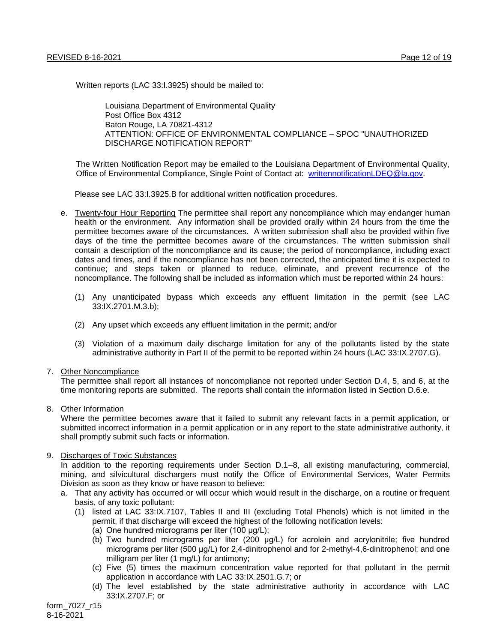Written reports (LAC 33:I.3925) should be mailed to:

Louisiana Department of Environmental Quality Post Office Box 4312 Baton Rouge, LA 70821-4312 ATTENTION: OFFICE OF ENVIRONMENTAL COMPLIANCE – SPOC "UNAUTHORIZED DISCHARGE NOTIFICATION REPORT"

The Written Notification Report may be emailed to the Louisiana Department of Environmental Quality, Office of Environmental Compliance, Single Point of Contact at: [writtennotificationLDEQ@la.gov.](mailto:writtennotificationLDEQ@la.gov)

Please see LAC 33:I.3925.B for additional written notification procedures.

- e. Twenty-four Hour Reporting The permittee shall report any noncompliance which may endanger human health or the environment. Any information shall be provided orally within 24 hours from the time the permittee becomes aware of the circumstances. A written submission shall also be provided within five days of the time the permittee becomes aware of the circumstances. The written submission shall contain a description of the noncompliance and its cause; the period of noncompliance, including exact dates and times, and if the noncompliance has not been corrected, the anticipated time it is expected to continue; and steps taken or planned to reduce, eliminate, and prevent recurrence of the noncompliance. The following shall be included as information which must be reported within 24 hours:
	- (1) Any unanticipated bypass which exceeds any effluent limitation in the permit (see LAC 33:IX.2701.M.3.b);
	- (2) Any upset which exceeds any effluent limitation in the permit; and/or
	- (3) Violation of a maximum daily discharge limitation for any of the pollutants listed by the state administrative authority in Part II of the permit to be reported within 24 hours (LAC 33:IX.2707.G).

#### 7. Other Noncompliance

The permittee shall report all instances of noncompliance not reported under Section D.4, 5, and 6, at the time monitoring reports are submitted. The reports shall contain the information listed in Section D.6.e.

8. Other Information

Where the permittee becomes aware that it failed to submit any relevant facts in a permit application, or submitted incorrect information in a permit application or in any report to the state administrative authority, it shall promptly submit such facts or information.

# 9. Discharges of Toxic Substances

In addition to the reporting requirements under Section D.1–8, all existing manufacturing, commercial, mining, and silvicultural dischargers must notify the Office of Environmental Services, Water Permits Division as soon as they know or have reason to believe:

- a. That any activity has occurred or will occur which would result in the discharge, on a routine or frequent basis, of any toxic pollutant:
	- (1) listed at LAC 33:IX.7107, Tables II and III (excluding Total Phenols) which is not limited in the permit, if that discharge will exceed the highest of the following notification levels:
		- (a) One hundred micrograms per liter (100 μg/L);
		- (b) Two hundred micrograms per liter (200 μg/L) for acrolein and acrylonitrile; five hundred micrograms per liter (500 μg/L) for 2,4-dinitrophenol and for 2-methyl-4,6-dinitrophenol; and one milligram per liter (1 mg/L) for antimony;
		- (c) Five (5) times the maximum concentration value reported for that pollutant in the permit application in accordance with LAC 33:IX.2501.G.7; or
		- (d) The level established by the state administrative authority in accordance with LAC 33:IX.2707.F; or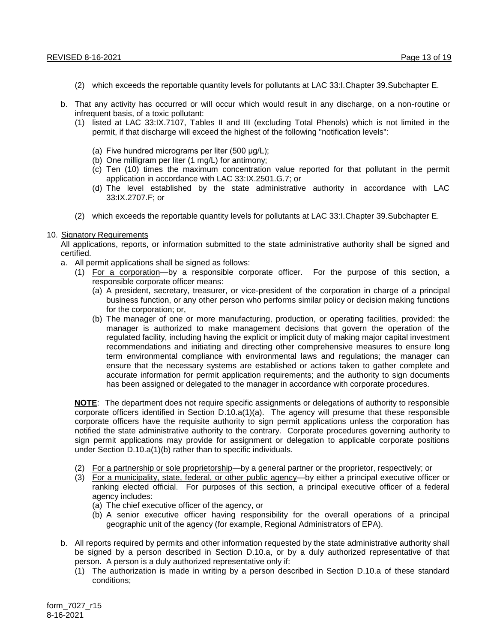- (2) which exceeds the reportable quantity levels for pollutants at LAC 33:I.Chapter 39.Subchapter E.
- b. That any activity has occurred or will occur which would result in any discharge, on a non-routine or infrequent basis, of a toxic pollutant:
	- (1) listed at LAC 33:IX.7107, Tables II and III (excluding Total Phenols) which is not limited in the permit, if that discharge will exceed the highest of the following "notification levels":
		- (a) Five hundred micrograms per liter (500 μg/L);
		- (b) One milligram per liter (1 mg/L) for antimony;
		- (c) Ten (10) times the maximum concentration value reported for that pollutant in the permit application in accordance with LAC 33:IX.2501.G.7; or
		- (d) The level established by the state administrative authority in accordance with LAC 33:IX.2707.F; or
	- (2) which exceeds the reportable quantity levels for pollutants at LAC 33:I.Chapter 39.Subchapter E.

#### 10. Signatory Requirements

All applications, reports, or information submitted to the state administrative authority shall be signed and certified.

- a. All permit applications shall be signed as follows:
	- (1) For a corporation—by a responsible corporate officer. For the purpose of this section, a responsible corporate officer means:
		- (a) A president, secretary, treasurer, or vice-president of the corporation in charge of a principal business function, or any other person who performs similar policy or decision making functions for the corporation; or,
		- (b) The manager of one or more manufacturing, production, or operating facilities, provided: the manager is authorized to make management decisions that govern the operation of the regulated facility, including having the explicit or implicit duty of making major capital investment recommendations and initiating and directing other comprehensive measures to ensure long term environmental compliance with environmental laws and regulations; the manager can ensure that the necessary systems are established or actions taken to gather complete and accurate information for permit application requirements; and the authority to sign documents has been assigned or delegated to the manager in accordance with corporate procedures.

**NOTE**: The department does not require specific assignments or delegations of authority to responsible corporate officers identified in Section D.10.a(1)(a). The agency will presume that these responsible corporate officers have the requisite authority to sign permit applications unless the corporation has notified the state administrative authority to the contrary. Corporate procedures governing authority to sign permit applications may provide for assignment or delegation to applicable corporate positions under Section D.10.a(1)(b) rather than to specific individuals.

- (2) For a partnership or sole proprietorship—by a general partner or the proprietor, respectively; or
- (3) For a municipality, state, federal, or other public agency—by either a principal executive officer or ranking elected official. For purposes of this section, a principal executive officer of a federal agency includes:
	- (a) The chief executive officer of the agency, or
	- (b) A senior executive officer having responsibility for the overall operations of a principal geographic unit of the agency (for example, Regional Administrators of EPA).
- b. All reports required by permits and other information requested by the state administrative authority shall be signed by a person described in Section D.10.a, or by a duly authorized representative of that person. A person is a duly authorized representative only if:
	- (1) The authorization is made in writing by a person described in Section D.10.a of these standard conditions;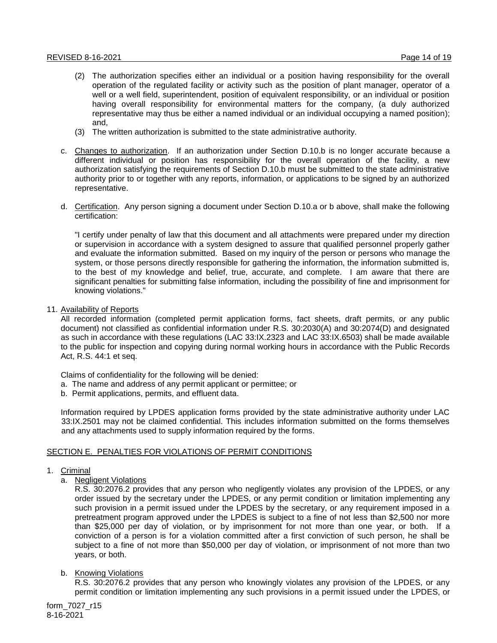- (2) The authorization specifies either an individual or a position having responsibility for the overall operation of the regulated facility or activity such as the position of plant manager, operator of a well or a well field, superintendent, position of equivalent responsibility, or an individual or position having overall responsibility for environmental matters for the company, (a duly authorized representative may thus be either a named individual or an individual occupying a named position); and,
- (3) The written authorization is submitted to the state administrative authority.
- c. Changes to authorization. If an authorization under Section D.10.b is no longer accurate because a different individual or position has responsibility for the overall operation of the facility, a new authorization satisfying the requirements of Section D.10.b must be submitted to the state administrative authority prior to or together with any reports, information, or applications to be signed by an authorized representative.
- d. Certification. Any person signing a document under Section D.10.a or b above, shall make the following certification:

"I certify under penalty of law that this document and all attachments were prepared under my direction or supervision in accordance with a system designed to assure that qualified personnel properly gather and evaluate the information submitted. Based on my inquiry of the person or persons who manage the system, or those persons directly responsible for gathering the information, the information submitted is, to the best of my knowledge and belief, true, accurate, and complete. I am aware that there are significant penalties for submitting false information, including the possibility of fine and imprisonment for knowing violations."

11. Availability of Reports

All recorded information (completed permit application forms, fact sheets, draft permits, or any public document) not classified as confidential information under R.S. 30:2030(A) and 30:2074(D) and designated as such in accordance with these regulations (LAC 33:IX.2323 and LAC 33:IX.6503) shall be made available to the public for inspection and copying during normal working hours in accordance with the Public Records Act, R.S. 44:1 et seq.

Claims of confidentiality for the following will be denied:

- a. The name and address of any permit applicant or permittee; or
- b. Permit applications, permits, and effluent data.

Information required by LPDES application forms provided by the state administrative authority under LAC 33:IX.2501 may not be claimed confidential. This includes information submitted on the forms themselves and any attachments used to supply information required by the forms.

# SECTION E. PENALTIES FOR VIOLATIONS OF PERMIT CONDITIONS

- 1. Criminal
	- a. Negligent Violations

R.S. 30:2076.2 provides that any person who negligently violates any provision of the LPDES, or any order issued by the secretary under the LPDES, or any permit condition or limitation implementing any such provision in a permit issued under the LPDES by the secretary, or any requirement imposed in a pretreatment program approved under the LPDES is subject to a fine of not less than \$2,500 nor more than \$25,000 per day of violation, or by imprisonment for not more than one year, or both. If a conviction of a person is for a violation committed after a first conviction of such person, he shall be subject to a fine of not more than \$50,000 per day of violation, or imprisonment of not more than two years, or both.

b. Knowing Violations

R.S. 30:2076.2 provides that any person who knowingly violates any provision of the LPDES, or any permit condition or limitation implementing any such provisions in a permit issued under the LPDES, or

form\_7027\_r15 8-16-2021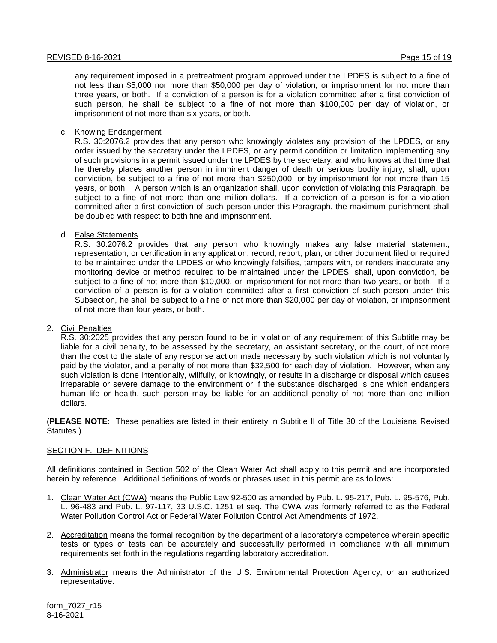any requirement imposed in a pretreatment program approved under the LPDES is subject to a fine of not less than \$5,000 nor more than \$50,000 per day of violation, or imprisonment for not more than three years, or both. If a conviction of a person is for a violation committed after a first conviction of such person, he shall be subject to a fine of not more than \$100,000 per day of violation, or imprisonment of not more than six years, or both.

#### c. Knowing Endangerment

R.S. 30:2076.2 provides that any person who knowingly violates any provision of the LPDES, or any order issued by the secretary under the LPDES, or any permit condition or limitation implementing any of such provisions in a permit issued under the LPDES by the secretary, and who knows at that time that he thereby places another person in imminent danger of death or serious bodily injury, shall, upon conviction, be subject to a fine of not more than \$250,000, or by imprisonment for not more than 15 years, or both. A person which is an organization shall, upon conviction of violating this Paragraph, be subject to a fine of not more than one million dollars. If a conviction of a person is for a violation committed after a first conviction of such person under this Paragraph, the maximum punishment shall be doubled with respect to both fine and imprisonment.

#### d. False Statements

R.S. 30:2076.2 provides that any person who knowingly makes any false material statement, representation, or certification in any application, record, report, plan, or other document filed or required to be maintained under the LPDES or who knowingly falsifies, tampers with, or renders inaccurate any monitoring device or method required to be maintained under the LPDES, shall, upon conviction, be subject to a fine of not more than \$10,000, or imprisonment for not more than two years, or both. If a conviction of a person is for a violation committed after a first conviction of such person under this Subsection, he shall be subject to a fine of not more than \$20,000 per day of violation, or imprisonment of not more than four years, or both.

#### 2. Civil Penalties

R.S. 30:2025 provides that any person found to be in violation of any requirement of this Subtitle may be liable for a civil penalty, to be assessed by the secretary, an assistant secretary, or the court, of not more than the cost to the state of any response action made necessary by such violation which is not voluntarily paid by the violator, and a penalty of not more than \$32,500 for each day of violation. However, when any such violation is done intentionally, willfully, or knowingly, or results in a discharge or disposal which causes irreparable or severe damage to the environment or if the substance discharged is one which endangers human life or health, such person may be liable for an additional penalty of not more than one million dollars.

(**PLEASE NOTE**: These penalties are listed in their entirety in Subtitle II of Title 30 of the Louisiana Revised Statutes.)

# SECTION F. DEFINITIONS

All definitions contained in Section 502 of the Clean Water Act shall apply to this permit and are incorporated herein by reference. Additional definitions of words or phrases used in this permit are as follows:

- 1. Clean Water Act (CWA) means the Public Law 92-500 as amended by Pub. L. 95-217, Pub. L. 95-576, Pub. L. 96-483 and Pub. L. 97-117, 33 U.S.C. 1251 et seq. The CWA was formerly referred to as the Federal Water Pollution Control Act or Federal Water Pollution Control Act Amendments of 1972.
- 2. Accreditation means the formal recognition by the department of a laboratory's competence wherein specific tests or types of tests can be accurately and successfully performed in compliance with all minimum requirements set forth in the regulations regarding laboratory accreditation.
- 3. Administrator means the Administrator of the U.S. Environmental Protection Agency, or an authorized representative.

form\_7027\_r15 8-16-2021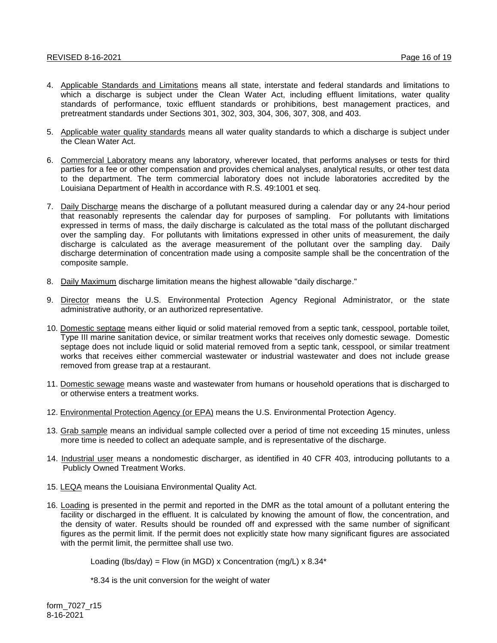- 4. Applicable Standards and Limitations means all state, interstate and federal standards and limitations to which a discharge is subject under the Clean Water Act, including effluent limitations, water quality standards of performance, toxic effluent standards or prohibitions, best management practices, and pretreatment standards under Sections 301, 302, 303, 304, 306, 307, 308, and 403.
- 5. Applicable water quality standards means all water quality standards to which a discharge is subject under the Clean Water Act.
- 6. Commercial Laboratory means any laboratory, wherever located, that performs analyses or tests for third parties for a fee or other compensation and provides chemical analyses, analytical results, or other test data to the department. The term commercial laboratory does not include laboratories accredited by the Louisiana Department of Health in accordance with R.S. 49:1001 et seq.
- 7. Daily Discharge means the discharge of a pollutant measured during a calendar day or any 24-hour period that reasonably represents the calendar day for purposes of sampling. For pollutants with limitations expressed in terms of mass, the daily discharge is calculated as the total mass of the pollutant discharged over the sampling day. For pollutants with limitations expressed in other units of measurement, the daily discharge is calculated as the average measurement of the pollutant over the sampling day. Daily discharge determination of concentration made using a composite sample shall be the concentration of the composite sample.
- 8. Daily Maximum discharge limitation means the highest allowable "daily discharge."
- 9. Director means the U.S. Environmental Protection Agency Regional Administrator, or the state administrative authority, or an authorized representative.
- 10. Domestic septage means either liquid or solid material removed from a septic tank, cesspool, portable toilet, Type III marine sanitation device, or similar treatment works that receives only domestic sewage. Domestic septage does not include liquid or solid material removed from a septic tank, cesspool, or similar treatment works that receives either commercial wastewater or industrial wastewater and does not include grease removed from grease trap at a restaurant.
- 11. Domestic sewage means waste and wastewater from humans or household operations that is discharged to or otherwise enters a treatment works.
- 12. Environmental Protection Agency (or EPA) means the U.S. Environmental Protection Agency.
- 13. Grab sample means an individual sample collected over a period of time not exceeding 15 minutes, unless more time is needed to collect an adequate sample, and is representative of the discharge.
- 14. Industrial user means a nondomestic discharger, as identified in 40 CFR 403, introducing pollutants to a Publicly Owned Treatment Works.
- 15. LEQA means the Louisiana Environmental Quality Act.
- 16. Loading is presented in the permit and reported in the DMR as the total amount of a pollutant entering the facility or discharged in the effluent. It is calculated by knowing the amount of flow, the concentration, and the density of water. Results should be rounded off and expressed with the same number of significant figures as the permit limit. If the permit does not explicitly state how many significant figures are associated with the permit limit, the permittee shall use two.

Loading (lbs/day) = Flow (in MGD) x Concentration (mg/L)  $\times$  8.34\*

\*8.34 is the unit conversion for the weight of water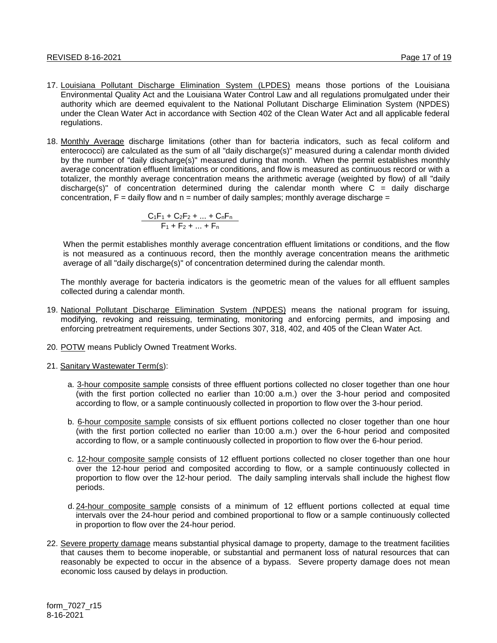- 17. Louisiana Pollutant Discharge Elimination System (LPDES) means those portions of the Louisiana Environmental Quality Act and the Louisiana Water Control Law and all regulations promulgated under their authority which are deemed equivalent to the National Pollutant Discharge Elimination System (NPDES) under the Clean Water Act in accordance with Section 402 of the Clean Water Act and all applicable federal regulations.
- 18. Monthly Average discharge limitations (other than for bacteria indicators, such as fecal coliform and enterococci) are calculated as the sum of all "daily discharge(s)" measured during a calendar month divided by the number of "daily discharge(s)" measured during that month. When the permit establishes monthly average concentration effluent limitations or conditions, and flow is measured as continuous record or with a totalizer, the monthly average concentration means the arithmetic average (weighted by flow) of all "daily discharge(s)" of concentration determined during the calendar month where  $C =$  daily discharge concentration,  $F =$  daily flow and  $n =$  number of daily samples; monthly average discharge =

$$
\frac{C_1F_1 + C_2F_2 + ... + C_nF_n}{F_1 + F_2 + ... + F_n}
$$

When the permit establishes monthly average concentration effluent limitations or conditions, and the flow is not measured as a continuous record, then the monthly average concentration means the arithmetic average of all "daily discharge(s)" of concentration determined during the calendar month.

The monthly average for bacteria indicators is the geometric mean of the values for all effluent samples collected during a calendar month.

- 19. National Pollutant Discharge Elimination System (NPDES) means the national program for issuing, modifying, revoking and reissuing, terminating, monitoring and enforcing permits, and imposing and enforcing pretreatment requirements, under Sections 307, 318, 402, and 405 of the Clean Water Act.
- 20. POTW means Publicly Owned Treatment Works.
- 21. Sanitary Wastewater Term(s):
	- a. 3-hour composite sample consists of three effluent portions collected no closer together than one hour (with the first portion collected no earlier than 10:00 a.m.) over the 3-hour period and composited according to flow, or a sample continuously collected in proportion to flow over the 3-hour period.
	- b. 6-hour composite sample consists of six effluent portions collected no closer together than one hour (with the first portion collected no earlier than 10:00 a.m.) over the 6-hour period and composited according to flow, or a sample continuously collected in proportion to flow over the 6-hour period.
	- c. 12-hour composite sample consists of 12 effluent portions collected no closer together than one hour over the 12-hour period and composited according to flow, or a sample continuously collected in proportion to flow over the 12-hour period. The daily sampling intervals shall include the highest flow periods.
	- d. 24-hour composite sample consists of a minimum of 12 effluent portions collected at equal time intervals over the 24-hour period and combined proportional to flow or a sample continuously collected in proportion to flow over the 24-hour period.
- 22. Severe property damage means substantial physical damage to property, damage to the treatment facilities that causes them to become inoperable, or substantial and permanent loss of natural resources that can reasonably be expected to occur in the absence of a bypass. Severe property damage does not mean economic loss caused by delays in production.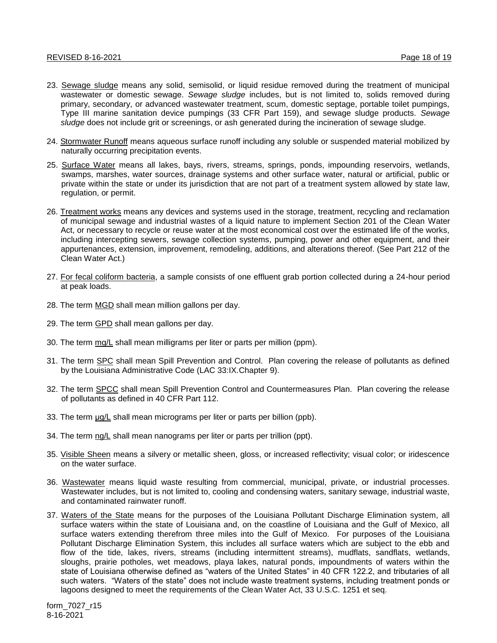- 23. Sewage sludge means any solid, semisolid, or liquid residue removed during the treatment of municipal wastewater or domestic sewage. *Sewage sludge* includes, but is not limited to, solids removed during primary, secondary, or advanced wastewater treatment, scum, domestic septage, portable toilet pumpings, Type III marine sanitation device pumpings (33 CFR Part 159), and sewage sludge products. *Sewage sludge* does not include grit or screenings, or ash generated during the incineration of sewage sludge.
- 24. Stormwater Runoff means aqueous surface runoff including any soluble or suspended material mobilized by naturally occurring precipitation events.
- 25. Surface Water means all lakes, bays, rivers, streams, springs, ponds, impounding reservoirs, wetlands, swamps, marshes, water sources, drainage systems and other surface water, natural or artificial, public or private within the state or under its jurisdiction that are not part of a treatment system allowed by state law, regulation, or permit.
- 26. Treatment works means any devices and systems used in the storage, treatment, recycling and reclamation of municipal sewage and industrial wastes of a liquid nature to implement Section 201 of the Clean Water Act, or necessary to recycle or reuse water at the most economical cost over the estimated life of the works, including intercepting sewers, sewage collection systems, pumping, power and other equipment, and their appurtenances, extension, improvement, remodeling, additions, and alterations thereof. (See Part 212 of the Clean Water Act.)
- 27. For fecal coliform bacteria, a sample consists of one effluent grab portion collected during a 24-hour period at peak loads.
- 28. The term MGD shall mean million gallons per day.
- 29. The term GPD shall mean gallons per day.
- 30. The term mg/L shall mean milligrams per liter or parts per million (ppm).
- 31. The term SPC shall mean Spill Prevention and Control. Plan covering the release of pollutants as defined by the Louisiana Administrative Code (LAC 33:IX.Chapter 9).
- 32. The term SPCC shall mean Spill Prevention Control and Countermeasures Plan. Plan covering the release of pollutants as defined in 40 CFR Part 112.
- 33. The term  $\mu g/L$  shall mean micrograms per liter or parts per billion (ppb).
- 34. The term ng/L shall mean nanograms per liter or parts per trillion (ppt).
- 35. Visible Sheen means a silvery or metallic sheen, gloss, or increased reflectivity; visual color; or iridescence on the water surface.
- 36. Wastewater means liquid waste resulting from commercial, municipal, private, or industrial processes. Wastewater includes, but is not limited to, cooling and condensing waters, sanitary sewage, industrial waste, and contaminated rainwater runoff.
- 37. Waters of the State means for the purposes of the Louisiana Pollutant Discharge Elimination system, all surface waters within the state of Louisiana and, on the coastline of Louisiana and the Gulf of Mexico, all surface waters extending therefrom three miles into the Gulf of Mexico. For purposes of the Louisiana Pollutant Discharge Elimination System, this includes all surface waters which are subject to the ebb and flow of the tide, lakes, rivers, streams (including intermittent streams), mudflats, sandflats, wetlands, sloughs, prairie potholes, wet meadows, playa lakes, natural ponds, impoundments of waters within the state of Louisiana otherwise defined as "waters of the United States" in 40 CFR 122.2, and tributaries of all such waters. "Waters of the state" does not include waste treatment systems, including treatment ponds or lagoons designed to meet the requirements of the Clean Water Act, 33 U.S.C. 1251 et seq.